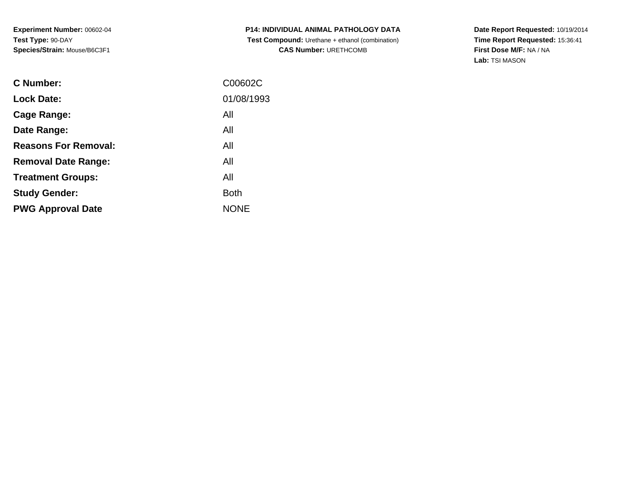| P14: INDIVIDUAL ANIMAL PATHOLOGY DATA                  |
|--------------------------------------------------------|
| <b>Test Compound:</b> Urethane + ethanol (combination) |
| <b>CAS Number: URETHCOMB</b>                           |

| <b>C</b> Number:            | C00602C     |
|-----------------------------|-------------|
| <b>Lock Date:</b>           | 01/08/1993  |
| Cage Range:                 | All         |
| Date Range:                 | All         |
| <b>Reasons For Removal:</b> | All         |
| <b>Removal Date Range:</b>  | All         |
| <b>Treatment Groups:</b>    | All         |
| <b>Study Gender:</b>        | <b>Both</b> |
| <b>PWG Approval Date</b>    | <b>NONE</b> |
|                             |             |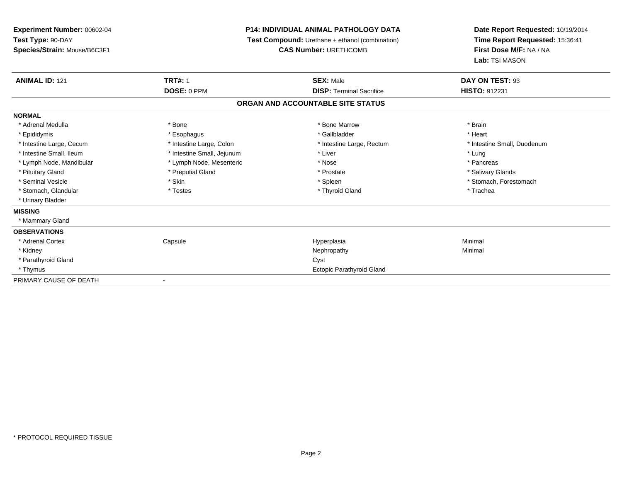| Experiment Number: 00602-04  | P14: INDIVIDUAL ANIMAL PATHOLOGY DATA<br>Test Compound: Urethane + ethanol (combination) |                                   |                                 | Date Report Requested: 10/19/2014 |
|------------------------------|------------------------------------------------------------------------------------------|-----------------------------------|---------------------------------|-----------------------------------|
| Test Type: 90-DAY            |                                                                                          |                                   | Time Report Requested: 15:36:41 |                                   |
| Species/Strain: Mouse/B6C3F1 |                                                                                          | <b>CAS Number: URETHCOMB</b>      | First Dose M/F: NA / NA         |                                   |
|                              |                                                                                          |                                   | Lab: TSI MASON                  |                                   |
| <b>ANIMAL ID: 121</b>        | <b>TRT#: 1</b>                                                                           | <b>SEX: Male</b>                  | DAY ON TEST: 93                 |                                   |
|                              | DOSE: 0 PPM                                                                              | <b>DISP: Terminal Sacrifice</b>   | <b>HISTO: 912231</b>            |                                   |
|                              |                                                                                          | ORGAN AND ACCOUNTABLE SITE STATUS |                                 |                                   |
| <b>NORMAL</b>                |                                                                                          |                                   |                                 |                                   |
| * Adrenal Medulla            | * Bone                                                                                   | * Bone Marrow                     | * Brain                         |                                   |
| * Epididymis                 | * Esophagus                                                                              | * Gallbladder                     | * Heart                         |                                   |
| * Intestine Large, Cecum     | * Intestine Large, Colon                                                                 | * Intestine Large, Rectum         | * Intestine Small, Duodenum     |                                   |
| * Intestine Small, Ileum     | * Intestine Small, Jejunum                                                               | * Liver                           | * Lung                          |                                   |
| * Lymph Node, Mandibular     | * Lymph Node, Mesenteric                                                                 | * Nose                            | * Pancreas                      |                                   |
| * Pituitary Gland            | * Preputial Gland                                                                        | * Prostate                        | * Salivary Glands               |                                   |
| * Seminal Vesicle            | * Skin                                                                                   | * Spleen                          | * Stomach, Forestomach          |                                   |
| * Stomach, Glandular         | * Testes                                                                                 | * Thyroid Gland                   | * Trachea                       |                                   |
| * Urinary Bladder            |                                                                                          |                                   |                                 |                                   |
| <b>MISSING</b>               |                                                                                          |                                   |                                 |                                   |
| * Mammary Gland              |                                                                                          |                                   |                                 |                                   |
| <b>OBSERVATIONS</b>          |                                                                                          |                                   |                                 |                                   |
| * Adrenal Cortex             | Capsule                                                                                  | Hyperplasia                       | Minimal                         |                                   |
| * Kidney                     |                                                                                          | Nephropathy                       | Minimal                         |                                   |
| * Parathyroid Gland          |                                                                                          | Cyst                              |                                 |                                   |
| * Thymus                     |                                                                                          | <b>Ectopic Parathyroid Gland</b>  |                                 |                                   |
| PRIMARY CAUSE OF DEATH       |                                                                                          |                                   |                                 |                                   |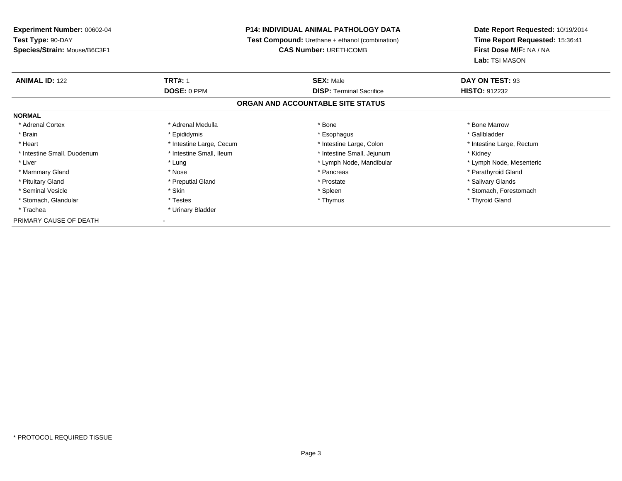## **P14: INDIVIDUAL ANIMAL PATHOLOGY DATA**

**Test Compound:** Urethane + ethanol (combination)

**CAS Number:** URETHCOMB

| <b>ANIMAL ID: 122</b>       | <b>TRT#: 1</b>           | <b>SEX: Male</b>                  | DAY ON TEST: 93           |  |
|-----------------------------|--------------------------|-----------------------------------|---------------------------|--|
|                             | DOSE: 0 PPM              | <b>DISP:</b> Terminal Sacrifice   | <b>HISTO: 912232</b>      |  |
|                             |                          | ORGAN AND ACCOUNTABLE SITE STATUS |                           |  |
| <b>NORMAL</b>               |                          |                                   |                           |  |
| * Adrenal Cortex            | * Adrenal Medulla        | * Bone                            | * Bone Marrow             |  |
| * Brain                     | * Epididymis             | * Esophagus                       | * Gallbladder             |  |
| * Heart                     | * Intestine Large, Cecum | * Intestine Large, Colon          | * Intestine Large, Rectum |  |
| * Intestine Small, Duodenum | * Intestine Small, Ileum | * Intestine Small, Jejunum        | * Kidney                  |  |
| * Liver                     | * Lung                   | * Lymph Node, Mandibular          | * Lymph Node, Mesenteric  |  |
| * Mammary Gland             | * Nose                   | * Pancreas                        | * Parathyroid Gland       |  |
| * Pituitary Gland           | * Preputial Gland        | * Prostate                        | * Salivary Glands         |  |
| * Seminal Vesicle           | * Skin                   | * Spleen                          | * Stomach, Forestomach    |  |
| * Stomach, Glandular        | * Testes                 | * Thymus                          | * Thyroid Gland           |  |
| * Trachea                   | * Urinary Bladder        |                                   |                           |  |
| PRIMARY CAUSE OF DEATH      |                          |                                   |                           |  |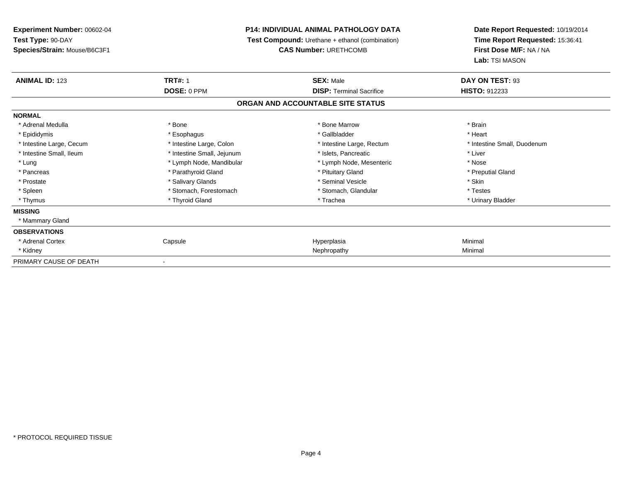| Experiment Number: 00602-04                                                 | P14: INDIVIDUAL ANIMAL PATHOLOGY DATA |                                   | Date Report Requested: 10/19/2014 |
|-----------------------------------------------------------------------------|---------------------------------------|-----------------------------------|-----------------------------------|
| Test Type: 90-DAY<br><b>Test Compound:</b> Urethane + ethanol (combination) |                                       | Time Report Requested: 15:36:41   |                                   |
| Species/Strain: Mouse/B6C3F1                                                |                                       | <b>CAS Number: URETHCOMB</b>      | First Dose M/F: NA / NA           |
|                                                                             |                                       |                                   | Lab: TSI MASON                    |
| <b>ANIMAL ID: 123</b>                                                       | <b>TRT#: 1</b>                        | <b>SEX: Male</b>                  | DAY ON TEST: 93                   |
|                                                                             | DOSE: 0 PPM                           | <b>DISP: Terminal Sacrifice</b>   | <b>HISTO: 912233</b>              |
|                                                                             |                                       | ORGAN AND ACCOUNTABLE SITE STATUS |                                   |
| <b>NORMAL</b>                                                               |                                       |                                   |                                   |
| * Adrenal Medulla                                                           | * Bone                                | * Bone Marrow                     | * Brain                           |
| * Epididymis                                                                | * Esophagus                           | * Gallbladder                     | * Heart                           |
| * Intestine Large, Cecum                                                    | * Intestine Large, Colon              | * Intestine Large, Rectum         | * Intestine Small, Duodenum       |
| * Intestine Small, Ileum                                                    | * Intestine Small, Jejunum            | * Islets, Pancreatic              | * Liver                           |
| * Lung                                                                      | * Lymph Node, Mandibular              | * Lymph Node, Mesenteric          | * Nose                            |
| * Pancreas                                                                  | * Parathyroid Gland                   | * Pituitary Gland                 | * Preputial Gland                 |
| * Prostate                                                                  | * Salivary Glands                     | * Seminal Vesicle                 | * Skin                            |
| * Spleen                                                                    | * Stomach, Forestomach                | * Stomach, Glandular              | * Testes                          |
| * Thymus                                                                    | * Thyroid Gland                       | * Trachea                         | * Urinary Bladder                 |
| <b>MISSING</b>                                                              |                                       |                                   |                                   |
| * Mammary Gland                                                             |                                       |                                   |                                   |
| <b>OBSERVATIONS</b>                                                         |                                       |                                   |                                   |
| * Adrenal Cortex                                                            | Capsule                               | Hyperplasia                       | Minimal                           |
| * Kidney                                                                    |                                       | Nephropathy                       | Minimal                           |
| PRIMARY CAUSE OF DEATH                                                      |                                       |                                   |                                   |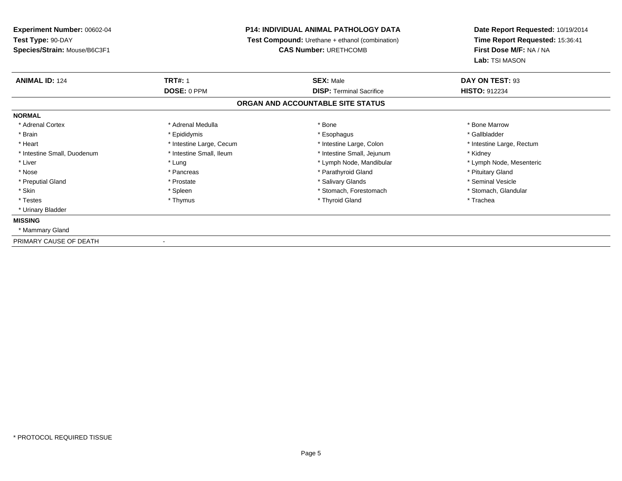## **P14: INDIVIDUAL ANIMAL PATHOLOGY DATA**

**Test Compound:** Urethane + ethanol (combination)

**CAS Number:** URETHCOMB

| <b>ANIMAL ID: 124</b>       | <b>TRT#: 1</b>           | <b>SEX: Male</b>                  | DAY ON TEST: 93           |
|-----------------------------|--------------------------|-----------------------------------|---------------------------|
|                             | <b>DOSE: 0 PPM</b>       | <b>DISP: Terminal Sacrifice</b>   | <b>HISTO: 912234</b>      |
|                             |                          | ORGAN AND ACCOUNTABLE SITE STATUS |                           |
| <b>NORMAL</b>               |                          |                                   |                           |
| * Adrenal Cortex            | * Adrenal Medulla        | * Bone                            | * Bone Marrow             |
| * Brain                     | * Epididymis             | * Esophagus                       | * Gallbladder             |
| * Heart                     | * Intestine Large, Cecum | * Intestine Large, Colon          | * Intestine Large, Rectum |
| * Intestine Small, Duodenum | * Intestine Small, Ileum | * Intestine Small, Jejunum        | * Kidney                  |
| * Liver                     | * Lung                   | * Lymph Node, Mandibular          | * Lymph Node, Mesenteric  |
| * Nose                      | * Pancreas               | * Parathyroid Gland               | * Pituitary Gland         |
| * Preputial Gland           | * Prostate               | * Salivary Glands                 | * Seminal Vesicle         |
| * Skin                      | * Spleen                 | * Stomach, Forestomach            | * Stomach, Glandular      |
| * Testes                    | * Thymus                 | * Thyroid Gland                   | * Trachea                 |
| * Urinary Bladder           |                          |                                   |                           |
| <b>MISSING</b>              |                          |                                   |                           |
| * Mammary Gland             |                          |                                   |                           |
| PRIMARY CAUSE OF DEATH      |                          |                                   |                           |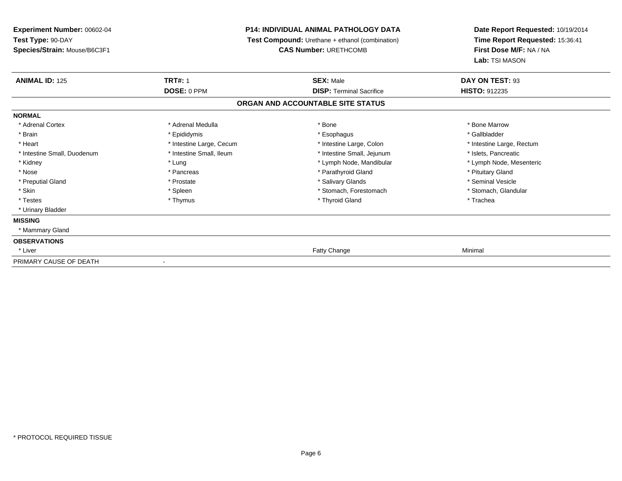**Experiment Number:** 00602-04**Test Type:** 90-DAY **Species/Strain:** Mouse/B6C3F1**P14: INDIVIDUAL ANIMAL PATHOLOGY DATA Test Compound:** Urethane + ethanol (combination)**CAS Number:** URETHCOMB**Date Report Requested:** 10/19/2014**Time Report Requested:** 15:36:41**First Dose M/F:** NA / NA**Lab:** TSI MASON**ANIMAL ID:** 125**TRT#:** 1 **SEX:** Male **DAY ON TEST:** 93 **DOSE:** 0 PPM**DISP:** Terminal Sacrifice **HISTO:** 912235 **ORGAN AND ACCOUNTABLE SITE STATUSNORMAL**\* Adrenal Cortex \* Adrenal Medulla \* Adrenal Medulla \* Bone \* Bone \* Bone \* Bone \* Bone Marrow \* Gallbladder \* Brain \* Allen the state of the state of the state of the state of the state of the state of the state of the state of the state of the state of the state of the state of the state of the state of the state of the state o \* Heart **\*** Intestine Large, Cecum \* Intestine Large, Cecum \* Intestine Large, Colon \* <sup>\*</sup> Intestine Large, Rectum \* Intestine Small, Duodenum \* Intestine Small, Ileum \* 1ntestine Small, Intestine Small, Jejunum \* Islets, Pancreatic \* Lymph Node, Mesenteric \* Kidney \* Lung \* Lung \* Lung \* Lung \* Lower \* Lymph Node, Mandibular \* Lymph Node, Mandibular \* Nose \* Pancreas \* Pancreas \* Pancreas \* Parathyroid Gland \* Parathyroid Gland \* Pituitary Gland \* Pituitary Gland \* Seminal Vesicle \* Preputial Gland \* \* Annual vesicle \* \* Prostate \* \* Salivary Glands \* \* Salivary Glands \* \* Seminal Vesicle \* \* Stomach, Glandular \* Skin \* Stomach, Forestomach \* Spleen \* Stomach, Stomach, Forestomach \* Stomach, Forestomach \* Testes \* Thymus \* Thyroid Gland \* Trachea \* Urinary Bladder**MISSING** \* Mammary Gland**OBSERVATIONS** \* Liver Fatty Changee Minimal PRIMARY CAUSE OF DEATH-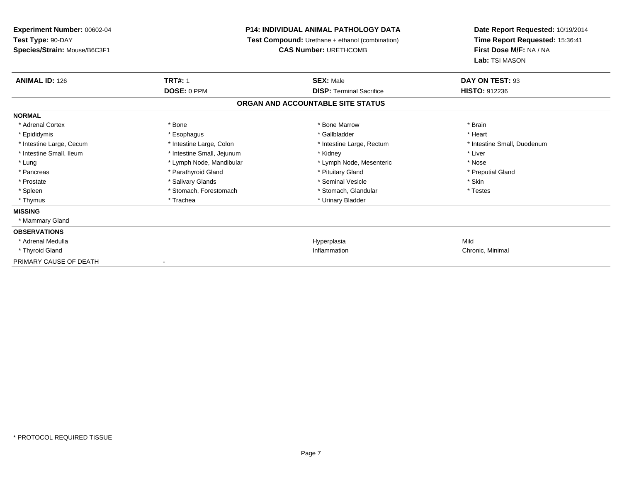| Experiment Number: 00602-04  | <b>P14: INDIVIDUAL ANIMAL PATHOLOGY DATA</b><br><b>Test Compound:</b> Urethane + ethanol (combination) |                                   |                                 | Date Report Requested: 10/19/2014 |
|------------------------------|--------------------------------------------------------------------------------------------------------|-----------------------------------|---------------------------------|-----------------------------------|
| Test Type: 90-DAY            |                                                                                                        |                                   | Time Report Requested: 15:36:41 |                                   |
| Species/Strain: Mouse/B6C3F1 |                                                                                                        | <b>CAS Number: URETHCOMB</b>      | First Dose M/F: NA / NA         |                                   |
|                              |                                                                                                        |                                   | Lab: TSI MASON                  |                                   |
| <b>ANIMAL ID: 126</b>        | <b>TRT#: 1</b>                                                                                         | <b>SEX: Male</b>                  | DAY ON TEST: 93                 |                                   |
|                              | DOSE: 0 PPM                                                                                            | <b>DISP: Terminal Sacrifice</b>   | <b>HISTO: 912236</b>            |                                   |
|                              |                                                                                                        | ORGAN AND ACCOUNTABLE SITE STATUS |                                 |                                   |
| <b>NORMAL</b>                |                                                                                                        |                                   |                                 |                                   |
| * Adrenal Cortex             | * Bone                                                                                                 | * Bone Marrow                     | * Brain                         |                                   |
| * Epididymis                 | * Esophagus                                                                                            | * Gallbladder                     | * Heart                         |                                   |
| * Intestine Large, Cecum     | * Intestine Large, Colon                                                                               | * Intestine Large, Rectum         | * Intestine Small, Duodenum     |                                   |
| * Intestine Small, Ileum     | * Intestine Small, Jejunum                                                                             | * Kidney                          | * Liver                         |                                   |
| * Lung                       | * Lymph Node, Mandibular                                                                               | * Lymph Node, Mesenteric          | * Nose                          |                                   |
| * Pancreas                   | * Parathyroid Gland                                                                                    | * Pituitary Gland                 | * Preputial Gland               |                                   |
| * Prostate                   | * Salivary Glands                                                                                      | * Seminal Vesicle                 | * Skin                          |                                   |
| * Spleen                     | * Stomach, Forestomach                                                                                 | * Stomach, Glandular              | * Testes                        |                                   |
| * Thymus                     | * Trachea                                                                                              | * Urinary Bladder                 |                                 |                                   |
| <b>MISSING</b>               |                                                                                                        |                                   |                                 |                                   |
| * Mammary Gland              |                                                                                                        |                                   |                                 |                                   |
| <b>OBSERVATIONS</b>          |                                                                                                        |                                   |                                 |                                   |
| * Adrenal Medulla            |                                                                                                        | Hyperplasia                       | Mild                            |                                   |
| * Thyroid Gland              |                                                                                                        | Inflammation                      | Chronic, Minimal                |                                   |
| PRIMARY CAUSE OF DEATH       |                                                                                                        |                                   |                                 |                                   |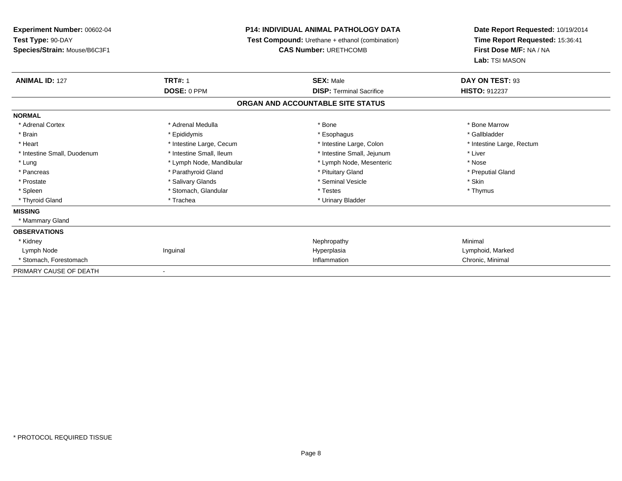## **P14: INDIVIDUAL ANIMAL PATHOLOGY DATA**

**Test Compound:** Urethane + ethanol (combination)

**CAS Number:** URETHCOMB

| <b>ANIMAL ID: 127</b>       | <b>TRT#: 1</b>           | <b>SEX: Male</b>                  | DAY ON TEST: 93           |  |
|-----------------------------|--------------------------|-----------------------------------|---------------------------|--|
|                             | DOSE: 0 PPM              | <b>DISP: Terminal Sacrifice</b>   | <b>HISTO: 912237</b>      |  |
|                             |                          | ORGAN AND ACCOUNTABLE SITE STATUS |                           |  |
| <b>NORMAL</b>               |                          |                                   |                           |  |
| * Adrenal Cortex            | * Adrenal Medulla        | * Bone                            | * Bone Marrow             |  |
| * Brain                     | * Epididymis             | * Esophagus                       | * Gallbladder             |  |
| * Heart                     | * Intestine Large, Cecum | * Intestine Large, Colon          | * Intestine Large, Rectum |  |
| * Intestine Small, Duodenum | * Intestine Small, Ileum | * Intestine Small, Jejunum        | * Liver                   |  |
| * Lung                      | * Lymph Node, Mandibular | * Lymph Node, Mesenteric          | * Nose                    |  |
| * Pancreas                  | * Parathyroid Gland      | * Pituitary Gland                 | * Preputial Gland         |  |
| * Prostate                  | * Salivary Glands        | * Seminal Vesicle                 | * Skin                    |  |
| * Spleen                    | * Stomach, Glandular     | * Testes                          | * Thymus                  |  |
| * Thyroid Gland             | * Trachea                | * Urinary Bladder                 |                           |  |
| <b>MISSING</b>              |                          |                                   |                           |  |
| * Mammary Gland             |                          |                                   |                           |  |
| <b>OBSERVATIONS</b>         |                          |                                   |                           |  |
| * Kidney                    |                          | Nephropathy                       | Minimal                   |  |
| Lymph Node                  | Inguinal                 | Hyperplasia                       | Lymphoid, Marked          |  |
| * Stomach, Forestomach      |                          | Inflammation                      | Chronic, Minimal          |  |
| PRIMARY CAUSE OF DEATH      | ٠                        |                                   |                           |  |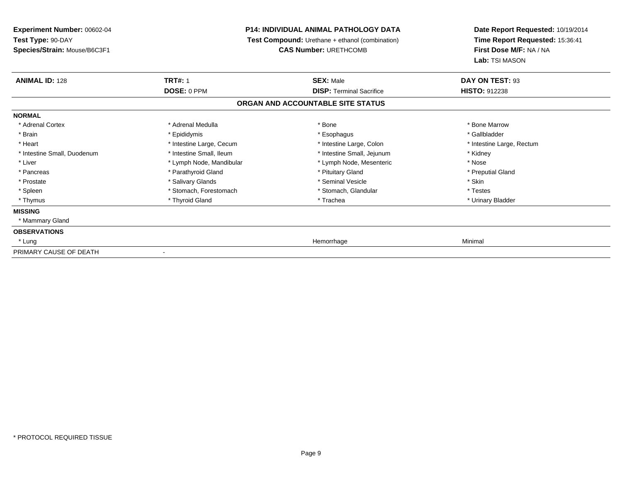**Experiment Number:** 00602-04**Test Type:** 90-DAY **Species/Strain:** Mouse/B6C3F1**P14: INDIVIDUAL ANIMAL PATHOLOGY DATA Test Compound:** Urethane + ethanol (combination)**CAS Number:** URETHCOMB**Date Report Requested:** 10/19/2014**Time Report Requested:** 15:36:41**First Dose M/F:** NA / NA**Lab:** TSI MASON**ANIMAL ID:** 128**TRT#:** 1 **SEX:** Male **DAY ON TEST:** 93 **DOSE:** 0 PPM**DISP:** Terminal Sacrifice **HISTO:** 912238 **ORGAN AND ACCOUNTABLE SITE STATUSNORMAL**\* Adrenal Cortex \* Adrenal Medulla \* Adrenal Medulla \* Bone \* Bone \* Bone \* Bone \* Bone Marrow \* Gallbladder \* Brain \* Allen the state of the state of the state of the state of the state of the state of the state of the state of the state of the state of the state of the state of the state of the state of the state of the state o \* Heart **\*** Intestine Large, Cecum \* Intestine Large, Cecum \* Intestine Large, Colon \* <sup>\*</sup> Intestine Large, Rectum \* Intestine Small, Duodenum \* Thestine Small, Ileum \* Intestine Small, Ileum \* Intestine Small, Jejunum \* \* Kidney \* Liver \* Lymph Node, Mandibular \* Nose \* Lymph Node, Mesenteric \* Nose \* Nose \* Preputial Gland \* Pancreas \* \* Parathyroid Gland \* \* Parathyroid Gland \* \* Pituitary Gland \* \* Preputial Gland \* \* Preputial Gland \* Prostate \* The state \* Salivary Glands \* Seninal Vesicle \* Seminal Vesicle \* Skin \* Skin \* Skin \* Skin \* Skin \* Testes \* Spleen \* Stomach, Forestomach \* Stomach, Spleen \* Stomach, Glandular \* Testestess \* Stomach, Glandular \* Urinary Bladder \* Thymus \* Thyroid Gland \* Trachea \* Urinary Bladder \* **MISSING** \* Mammary Gland**OBSERVATIONS** \* Lungg and the state of the state of the state of the state of the state of the state of the state of the state of the state of the state of the state of the state of the state of the state of the state of the state of the stat PRIMARY CAUSE OF DEATH-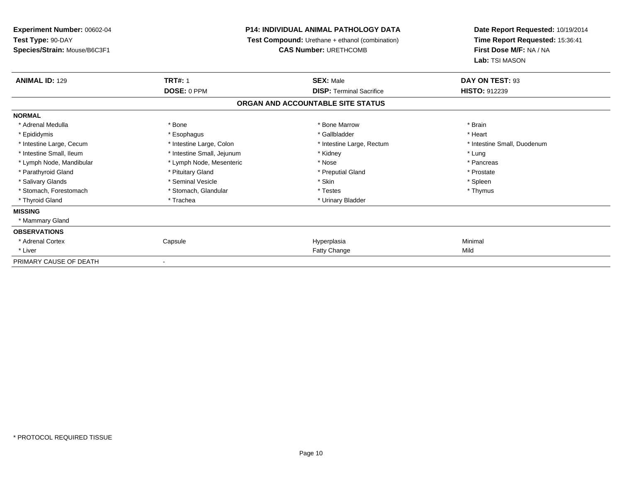| <b>Experiment Number: 00602-04</b> | P14: INDIVIDUAL ANIMAL PATHOLOGY DATA<br><b>Test Compound:</b> Urethane + ethanol (combination) |                                   | Date Report Requested: 10/19/2014 |
|------------------------------------|-------------------------------------------------------------------------------------------------|-----------------------------------|-----------------------------------|
| Test Type: 90-DAY                  |                                                                                                 |                                   | Time Report Requested: 15:36:41   |
| Species/Strain: Mouse/B6C3F1       |                                                                                                 | <b>CAS Number: URETHCOMB</b>      | First Dose M/F: NA / NA           |
|                                    |                                                                                                 |                                   | Lab: TSI MASON                    |
| <b>ANIMAL ID: 129</b>              | <b>TRT#: 1</b>                                                                                  | <b>SEX: Male</b>                  | DAY ON TEST: 93                   |
|                                    | DOSE: 0 PPM                                                                                     | <b>DISP: Terminal Sacrifice</b>   | <b>HISTO: 912239</b>              |
|                                    |                                                                                                 | ORGAN AND ACCOUNTABLE SITE STATUS |                                   |
| <b>NORMAL</b>                      |                                                                                                 |                                   |                                   |
| * Adrenal Medulla                  | * Bone                                                                                          | * Bone Marrow                     | * Brain                           |
| * Epididymis                       | * Esophagus                                                                                     | * Gallbladder                     | * Heart                           |
| * Intestine Large, Cecum           | * Intestine Large, Colon                                                                        | * Intestine Large, Rectum         | * Intestine Small, Duodenum       |
| * Intestine Small, Ileum           | * Intestine Small, Jejunum                                                                      | * Kidney                          | * Lung                            |
| * Lymph Node, Mandibular           | * Lymph Node, Mesenteric                                                                        | * Nose                            | * Pancreas                        |
| * Parathyroid Gland                | * Pituitary Gland                                                                               | * Preputial Gland                 | * Prostate                        |
| * Salivary Glands                  | * Seminal Vesicle                                                                               | * Skin                            | * Spleen                          |
| * Stomach, Forestomach             | * Stomach, Glandular                                                                            | * Testes                          | * Thymus                          |
| * Thyroid Gland                    | * Trachea                                                                                       | * Urinary Bladder                 |                                   |
| <b>MISSING</b>                     |                                                                                                 |                                   |                                   |
| * Mammary Gland                    |                                                                                                 |                                   |                                   |
| <b>OBSERVATIONS</b>                |                                                                                                 |                                   |                                   |
| * Adrenal Cortex                   | Capsule                                                                                         | Hyperplasia                       | Minimal                           |
| * Liver                            |                                                                                                 | Fatty Change                      | Mild                              |
| PRIMARY CAUSE OF DEATH             |                                                                                                 |                                   |                                   |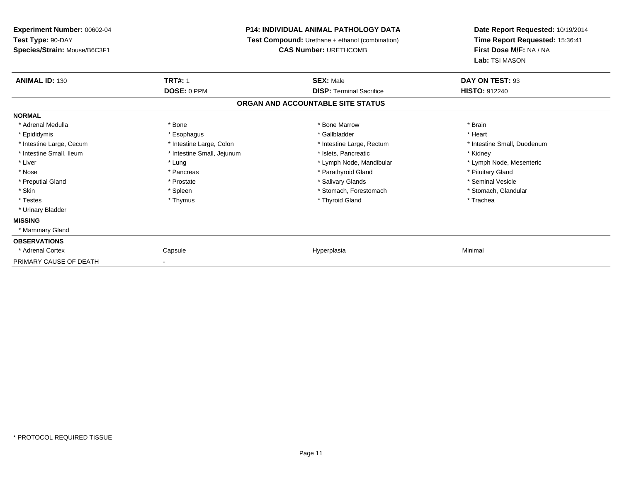| Experiment Number: 00602-04  | <b>P14: INDIVIDUAL ANIMAL PATHOLOGY DATA</b> |                                                        |                                                            | Date Report Requested: 10/19/2014 |
|------------------------------|----------------------------------------------|--------------------------------------------------------|------------------------------------------------------------|-----------------------------------|
| Test Type: 90-DAY            |                                              | <b>Test Compound:</b> Urethane + ethanol (combination) | Time Report Requested: 15:36:41<br>First Dose M/F: NA / NA |                                   |
| Species/Strain: Mouse/B6C3F1 |                                              | <b>CAS Number: URETHCOMB</b>                           |                                                            |                                   |
|                              |                                              |                                                        | Lab: TSI MASON                                             |                                   |
| <b>ANIMAL ID: 130</b>        | <b>TRT#: 1</b>                               | <b>SEX: Male</b>                                       | DAY ON TEST: 93                                            |                                   |
|                              | DOSE: 0 PPM                                  | <b>DISP: Terminal Sacrifice</b>                        | <b>HISTO: 912240</b>                                       |                                   |
|                              |                                              | ORGAN AND ACCOUNTABLE SITE STATUS                      |                                                            |                                   |
| <b>NORMAL</b>                |                                              |                                                        |                                                            |                                   |
| * Adrenal Medulla            | * Bone                                       | * Bone Marrow                                          | * Brain                                                    |                                   |
| * Epididymis                 | * Esophagus                                  | * Gallbladder                                          | * Heart                                                    |                                   |
| * Intestine Large, Cecum     | * Intestine Large, Colon                     | * Intestine Large, Rectum                              | * Intestine Small, Duodenum                                |                                   |
| * Intestine Small. Ileum     | * Intestine Small, Jejunum                   | * Islets. Pancreatic                                   | * Kidney                                                   |                                   |
| * Liver                      | * Lung                                       | * Lymph Node, Mandibular                               | * Lymph Node, Mesenteric                                   |                                   |
| * Nose                       | * Pancreas                                   | * Parathyroid Gland                                    | * Pituitary Gland                                          |                                   |
| * Preputial Gland            | * Prostate                                   | * Salivary Glands                                      | * Seminal Vesicle                                          |                                   |
| * Skin                       | * Spleen                                     | * Stomach, Forestomach                                 | * Stomach, Glandular                                       |                                   |
| * Testes                     | * Thymus                                     | * Thyroid Gland                                        | * Trachea                                                  |                                   |
| * Urinary Bladder            |                                              |                                                        |                                                            |                                   |
| <b>MISSING</b>               |                                              |                                                        |                                                            |                                   |
| * Mammary Gland              |                                              |                                                        |                                                            |                                   |
| <b>OBSERVATIONS</b>          |                                              |                                                        |                                                            |                                   |
| * Adrenal Cortex             | Capsule                                      | Hyperplasia                                            | Minimal                                                    |                                   |
| PRIMARY CAUSE OF DEATH       |                                              |                                                        |                                                            |                                   |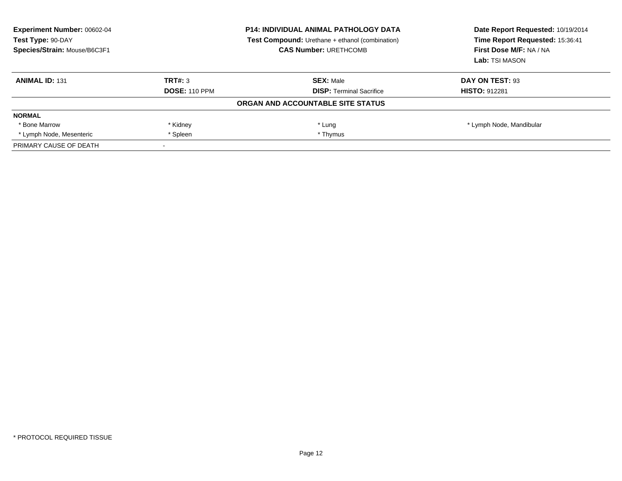| <b>Experiment Number: 00602-04</b><br>Test Type: 90-DAY<br>Species/Strain: Mouse/B6C3F1 | <b>P14: INDIVIDUAL ANIMAL PATHOLOGY DATA</b><br><b>Test Compound:</b> Urethane + ethanol (combination)<br><b>CAS Number: URETHCOMB</b> |                                   | Date Report Requested: 10/19/2014<br>Time Report Requested: 15:36:41<br>First Dose M/F: NA / NA<br>Lab: TSI MASON |
|-----------------------------------------------------------------------------------------|----------------------------------------------------------------------------------------------------------------------------------------|-----------------------------------|-------------------------------------------------------------------------------------------------------------------|
| <b>ANIMAL ID: 131</b>                                                                   | TRT#: 3                                                                                                                                | <b>SEX:</b> Male                  | DAY ON TEST: 93                                                                                                   |
|                                                                                         | <b>DOSE: 110 PPM</b>                                                                                                                   | <b>DISP:</b> Terminal Sacrifice   | <b>HISTO: 912281</b>                                                                                              |
|                                                                                         |                                                                                                                                        | ORGAN AND ACCOUNTABLE SITE STATUS |                                                                                                                   |
| <b>NORMAL</b>                                                                           |                                                                                                                                        |                                   |                                                                                                                   |
| * Bone Marrow                                                                           | * Kidney                                                                                                                               | * Lung                            | * Lymph Node, Mandibular                                                                                          |
| * Lymph Node, Mesenteric                                                                | * Spleen                                                                                                                               | * Thymus                          |                                                                                                                   |
| PRIMARY CAUSE OF DEATH                                                                  |                                                                                                                                        |                                   |                                                                                                                   |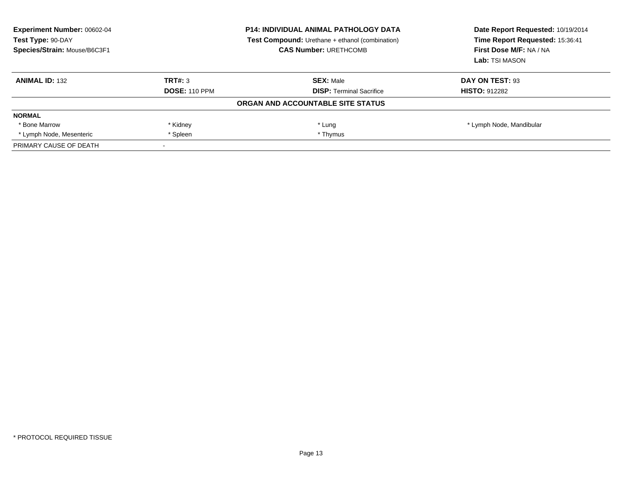| <b>Experiment Number: 00602-04</b><br>Test Type: 90-DAY<br>Species/Strain: Mouse/B6C3F1 | <b>P14: INDIVIDUAL ANIMAL PATHOLOGY DATA</b><br><b>Test Compound:</b> Urethane + ethanol (combination)<br><b>CAS Number: URETHCOMB</b> |                                   | Date Report Requested: 10/19/2014<br>Time Report Requested: 15:36:41<br>First Dose M/F: NA / NA<br>Lab: TSI MASON |
|-----------------------------------------------------------------------------------------|----------------------------------------------------------------------------------------------------------------------------------------|-----------------------------------|-------------------------------------------------------------------------------------------------------------------|
| <b>ANIMAL ID: 132</b>                                                                   | TRT#: 3                                                                                                                                | <b>SEX: Male</b>                  | DAY ON TEST: 93                                                                                                   |
|                                                                                         | <b>DOSE: 110 PPM</b>                                                                                                                   | <b>DISP:</b> Terminal Sacrifice   | <b>HISTO: 912282</b>                                                                                              |
|                                                                                         |                                                                                                                                        | ORGAN AND ACCOUNTABLE SITE STATUS |                                                                                                                   |
| <b>NORMAL</b>                                                                           |                                                                                                                                        |                                   |                                                                                                                   |
| * Bone Marrow                                                                           | * Kidney                                                                                                                               | * Lung                            | * Lymph Node, Mandibular                                                                                          |
| * Lymph Node, Mesenteric                                                                | * Spleen                                                                                                                               | * Thymus                          |                                                                                                                   |
| PRIMARY CAUSE OF DEATH                                                                  |                                                                                                                                        |                                   |                                                                                                                   |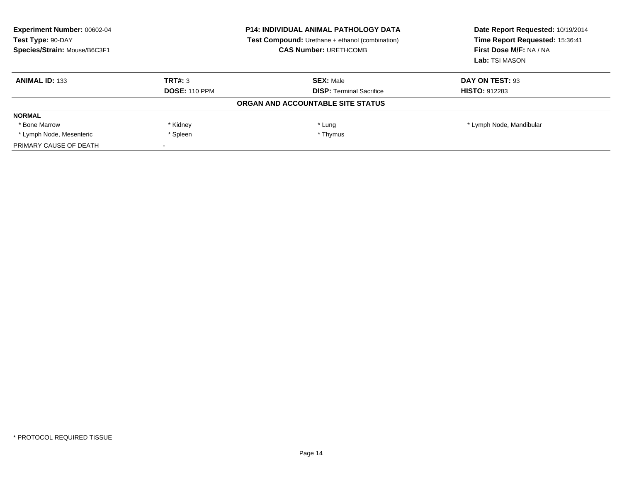| <b>Experiment Number: 00602-04</b><br>Test Type: 90-DAY<br>Species/Strain: Mouse/B6C3F1 |                      | <b>P14: INDIVIDUAL ANIMAL PATHOLOGY DATA</b><br><b>Test Compound:</b> Urethane + ethanol (combination)<br><b>CAS Number: URETHCOMB</b> | Date Report Requested: 10/19/2014<br>Time Report Requested: 15:36:41<br>First Dose M/F: NA / NA<br>Lab: TSI MASON |
|-----------------------------------------------------------------------------------------|----------------------|----------------------------------------------------------------------------------------------------------------------------------------|-------------------------------------------------------------------------------------------------------------------|
| <b>ANIMAL ID: 133</b>                                                                   | TRT#: 3              | <b>SEX: Male</b>                                                                                                                       | DAY ON TEST: 93                                                                                                   |
|                                                                                         | <b>DOSE: 110 PPM</b> | <b>DISP:</b> Terminal Sacrifice                                                                                                        | <b>HISTO: 912283</b>                                                                                              |
|                                                                                         |                      | ORGAN AND ACCOUNTABLE SITE STATUS                                                                                                      |                                                                                                                   |
| <b>NORMAL</b>                                                                           |                      |                                                                                                                                        |                                                                                                                   |
| * Bone Marrow                                                                           | * Kidney             | * Lung                                                                                                                                 | * Lymph Node, Mandibular                                                                                          |
| * Lymph Node, Mesenteric                                                                | * Spleen             | * Thymus                                                                                                                               |                                                                                                                   |
| PRIMARY CAUSE OF DEATH                                                                  |                      |                                                                                                                                        |                                                                                                                   |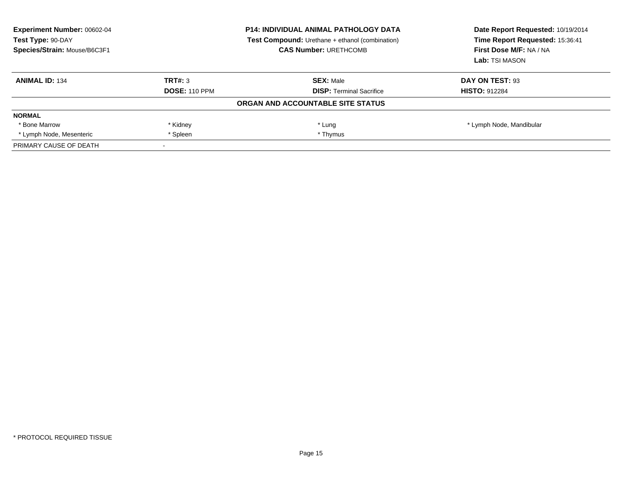| <b>Experiment Number: 00602-04</b><br>Test Type: 90-DAY<br>Species/Strain: Mouse/B6C3F1 |                      | <b>P14: INDIVIDUAL ANIMAL PATHOLOGY DATA</b><br><b>Test Compound:</b> Urethane + ethanol (combination)<br><b>CAS Number: URETHCOMB</b> | Date Report Requested: 10/19/2014<br>Time Report Requested: 15:36:41<br>First Dose M/F: NA / NA<br>Lab: TSI MASON |
|-----------------------------------------------------------------------------------------|----------------------|----------------------------------------------------------------------------------------------------------------------------------------|-------------------------------------------------------------------------------------------------------------------|
| <b>ANIMAL ID: 134</b>                                                                   | TRT#: 3              | <b>SEX: Male</b>                                                                                                                       | DAY ON TEST: 93                                                                                                   |
|                                                                                         | <b>DOSE: 110 PPM</b> | <b>DISP:</b> Terminal Sacrifice                                                                                                        | <b>HISTO: 912284</b>                                                                                              |
|                                                                                         |                      | <b>ORGAN AND ACCOUNTABLE SITE STATUS</b>                                                                                               |                                                                                                                   |
| <b>NORMAL</b>                                                                           |                      |                                                                                                                                        |                                                                                                                   |
| * Bone Marrow                                                                           | * Kidney             | * Lung                                                                                                                                 | * Lymph Node, Mandibular                                                                                          |
| * Lymph Node, Mesenteric                                                                | * Spleen             | * Thymus                                                                                                                               |                                                                                                                   |
| PRIMARY CAUSE OF DEATH                                                                  |                      |                                                                                                                                        |                                                                                                                   |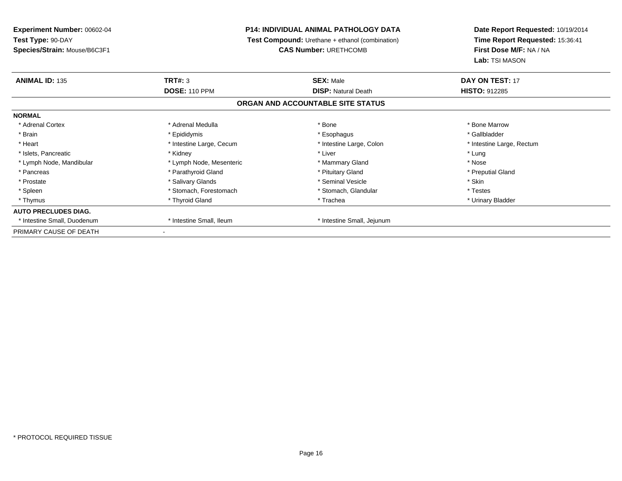## **P14: INDIVIDUAL ANIMAL PATHOLOGY DATA**

**Test Compound:** Urethane + ethanol (combination)

**CAS Number:** URETHCOMB

| <b>ANIMAL ID: 135</b>       | TRT#: 3                  | <b>SEX: Male</b>                  | DAY ON TEST: 17           |
|-----------------------------|--------------------------|-----------------------------------|---------------------------|
|                             | <b>DOSE: 110 PPM</b>     | <b>DISP: Natural Death</b>        | <b>HISTO: 912285</b>      |
|                             |                          | ORGAN AND ACCOUNTABLE SITE STATUS |                           |
| <b>NORMAL</b>               |                          |                                   |                           |
| * Adrenal Cortex            | * Adrenal Medulla        | * Bone                            | * Bone Marrow             |
| * Brain                     | * Epididymis             | * Esophagus                       | * Gallbladder             |
| * Heart                     | * Intestine Large, Cecum | * Intestine Large, Colon          | * Intestine Large, Rectum |
| * Islets, Pancreatic        | * Kidney                 | * Liver                           | * Lung                    |
| * Lymph Node, Mandibular    | * Lymph Node, Mesenteric | * Mammary Gland                   | * Nose                    |
| * Pancreas                  | * Parathyroid Gland      | * Pituitary Gland                 | * Preputial Gland         |
| * Prostate                  | * Salivary Glands        | * Seminal Vesicle                 | * Skin                    |
| * Spleen                    | * Stomach, Forestomach   | * Stomach, Glandular              | * Testes                  |
| * Thymus                    | * Thyroid Gland          | * Trachea                         | * Urinary Bladder         |
| <b>AUTO PRECLUDES DIAG.</b> |                          |                                   |                           |
| * Intestine Small, Duodenum | * Intestine Small, Ileum | * Intestine Small, Jejunum        |                           |
| PRIMARY CAUSE OF DEATH      |                          |                                   |                           |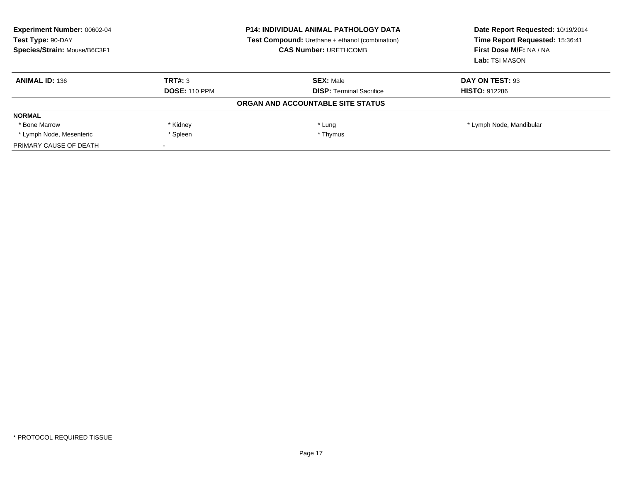| <b>Experiment Number: 00602-04</b><br>Test Type: 90-DAY<br>Species/Strain: Mouse/B6C3F1 |                      | <b>P14: INDIVIDUAL ANIMAL PATHOLOGY DATA</b><br><b>Test Compound:</b> Urethane + ethanol (combination)<br><b>CAS Number: URETHCOMB</b> | Date Report Requested: 10/19/2014<br>Time Report Requested: 15:36:41<br>First Dose M/F: NA / NA<br>Lab: TSI MASON |
|-----------------------------------------------------------------------------------------|----------------------|----------------------------------------------------------------------------------------------------------------------------------------|-------------------------------------------------------------------------------------------------------------------|
| <b>ANIMAL ID: 136</b>                                                                   | TRT#: 3              | <b>SEX: Male</b>                                                                                                                       | DAY ON TEST: 93                                                                                                   |
|                                                                                         | <b>DOSE: 110 PPM</b> | <b>DISP:</b> Terminal Sacrifice                                                                                                        | <b>HISTO: 912286</b>                                                                                              |
|                                                                                         |                      | ORGAN AND ACCOUNTABLE SITE STATUS                                                                                                      |                                                                                                                   |
| <b>NORMAL</b>                                                                           |                      |                                                                                                                                        |                                                                                                                   |
| * Bone Marrow                                                                           | * Kidney             | * Lung                                                                                                                                 | * Lymph Node, Mandibular                                                                                          |
| * Lymph Node, Mesenteric                                                                | * Spleen             | * Thymus                                                                                                                               |                                                                                                                   |
| PRIMARY CAUSE OF DEATH                                                                  |                      |                                                                                                                                        |                                                                                                                   |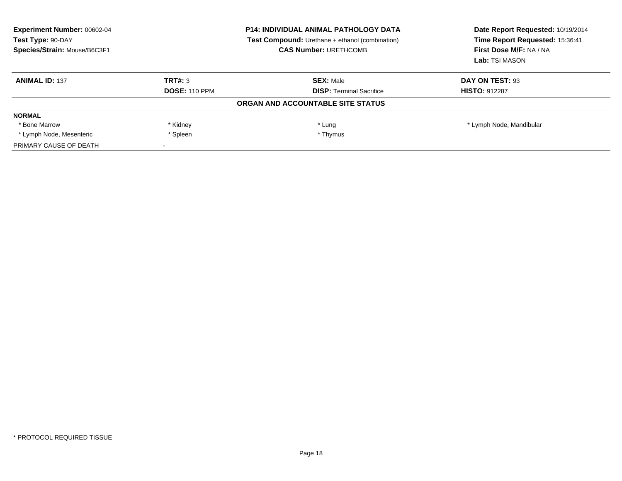| <b>Experiment Number: 00602-04</b><br>Test Type: 90-DAY<br>Species/Strain: Mouse/B6C3F1 |                      | <b>P14: INDIVIDUAL ANIMAL PATHOLOGY DATA</b><br><b>Test Compound:</b> Urethane + ethanol (combination)<br><b>CAS Number: URETHCOMB</b> | Date Report Requested: 10/19/2014<br>Time Report Requested: 15:36:41<br>First Dose M/F: NA / NA<br>Lab: TSI MASON |
|-----------------------------------------------------------------------------------------|----------------------|----------------------------------------------------------------------------------------------------------------------------------------|-------------------------------------------------------------------------------------------------------------------|
| <b>ANIMAL ID: 137</b>                                                                   | TRT#: 3              | <b>SEX:</b> Male                                                                                                                       | DAY ON TEST: 93                                                                                                   |
|                                                                                         | <b>DOSE: 110 PPM</b> | <b>DISP:</b> Terminal Sacrifice                                                                                                        | <b>HISTO: 912287</b>                                                                                              |
|                                                                                         |                      | ORGAN AND ACCOUNTABLE SITE STATUS                                                                                                      |                                                                                                                   |
| <b>NORMAL</b>                                                                           |                      |                                                                                                                                        |                                                                                                                   |
| * Bone Marrow                                                                           | * Kidney             | * Lung                                                                                                                                 | * Lymph Node, Mandibular                                                                                          |
| * Lymph Node, Mesenteric                                                                | * Spleen             | * Thymus                                                                                                                               |                                                                                                                   |
| PRIMARY CAUSE OF DEATH                                                                  |                      |                                                                                                                                        |                                                                                                                   |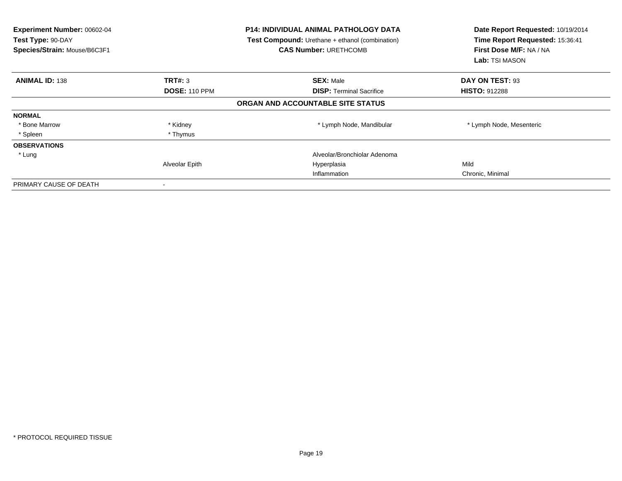| Experiment Number: 00602-04<br>Test Type: 90-DAY<br>Species/Strain: Mouse/B6C3F1 |                      | <b>P14: INDIVIDUAL ANIMAL PATHOLOGY DATA</b><br><b>Test Compound:</b> Urethane + ethanol (combination)<br><b>CAS Number: URETHCOMB</b> | Date Report Requested: 10/19/2014<br>Time Report Requested: 15:36:41<br>First Dose M/F: NA / NA<br>Lab: TSI MASON |
|----------------------------------------------------------------------------------|----------------------|----------------------------------------------------------------------------------------------------------------------------------------|-------------------------------------------------------------------------------------------------------------------|
| <b>ANIMAL ID: 138</b>                                                            | TRT#: 3              | <b>SEX: Male</b>                                                                                                                       | DAY ON TEST: 93                                                                                                   |
|                                                                                  | <b>DOSE: 110 PPM</b> | <b>DISP:</b> Terminal Sacrifice                                                                                                        | <b>HISTO: 912288</b>                                                                                              |
|                                                                                  |                      | ORGAN AND ACCOUNTABLE SITE STATUS                                                                                                      |                                                                                                                   |
| <b>NORMAL</b>                                                                    |                      |                                                                                                                                        |                                                                                                                   |
| * Bone Marrow                                                                    | * Kidney             | * Lymph Node, Mandibular                                                                                                               | * Lymph Node, Mesenteric                                                                                          |
| * Spleen                                                                         | * Thymus             |                                                                                                                                        |                                                                                                                   |
| <b>OBSERVATIONS</b>                                                              |                      |                                                                                                                                        |                                                                                                                   |
| * Lung                                                                           |                      | Alveolar/Bronchiolar Adenoma                                                                                                           |                                                                                                                   |
|                                                                                  | Alveolar Epith       | Hyperplasia                                                                                                                            | Mild                                                                                                              |
|                                                                                  |                      | Inflammation                                                                                                                           | Chronic, Minimal                                                                                                  |
| PRIMARY CAUSE OF DEATH                                                           |                      |                                                                                                                                        |                                                                                                                   |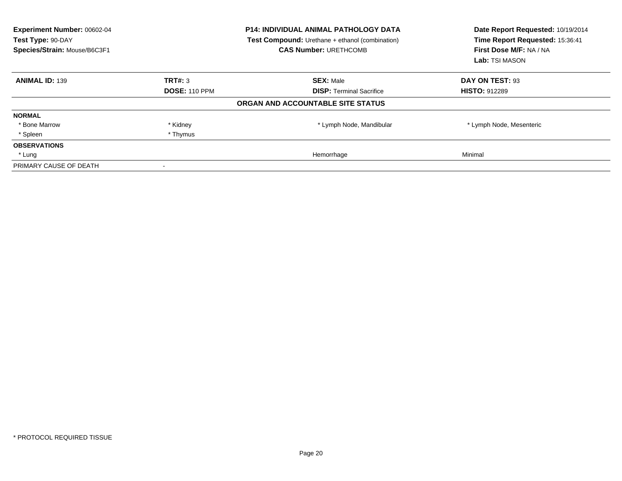| Experiment Number: 00602-04<br>Test Type: 90-DAY<br>Species/Strain: Mouse/B6C3F1 |                      | <b>P14: INDIVIDUAL ANIMAL PATHOLOGY DATA</b><br><b>Test Compound:</b> Urethane + ethanol (combination)<br><b>CAS Number: URETHCOMB</b> | Date Report Requested: 10/19/2014<br>Time Report Requested: 15:36:41<br>First Dose M/F: NA / NA<br>Lab: TSI MASON |
|----------------------------------------------------------------------------------|----------------------|----------------------------------------------------------------------------------------------------------------------------------------|-------------------------------------------------------------------------------------------------------------------|
| <b>ANIMAL ID: 139</b>                                                            | TRT#: 3              | <b>SEX: Male</b>                                                                                                                       | DAY ON TEST: 93                                                                                                   |
|                                                                                  | <b>DOSE: 110 PPM</b> | <b>DISP:</b> Terminal Sacrifice                                                                                                        | <b>HISTO: 912289</b>                                                                                              |
|                                                                                  |                      | ORGAN AND ACCOUNTABLE SITE STATUS                                                                                                      |                                                                                                                   |
| <b>NORMAL</b>                                                                    |                      |                                                                                                                                        |                                                                                                                   |
| * Bone Marrow                                                                    | * Kidney             | * Lymph Node, Mandibular                                                                                                               | * Lymph Node, Mesenteric                                                                                          |
| * Spleen                                                                         | * Thymus             |                                                                                                                                        |                                                                                                                   |
| <b>OBSERVATIONS</b>                                                              |                      |                                                                                                                                        |                                                                                                                   |
| * Lung                                                                           |                      | Hemorrhage                                                                                                                             | Minimal                                                                                                           |
| PRIMARY CAUSE OF DEATH                                                           |                      |                                                                                                                                        |                                                                                                                   |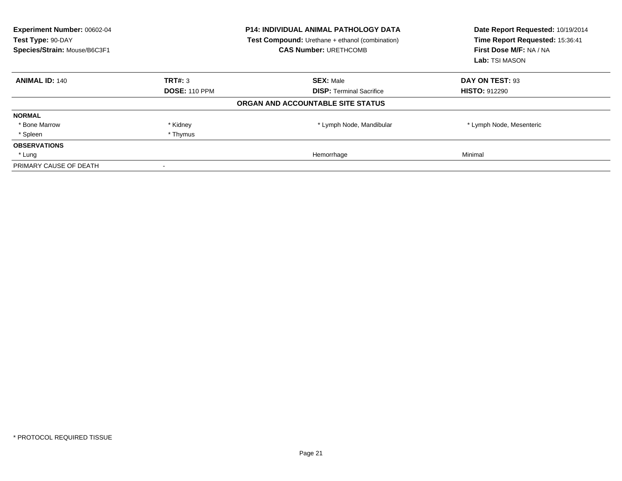| Experiment Number: 00602-04<br>Test Type: 90-DAY<br>Species/Strain: Mouse/B6C3F1 |                      | <b>P14: INDIVIDUAL ANIMAL PATHOLOGY DATA</b><br><b>Test Compound:</b> Urethane + ethanol (combination)<br><b>CAS Number: URETHCOMB</b> | Date Report Requested: 10/19/2014<br>Time Report Requested: 15:36:41<br>First Dose M/F: NA / NA<br>Lab: TSI MASON |
|----------------------------------------------------------------------------------|----------------------|----------------------------------------------------------------------------------------------------------------------------------------|-------------------------------------------------------------------------------------------------------------------|
| <b>ANIMAL ID: 140</b>                                                            | TRT#: 3              | <b>SEX: Male</b>                                                                                                                       | DAY ON TEST: 93                                                                                                   |
|                                                                                  | <b>DOSE: 110 PPM</b> | <b>DISP:</b> Terminal Sacrifice                                                                                                        | <b>HISTO: 912290</b>                                                                                              |
|                                                                                  |                      | ORGAN AND ACCOUNTABLE SITE STATUS                                                                                                      |                                                                                                                   |
| <b>NORMAL</b>                                                                    |                      |                                                                                                                                        |                                                                                                                   |
| * Bone Marrow                                                                    | * Kidney             | * Lymph Node, Mandibular                                                                                                               | * Lymph Node, Mesenteric                                                                                          |
| * Spleen                                                                         | * Thymus             |                                                                                                                                        |                                                                                                                   |
| <b>OBSERVATIONS</b>                                                              |                      |                                                                                                                                        |                                                                                                                   |
| * Lung                                                                           |                      | Hemorrhage                                                                                                                             | Minimal                                                                                                           |
| PRIMARY CAUSE OF DEATH                                                           |                      |                                                                                                                                        |                                                                                                                   |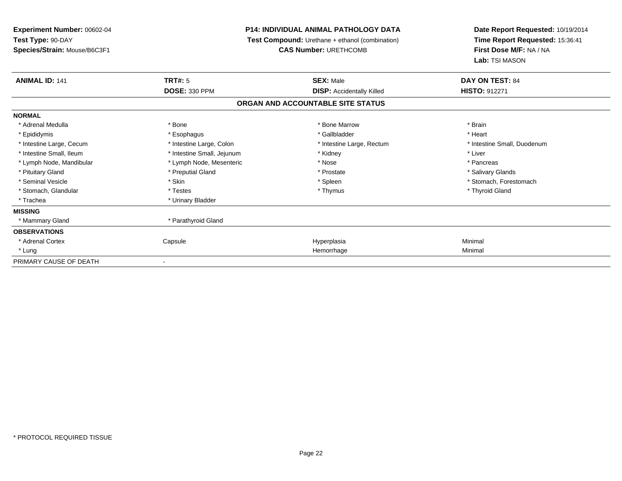**Experiment Number:** 00602-04**Test Type:** 90-DAY **Species/Strain:** Mouse/B6C3F1**P14: INDIVIDUAL ANIMAL PATHOLOGY DATA Test Compound:** Urethane + ethanol (combination)**CAS Number:** URETHCOMB**Date Report Requested:** 10/19/2014**Time Report Requested:** 15:36:41**First Dose M/F:** NA / NA**Lab:** TSI MASON**ANIMAL ID:** 141**TRT#:** 5 **SEX:** Male **DAY ON TEST:** 84 **DOSE:** 330 PPM**DISP:** Accidentally Killed **HISTO:** 912271 **ORGAN AND ACCOUNTABLE SITE STATUSNORMAL**\* Adrenal Medulla \* \* Annual Medulla \* Brain \* Bone \* \* Bone Marrow \* Bone Marrow \* \* Brain \* Brain \* Brain \* Brain \* Brain \* Brain \* Brain \* Brain \* Brain \* Brain \* Brain \* Brain \* Brain \* Brain \* Brain \* Brain \* Brain \* \* Heart \* Epididymis \* Esophagus \* Gallbladder \* Heart\* Intestine Large, Cecum \* Intestine Large, Colon \* Intestine Large, Rectum \* Intestine Small, Duodenum \* Intestine Small, Ileum \* Intestine Small, Jejunum \* Kidney \* Liver\* Lymph Node, Mandibular \* The state of the Mose \* Pancreas \* Pancreas \* Pancreas \* Pancreas \* Pancreas \* Pancreas \* Salivary Glands \* Pituitary Gland \* \* Then the state \* Preputial Gland \* Prosection \* Prostate \* \* Salivary Glands \* Salivary Glands \* Salivary Glands \* Salivary Glands \* Salivary Glands \* Salivary Glands \* Salivary Glands \* Salivary Glan \* Seminal Vesicle \* The state of the set of the set of the set of the set of the set of the set of the set of the set of the set of the set of the set of the set of the set of the set of the set of the set of the set of th \* Stomach, Glandular \* Thyroid Gland \* Testes \* Thyroid Gland \* Thymus \* Thymus \* Thymus \* Thyroid Gland \* Thyroid Gland \* Trachea \* Urinary Bladder**MISSING**\* Mammary Gland \* Parathyroid Gland **OBSERVATIONS** \* Adrenal Cortex Capsule Hyperplasia Minimal \* Lungg and the state of the state of the state of the state of the state of the state of the state of the state of the state of the state of the state of the state of the state of the state of the state of the state of the stat PRIMARY CAUSE OF DEATH-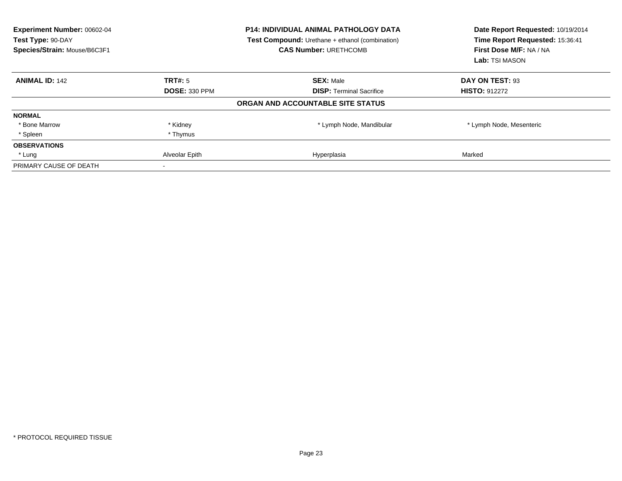| Experiment Number: 00602-04<br>Test Type: 90-DAY<br>Species/Strain: Mouse/B6C3F1 |                      | <b>P14: INDIVIDUAL ANIMAL PATHOLOGY DATA</b><br>Test Compound: Urethane + ethanol (combination)<br><b>CAS Number: URETHCOMB</b> | Date Report Requested: 10/19/2014<br>Time Report Requested: 15:36:41<br>First Dose M/F: NA / NA<br>Lab: TSI MASON |
|----------------------------------------------------------------------------------|----------------------|---------------------------------------------------------------------------------------------------------------------------------|-------------------------------------------------------------------------------------------------------------------|
| <b>ANIMAL ID: 142</b>                                                            | TRT#: 5              | <b>SEX: Male</b>                                                                                                                | DAY ON TEST: 93                                                                                                   |
|                                                                                  | <b>DOSE: 330 PPM</b> | <b>DISP:</b> Terminal Sacrifice                                                                                                 | <b>HISTO: 912272</b>                                                                                              |
|                                                                                  |                      | ORGAN AND ACCOUNTABLE SITE STATUS                                                                                               |                                                                                                                   |
| <b>NORMAL</b>                                                                    |                      |                                                                                                                                 |                                                                                                                   |
| * Bone Marrow                                                                    | * Kidney             | * Lymph Node, Mandibular                                                                                                        | * Lymph Node, Mesenteric                                                                                          |
| * Spleen                                                                         | * Thymus             |                                                                                                                                 |                                                                                                                   |
| <b>OBSERVATIONS</b>                                                              |                      |                                                                                                                                 |                                                                                                                   |
| * Lung                                                                           | Alveolar Epith       | Hyperplasia                                                                                                                     | Marked                                                                                                            |
| PRIMARY CAUSE OF DEATH                                                           |                      |                                                                                                                                 |                                                                                                                   |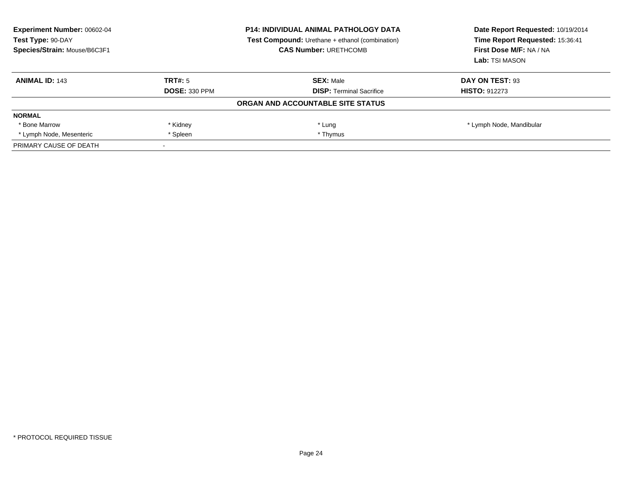| Experiment Number: 00602-04<br>Test Type: 90-DAY<br>Species/Strain: Mouse/B6C3F1 |                      | <b>P14: INDIVIDUAL ANIMAL PATHOLOGY DATA</b><br><b>Test Compound:</b> Urethane + ethanol (combination)<br><b>CAS Number: URETHCOMB</b> | Date Report Requested: 10/19/2014<br>Time Report Requested: 15:36:41<br>First Dose M/F: NA / NA<br>Lab: TSI MASON |
|----------------------------------------------------------------------------------|----------------------|----------------------------------------------------------------------------------------------------------------------------------------|-------------------------------------------------------------------------------------------------------------------|
| <b>ANIMAL ID: 143</b>                                                            | TRT#: 5              | <b>SEX: Male</b>                                                                                                                       | DAY ON TEST: 93                                                                                                   |
|                                                                                  | <b>DOSE: 330 PPM</b> | <b>DISP:</b> Terminal Sacrifice                                                                                                        | <b>HISTO: 912273</b>                                                                                              |
|                                                                                  |                      | ORGAN AND ACCOUNTABLE SITE STATUS                                                                                                      |                                                                                                                   |
| <b>NORMAL</b>                                                                    |                      |                                                                                                                                        |                                                                                                                   |
| * Bone Marrow                                                                    | * Kidney             | * Lung                                                                                                                                 | * Lymph Node, Mandibular                                                                                          |
| * Lymph Node, Mesenteric                                                         | * Spleen             | * Thymus                                                                                                                               |                                                                                                                   |
| PRIMARY CAUSE OF DEATH                                                           |                      |                                                                                                                                        |                                                                                                                   |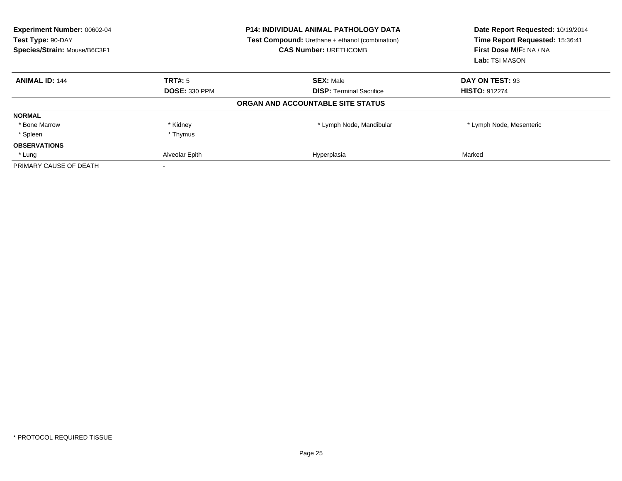| Experiment Number: 00602-04<br>Test Type: 90-DAY<br>Species/Strain: Mouse/B6C3F1 |                      | <b>P14: INDIVIDUAL ANIMAL PATHOLOGY DATA</b><br><b>Test Compound:</b> Urethane + ethanol (combination)<br><b>CAS Number: URETHCOMB</b> | Date Report Requested: 10/19/2014<br>Time Report Requested: 15:36:41<br>First Dose M/F: NA / NA<br>Lab: TSI MASON |
|----------------------------------------------------------------------------------|----------------------|----------------------------------------------------------------------------------------------------------------------------------------|-------------------------------------------------------------------------------------------------------------------|
| <b>ANIMAL ID: 144</b>                                                            | TRT#: 5              | <b>SEX: Male</b>                                                                                                                       | DAY ON TEST: 93                                                                                                   |
|                                                                                  | <b>DOSE: 330 PPM</b> | <b>DISP: Terminal Sacrifice</b>                                                                                                        | <b>HISTO: 912274</b>                                                                                              |
|                                                                                  |                      | ORGAN AND ACCOUNTABLE SITE STATUS                                                                                                      |                                                                                                                   |
| <b>NORMAL</b>                                                                    |                      |                                                                                                                                        |                                                                                                                   |
| * Bone Marrow                                                                    | * Kidney             | * Lymph Node, Mandibular                                                                                                               | * Lymph Node, Mesenteric                                                                                          |
| * Spleen                                                                         | * Thymus             |                                                                                                                                        |                                                                                                                   |
| <b>OBSERVATIONS</b>                                                              |                      |                                                                                                                                        |                                                                                                                   |
| * Lung                                                                           | Alveolar Epith       | Hyperplasia                                                                                                                            | Marked                                                                                                            |
| PRIMARY CAUSE OF DEATH                                                           |                      |                                                                                                                                        |                                                                                                                   |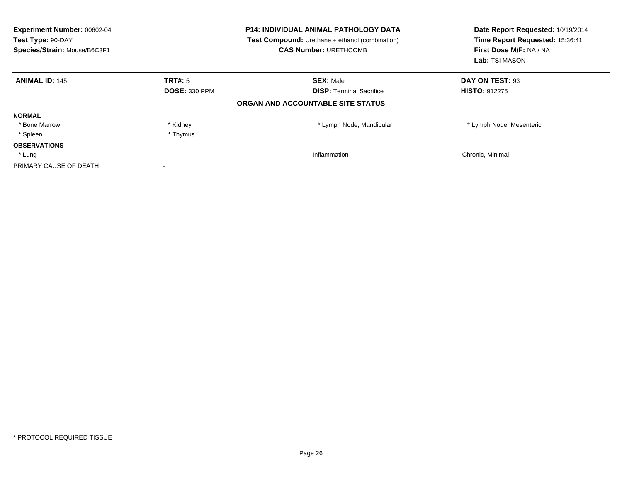| Experiment Number: 00602-04<br>Test Type: 90-DAY<br>Species/Strain: Mouse/B6C3F1 |                      | <b>P14: INDIVIDUAL ANIMAL PATHOLOGY DATA</b><br><b>Test Compound:</b> Urethane + ethanol (combination)<br><b>CAS Number: URETHCOMB</b> | Date Report Requested: 10/19/2014<br>Time Report Requested: 15:36:41<br>First Dose M/F: NA / NA<br>Lab: TSI MASON |
|----------------------------------------------------------------------------------|----------------------|----------------------------------------------------------------------------------------------------------------------------------------|-------------------------------------------------------------------------------------------------------------------|
| <b>ANIMAL ID: 145</b>                                                            | TRT#: 5              | <b>SEX: Male</b>                                                                                                                       | DAY ON TEST: 93                                                                                                   |
|                                                                                  | <b>DOSE: 330 PPM</b> | <b>DISP:</b> Terminal Sacrifice                                                                                                        | <b>HISTO: 912275</b>                                                                                              |
|                                                                                  |                      | ORGAN AND ACCOUNTABLE SITE STATUS                                                                                                      |                                                                                                                   |
| <b>NORMAL</b>                                                                    |                      |                                                                                                                                        |                                                                                                                   |
| * Bone Marrow                                                                    | * Kidney             | * Lymph Node, Mandibular                                                                                                               | * Lymph Node, Mesenteric                                                                                          |
| * Spleen                                                                         | * Thymus             |                                                                                                                                        |                                                                                                                   |
| <b>OBSERVATIONS</b>                                                              |                      |                                                                                                                                        |                                                                                                                   |
| * Lung                                                                           |                      | Inflammation                                                                                                                           | Chronic, Minimal                                                                                                  |
| PRIMARY CAUSE OF DEATH                                                           |                      |                                                                                                                                        |                                                                                                                   |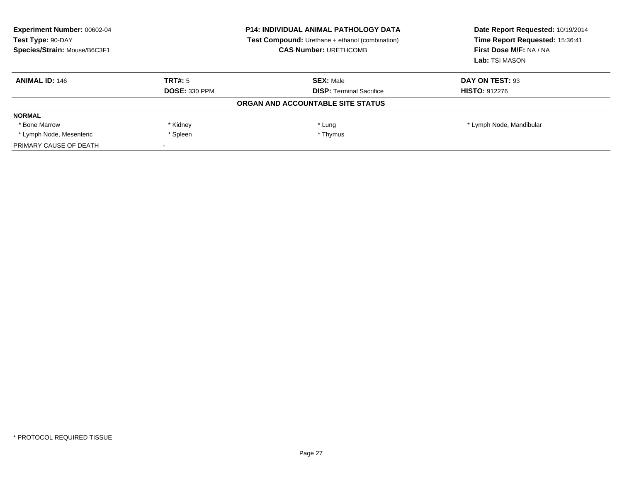| Experiment Number: 00602-04<br>Test Type: 90-DAY<br>Species/Strain: Mouse/B6C3F1 | <b>P14: INDIVIDUAL ANIMAL PATHOLOGY DATA</b><br><b>Test Compound:</b> Urethane + ethanol (combination)<br><b>CAS Number: URETHCOMB</b> |                                   | Date Report Requested: 10/19/2014<br>Time Report Requested: 15:36:41<br>First Dose M/F: NA / NA<br>Lab: TSI MASON |
|----------------------------------------------------------------------------------|----------------------------------------------------------------------------------------------------------------------------------------|-----------------------------------|-------------------------------------------------------------------------------------------------------------------|
| <b>ANIMAL ID: 146</b>                                                            | TRT#: 5                                                                                                                                | <b>SEX: Male</b>                  | DAY ON TEST: 93                                                                                                   |
|                                                                                  | <b>DOSE: 330 PPM</b>                                                                                                                   | <b>DISP:</b> Terminal Sacrifice   | <b>HISTO: 912276</b>                                                                                              |
|                                                                                  |                                                                                                                                        | ORGAN AND ACCOUNTABLE SITE STATUS |                                                                                                                   |
| <b>NORMAL</b>                                                                    |                                                                                                                                        |                                   |                                                                                                                   |
| * Bone Marrow                                                                    | * Kidney                                                                                                                               | * Lung                            | * Lymph Node, Mandibular                                                                                          |
| * Lymph Node, Mesenteric                                                         | * Spleen                                                                                                                               | * Thymus                          |                                                                                                                   |
| PRIMARY CAUSE OF DEATH                                                           |                                                                                                                                        |                                   |                                                                                                                   |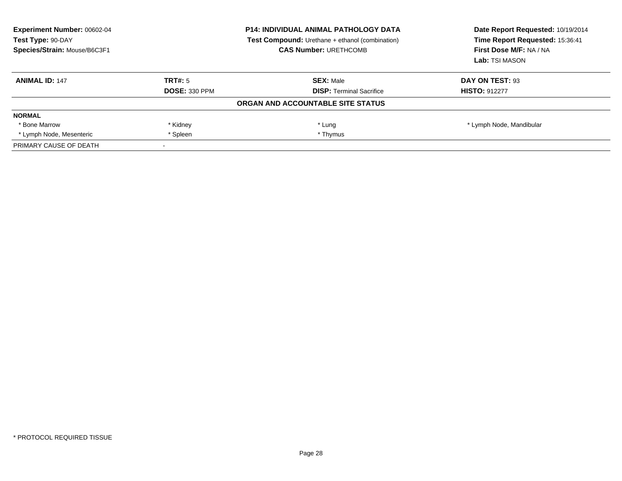| Experiment Number: 00602-04<br>Test Type: 90-DAY<br>Species/Strain: Mouse/B6C3F1 | <b>P14: INDIVIDUAL ANIMAL PATHOLOGY DATA</b><br><b>Test Compound:</b> Urethane + ethanol (combination)<br><b>CAS Number: URETHCOMB</b> |                                   | Date Report Requested: 10/19/2014<br>Time Report Requested: 15:36:41<br>First Dose M/F: NA / NA<br>Lab: TSI MASON |
|----------------------------------------------------------------------------------|----------------------------------------------------------------------------------------------------------------------------------------|-----------------------------------|-------------------------------------------------------------------------------------------------------------------|
| <b>ANIMAL ID: 147</b>                                                            | TRT#: 5                                                                                                                                | <b>SEX: Male</b>                  | DAY ON TEST: 93                                                                                                   |
|                                                                                  | <b>DOSE: 330 PPM</b>                                                                                                                   | <b>DISP:</b> Terminal Sacrifice   | <b>HISTO: 912277</b>                                                                                              |
|                                                                                  |                                                                                                                                        | ORGAN AND ACCOUNTABLE SITE STATUS |                                                                                                                   |
| <b>NORMAL</b>                                                                    |                                                                                                                                        |                                   |                                                                                                                   |
| * Bone Marrow                                                                    | * Kidney                                                                                                                               | * Lung                            | * Lymph Node, Mandibular                                                                                          |
| * Lymph Node, Mesenteric                                                         | * Spleen                                                                                                                               | * Thymus                          |                                                                                                                   |
| PRIMARY CAUSE OF DEATH                                                           |                                                                                                                                        |                                   |                                                                                                                   |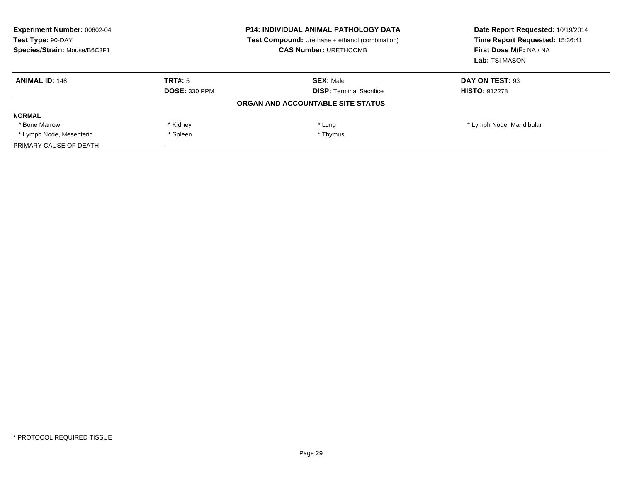| Experiment Number: 00602-04<br>Test Type: 90-DAY<br>Species/Strain: Mouse/B6C3F1 | <b>P14: INDIVIDUAL ANIMAL PATHOLOGY DATA</b><br><b>Test Compound:</b> Urethane + ethanol (combination)<br><b>CAS Number: URETHCOMB</b> |                                   | Date Report Requested: 10/19/2014<br>Time Report Requested: 15:36:41<br>First Dose M/F: NA / NA<br>Lab: TSI MASON |
|----------------------------------------------------------------------------------|----------------------------------------------------------------------------------------------------------------------------------------|-----------------------------------|-------------------------------------------------------------------------------------------------------------------|
| <b>ANIMAL ID: 148</b>                                                            | TRT#: 5                                                                                                                                | <b>SEX: Male</b>                  | DAY ON TEST: 93                                                                                                   |
|                                                                                  | <b>DOSE: 330 PPM</b>                                                                                                                   | <b>DISP:</b> Terminal Sacrifice   | <b>HISTO: 912278</b>                                                                                              |
|                                                                                  |                                                                                                                                        | ORGAN AND ACCOUNTABLE SITE STATUS |                                                                                                                   |
| <b>NORMAL</b>                                                                    |                                                                                                                                        |                                   |                                                                                                                   |
| * Bone Marrow                                                                    | * Kidney                                                                                                                               | * Lung                            | * Lymph Node, Mandibular                                                                                          |
| * Lymph Node, Mesenteric                                                         | * Spleen                                                                                                                               | * Thymus                          |                                                                                                                   |
| PRIMARY CAUSE OF DEATH                                                           |                                                                                                                                        |                                   |                                                                                                                   |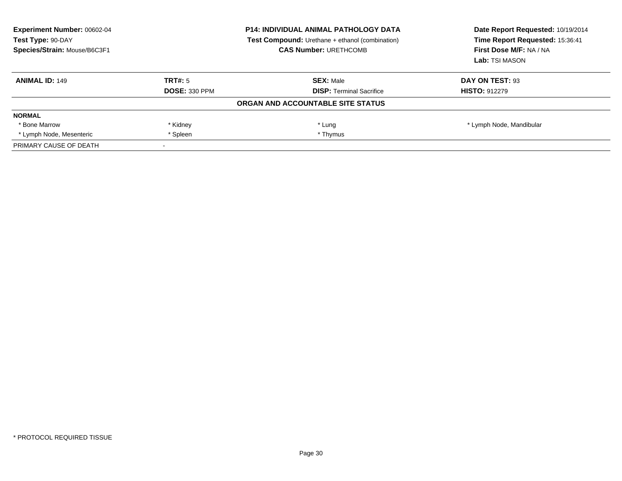| <b>Experiment Number: 00602-04</b><br>Test Type: 90-DAY<br>Species/Strain: Mouse/B6C3F1 | <b>P14: INDIVIDUAL ANIMAL PATHOLOGY DATA</b><br><b>Test Compound:</b> Urethane + ethanol (combination)<br><b>CAS Number: URETHCOMB</b> |                                   | Date Report Requested: 10/19/2014<br>Time Report Requested: 15:36:41<br>First Dose M/F: NA / NA<br>Lab: TSI MASON |
|-----------------------------------------------------------------------------------------|----------------------------------------------------------------------------------------------------------------------------------------|-----------------------------------|-------------------------------------------------------------------------------------------------------------------|
| <b>ANIMAL ID: 149</b>                                                                   | TRT#: 5                                                                                                                                | <b>SEX: Male</b>                  | DAY ON TEST: 93                                                                                                   |
|                                                                                         | <b>DOSE: 330 PPM</b>                                                                                                                   | <b>DISP:</b> Terminal Sacrifice   | <b>HISTO: 912279</b>                                                                                              |
|                                                                                         |                                                                                                                                        | ORGAN AND ACCOUNTABLE SITE STATUS |                                                                                                                   |
| <b>NORMAL</b>                                                                           |                                                                                                                                        |                                   |                                                                                                                   |
| * Bone Marrow                                                                           | * Kidney                                                                                                                               | * Lung                            | * Lymph Node, Mandibular                                                                                          |
| * Lymph Node, Mesenteric                                                                | * Spleen                                                                                                                               | * Thymus                          |                                                                                                                   |
| PRIMARY CAUSE OF DEATH                                                                  |                                                                                                                                        |                                   |                                                                                                                   |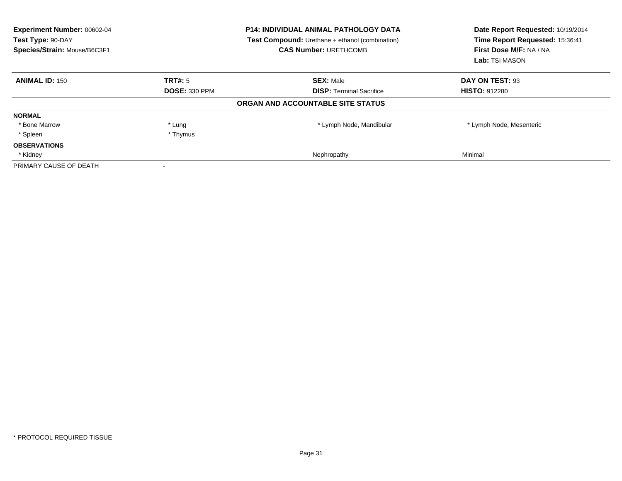| Experiment Number: 00602-04<br>Test Type: 90-DAY<br>Species/Strain: Mouse/B6C3F1 | <b>P14: INDIVIDUAL ANIMAL PATHOLOGY DATA</b><br><b>Test Compound:</b> Urethane + ethanol (combination)<br><b>CAS Number: URETHCOMB</b> |                                   | Date Report Requested: 10/19/2014<br>Time Report Requested: 15:36:41<br>First Dose M/F: NA / NA<br>Lab: TSI MASON |
|----------------------------------------------------------------------------------|----------------------------------------------------------------------------------------------------------------------------------------|-----------------------------------|-------------------------------------------------------------------------------------------------------------------|
| <b>ANIMAL ID: 150</b>                                                            | TRT#: 5                                                                                                                                | <b>SEX: Male</b>                  | DAY ON TEST: 93                                                                                                   |
|                                                                                  | <b>DOSE: 330 PPM</b>                                                                                                                   | <b>DISP:</b> Terminal Sacrifice   | <b>HISTO: 912280</b>                                                                                              |
|                                                                                  |                                                                                                                                        | ORGAN AND ACCOUNTABLE SITE STATUS |                                                                                                                   |
| <b>NORMAL</b>                                                                    |                                                                                                                                        |                                   |                                                                                                                   |
| * Bone Marrow                                                                    | * Lung                                                                                                                                 | * Lymph Node, Mandibular          | * Lymph Node, Mesenteric                                                                                          |
| * Spleen                                                                         | * Thymus                                                                                                                               |                                   |                                                                                                                   |
| <b>OBSERVATIONS</b>                                                              |                                                                                                                                        |                                   |                                                                                                                   |
| * Kidney                                                                         |                                                                                                                                        | Nephropathy                       | Minimal                                                                                                           |
| PRIMARY CAUSE OF DEATH                                                           |                                                                                                                                        |                                   |                                                                                                                   |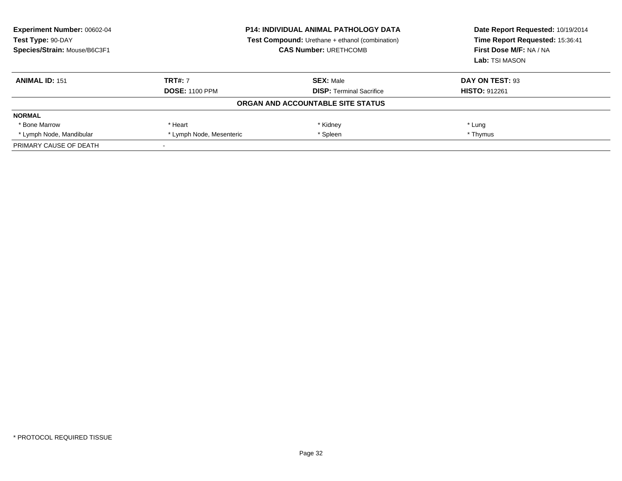| <b>Experiment Number: 00602-04</b><br>Test Type: 90-DAY<br>Species/Strain: Mouse/B6C3F1 | <b>P14: INDIVIDUAL ANIMAL PATHOLOGY DATA</b><br><b>Test Compound:</b> Urethane + ethanol (combination)<br><b>CAS Number: URETHCOMB</b> |                                   | Date Report Requested: 10/19/2014<br>Time Report Requested: 15:36:41<br>First Dose M/F: NA / NA<br>Lab: TSI MASON |
|-----------------------------------------------------------------------------------------|----------------------------------------------------------------------------------------------------------------------------------------|-----------------------------------|-------------------------------------------------------------------------------------------------------------------|
| <b>ANIMAL ID: 151</b>                                                                   | <b>TRT#: 7</b>                                                                                                                         | <b>SEX: Male</b>                  | DAY ON TEST: 93                                                                                                   |
|                                                                                         | <b>DOSE: 1100 PPM</b>                                                                                                                  | <b>DISP:</b> Terminal Sacrifice   | <b>HISTO: 912261</b>                                                                                              |
|                                                                                         |                                                                                                                                        | ORGAN AND ACCOUNTABLE SITE STATUS |                                                                                                                   |
| <b>NORMAL</b>                                                                           |                                                                                                                                        |                                   |                                                                                                                   |
| * Bone Marrow                                                                           | * Heart                                                                                                                                | * Kidney                          | * Lung                                                                                                            |
| * Lymph Node, Mandibular                                                                | * Lymph Node, Mesenteric                                                                                                               | * Spleen                          | * Thymus                                                                                                          |
| PRIMARY CAUSE OF DEATH                                                                  |                                                                                                                                        |                                   |                                                                                                                   |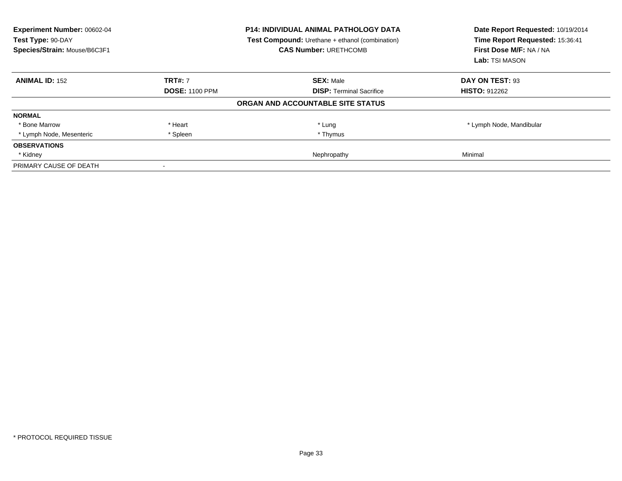| Experiment Number: 00602-04<br>Test Type: 90-DAY<br>Species/Strain: Mouse/B6C3F1 | <b>P14: INDIVIDUAL ANIMAL PATHOLOGY DATA</b><br><b>Test Compound:</b> Urethane + ethanol (combination)<br><b>CAS Number: URETHCOMB</b> |                                   | Date Report Requested: 10/19/2014<br>Time Report Requested: 15:36:41<br>First Dose M/F: NA / NA<br>Lab: TSI MASON |
|----------------------------------------------------------------------------------|----------------------------------------------------------------------------------------------------------------------------------------|-----------------------------------|-------------------------------------------------------------------------------------------------------------------|
| <b>ANIMAL ID: 152</b>                                                            | <b>TRT#: 7</b>                                                                                                                         | <b>SEX: Male</b>                  | DAY ON TEST: 93                                                                                                   |
|                                                                                  | <b>DOSE: 1100 PPM</b>                                                                                                                  | <b>DISP:</b> Terminal Sacrifice   | <b>HISTO: 912262</b>                                                                                              |
|                                                                                  |                                                                                                                                        | ORGAN AND ACCOUNTABLE SITE STATUS |                                                                                                                   |
| <b>NORMAL</b>                                                                    |                                                                                                                                        |                                   |                                                                                                                   |
| * Bone Marrow                                                                    | * Heart                                                                                                                                | * Lung                            | * Lymph Node, Mandibular                                                                                          |
| * Lymph Node, Mesenteric                                                         | * Spleen                                                                                                                               | * Thymus                          |                                                                                                                   |
| <b>OBSERVATIONS</b>                                                              |                                                                                                                                        |                                   |                                                                                                                   |
| * Kidney                                                                         |                                                                                                                                        | Nephropathy                       | Minimal                                                                                                           |
| PRIMARY CAUSE OF DEATH                                                           |                                                                                                                                        |                                   |                                                                                                                   |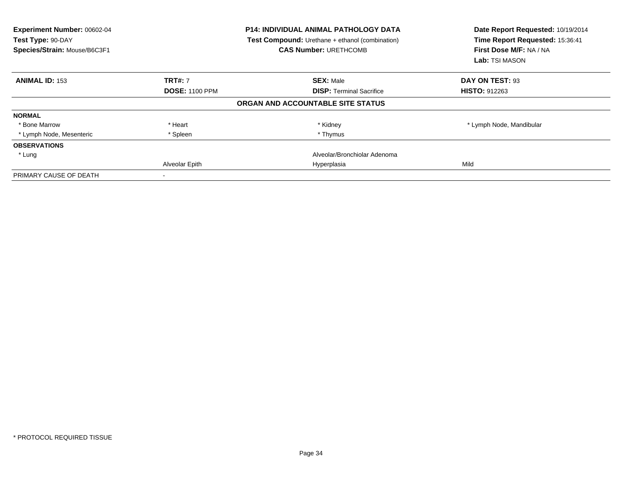| Experiment Number: 00602-04<br>Test Type: 90-DAY<br>Species/Strain: Mouse/B6C3F1 |                       | <b>P14: INDIVIDUAL ANIMAL PATHOLOGY DATA</b><br><b>Test Compound:</b> Urethane + ethanol (combination)<br><b>CAS Number: URETHCOMB</b> | Date Report Requested: 10/19/2014<br>Time Report Requested: 15:36:41<br>First Dose M/F: NA / NA<br>Lab: TSI MASON |
|----------------------------------------------------------------------------------|-----------------------|----------------------------------------------------------------------------------------------------------------------------------------|-------------------------------------------------------------------------------------------------------------------|
| <b>ANIMAL ID: 153</b>                                                            | <b>TRT#: 7</b>        | <b>SEX: Male</b>                                                                                                                       | DAY ON TEST: 93                                                                                                   |
|                                                                                  | <b>DOSE: 1100 PPM</b> | <b>DISP:</b> Terminal Sacrifice                                                                                                        | <b>HISTO: 912263</b>                                                                                              |
|                                                                                  |                       | ORGAN AND ACCOUNTABLE SITE STATUS                                                                                                      |                                                                                                                   |
| <b>NORMAL</b>                                                                    |                       |                                                                                                                                        |                                                                                                                   |
| * Bone Marrow                                                                    | * Heart               | * Kidney                                                                                                                               | * Lymph Node, Mandibular                                                                                          |
| * Lymph Node, Mesenteric                                                         | * Spleen              | * Thymus                                                                                                                               |                                                                                                                   |
| <b>OBSERVATIONS</b>                                                              |                       |                                                                                                                                        |                                                                                                                   |
| * Lung                                                                           |                       | Alveolar/Bronchiolar Adenoma                                                                                                           |                                                                                                                   |
|                                                                                  | Alveolar Epith        | Hyperplasia                                                                                                                            | Mild                                                                                                              |
| PRIMARY CAUSE OF DEATH                                                           |                       |                                                                                                                                        |                                                                                                                   |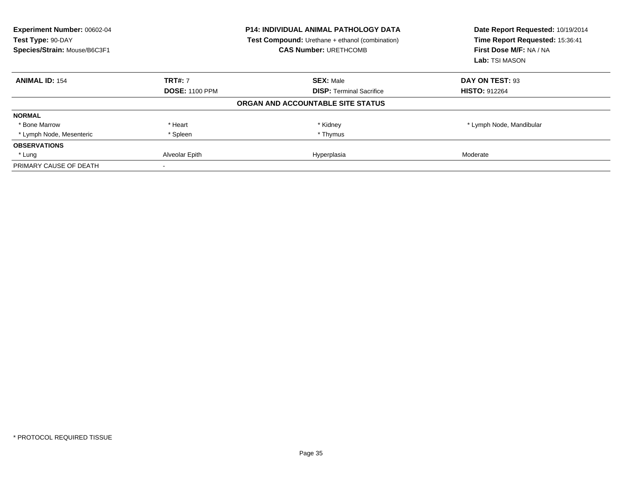| Experiment Number: 00602-04<br>Test Type: 90-DAY<br>Species/Strain: Mouse/B6C3F1 | <b>P14: INDIVIDUAL ANIMAL PATHOLOGY DATA</b><br>Test Compound: Urethane + ethanol (combination)<br><b>CAS Number: URETHCOMB</b> |                                   | Date Report Requested: 10/19/2014<br>Time Report Requested: 15:36:41<br>First Dose M/F: NA / NA<br>Lab: TSI MASON |  |
|----------------------------------------------------------------------------------|---------------------------------------------------------------------------------------------------------------------------------|-----------------------------------|-------------------------------------------------------------------------------------------------------------------|--|
| <b>ANIMAL ID: 154</b>                                                            | <b>TRT#: 7</b>                                                                                                                  | <b>SEX: Male</b>                  | DAY ON TEST: 93                                                                                                   |  |
|                                                                                  | <b>DOSE: 1100 PPM</b>                                                                                                           | <b>DISP: Terminal Sacrifice</b>   | <b>HISTO: 912264</b>                                                                                              |  |
|                                                                                  |                                                                                                                                 | ORGAN AND ACCOUNTABLE SITE STATUS |                                                                                                                   |  |
| <b>NORMAL</b>                                                                    |                                                                                                                                 |                                   |                                                                                                                   |  |
| * Bone Marrow                                                                    | * Heart                                                                                                                         | * Kidney                          | * Lymph Node, Mandibular                                                                                          |  |
| * Lymph Node, Mesenteric                                                         | * Spleen                                                                                                                        | * Thymus                          |                                                                                                                   |  |
| <b>OBSERVATIONS</b>                                                              |                                                                                                                                 |                                   |                                                                                                                   |  |
| * Lung                                                                           | Alveolar Epith                                                                                                                  | Hyperplasia                       | Moderate                                                                                                          |  |
| PRIMARY CAUSE OF DEATH                                                           |                                                                                                                                 |                                   |                                                                                                                   |  |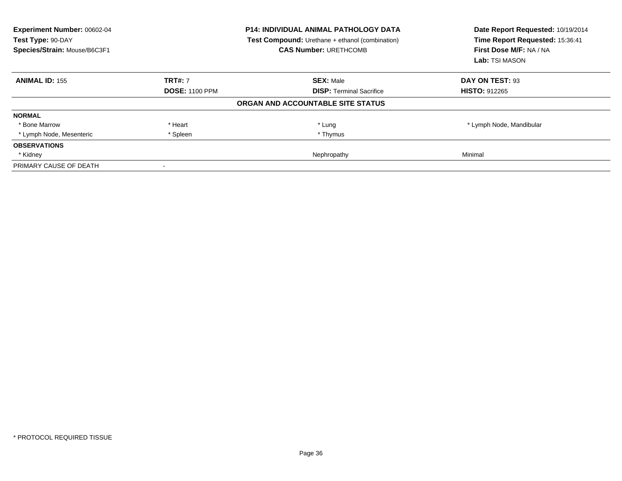| Experiment Number: 00602-04<br>Test Type: 90-DAY<br>Species/Strain: Mouse/B6C3F1 | <b>P14: INDIVIDUAL ANIMAL PATHOLOGY DATA</b><br><b>Test Compound:</b> Urethane + ethanol (combination)<br><b>CAS Number: URETHCOMB</b> |                                   | Date Report Requested: 10/19/2014<br>Time Report Requested: 15:36:41<br>First Dose M/F: NA / NA<br>Lab: TSI MASON |
|----------------------------------------------------------------------------------|----------------------------------------------------------------------------------------------------------------------------------------|-----------------------------------|-------------------------------------------------------------------------------------------------------------------|
| <b>ANIMAL ID: 155</b>                                                            | <b>TRT#: 7</b>                                                                                                                         | <b>SEX: Male</b>                  | DAY ON TEST: 93                                                                                                   |
|                                                                                  | <b>DOSE: 1100 PPM</b>                                                                                                                  | <b>DISP:</b> Terminal Sacrifice   | <b>HISTO: 912265</b>                                                                                              |
|                                                                                  |                                                                                                                                        | ORGAN AND ACCOUNTABLE SITE STATUS |                                                                                                                   |
| <b>NORMAL</b>                                                                    |                                                                                                                                        |                                   |                                                                                                                   |
| * Bone Marrow                                                                    | * Heart                                                                                                                                | * Lung                            | * Lymph Node, Mandibular                                                                                          |
| * Lymph Node, Mesenteric                                                         | * Spleen                                                                                                                               | * Thymus                          |                                                                                                                   |
| <b>OBSERVATIONS</b>                                                              |                                                                                                                                        |                                   |                                                                                                                   |
| * Kidney                                                                         |                                                                                                                                        | Nephropathy                       | Minimal                                                                                                           |
| PRIMARY CAUSE OF DEATH                                                           |                                                                                                                                        |                                   |                                                                                                                   |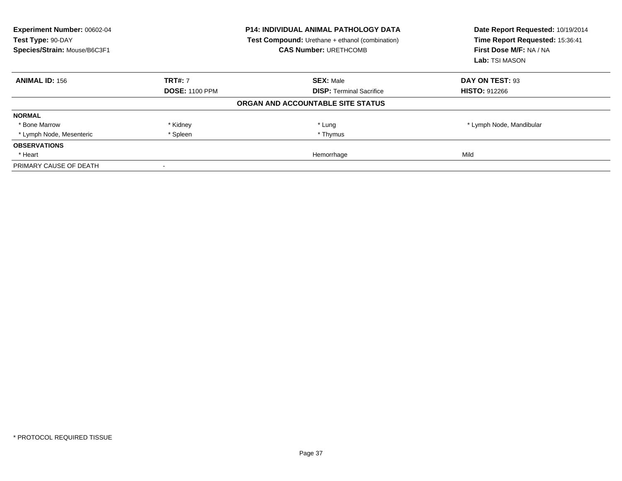| <b>Experiment Number: 00602-04</b><br>Test Type: 90-DAY<br>Species/Strain: Mouse/B6C3F1 |                       | <b>P14: INDIVIDUAL ANIMAL PATHOLOGY DATA</b><br><b>Test Compound:</b> Urethane + ethanol (combination)<br><b>CAS Number: URETHCOMB</b> | Date Report Requested: 10/19/2014<br>Time Report Requested: 15:36:41<br>First Dose M/F: NA / NA<br>Lab: TSI MASON |
|-----------------------------------------------------------------------------------------|-----------------------|----------------------------------------------------------------------------------------------------------------------------------------|-------------------------------------------------------------------------------------------------------------------|
| <b>ANIMAL ID: 156</b>                                                                   | <b>TRT#: 7</b>        | <b>SEX: Male</b>                                                                                                                       | DAY ON TEST: 93                                                                                                   |
|                                                                                         | <b>DOSE: 1100 PPM</b> | <b>DISP:</b> Terminal Sacrifice                                                                                                        | <b>HISTO: 912266</b>                                                                                              |
|                                                                                         |                       | ORGAN AND ACCOUNTABLE SITE STATUS                                                                                                      |                                                                                                                   |
| <b>NORMAL</b>                                                                           |                       |                                                                                                                                        |                                                                                                                   |
| * Bone Marrow                                                                           | * Kidney              | * Lung                                                                                                                                 | * Lymph Node, Mandibular                                                                                          |
| * Lymph Node, Mesenteric                                                                | * Spleen              | * Thymus                                                                                                                               |                                                                                                                   |
| <b>OBSERVATIONS</b>                                                                     |                       |                                                                                                                                        |                                                                                                                   |
| * Heart                                                                                 |                       | Hemorrhage                                                                                                                             | Mild                                                                                                              |
| PRIMARY CAUSE OF DEATH                                                                  |                       |                                                                                                                                        |                                                                                                                   |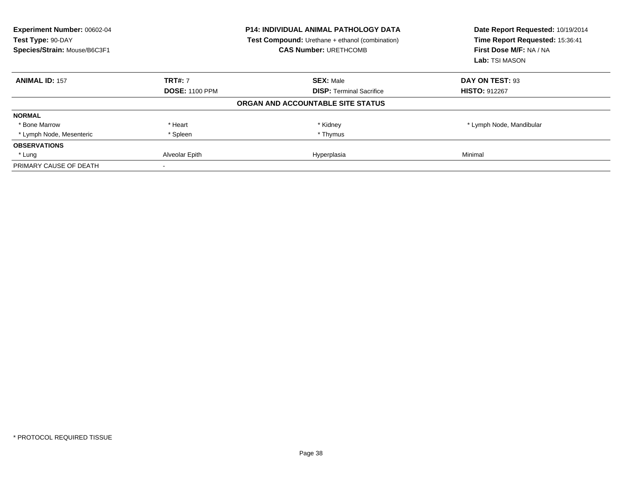| Experiment Number: 00602-04<br>Test Type: 90-DAY<br>Species/Strain: Mouse/B6C3F1 |                       | <b>P14: INDIVIDUAL ANIMAL PATHOLOGY DATA</b><br>Test Compound: Urethane + ethanol (combination)<br><b>CAS Number: URETHCOMB</b> | Date Report Requested: 10/19/2014<br>Time Report Requested: 15:36:41<br>First Dose M/F: NA / NA<br>Lab: TSI MASON |  |
|----------------------------------------------------------------------------------|-----------------------|---------------------------------------------------------------------------------------------------------------------------------|-------------------------------------------------------------------------------------------------------------------|--|
| <b>ANIMAL ID: 157</b>                                                            | <b>TRT#: 7</b>        | <b>SEX: Male</b>                                                                                                                | DAY ON TEST: 93                                                                                                   |  |
|                                                                                  | <b>DOSE: 1100 PPM</b> | <b>DISP: Terminal Sacrifice</b>                                                                                                 | <b>HISTO: 912267</b>                                                                                              |  |
|                                                                                  |                       | ORGAN AND ACCOUNTABLE SITE STATUS                                                                                               |                                                                                                                   |  |
| <b>NORMAL</b>                                                                    |                       |                                                                                                                                 |                                                                                                                   |  |
| * Bone Marrow                                                                    | * Heart               | * Kidney                                                                                                                        | * Lymph Node, Mandibular                                                                                          |  |
| * Lymph Node, Mesenteric                                                         | * Spleen              | * Thymus                                                                                                                        |                                                                                                                   |  |
| <b>OBSERVATIONS</b>                                                              |                       |                                                                                                                                 |                                                                                                                   |  |
| * Lung                                                                           | Alveolar Epith        | Hyperplasia                                                                                                                     | Minimal                                                                                                           |  |
| PRIMARY CAUSE OF DEATH                                                           |                       |                                                                                                                                 |                                                                                                                   |  |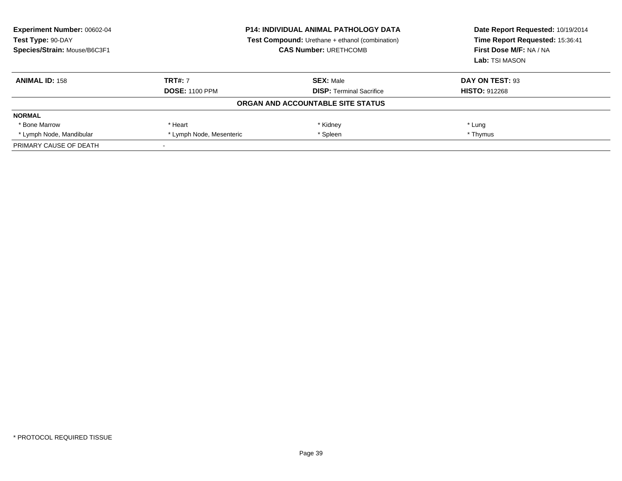| <b>Experiment Number: 00602-04</b><br>Test Type: 90-DAY<br>Species/Strain: Mouse/B6C3F1 | <b>P14: INDIVIDUAL ANIMAL PATHOLOGY DATA</b><br><b>Test Compound:</b> Urethane + ethanol (combination)<br><b>CAS Number: URETHCOMB</b> |                                   | Date Report Requested: 10/19/2014<br>Time Report Requested: 15:36:41<br>First Dose M/F: NA / NA<br>Lab: TSI MASON |  |
|-----------------------------------------------------------------------------------------|----------------------------------------------------------------------------------------------------------------------------------------|-----------------------------------|-------------------------------------------------------------------------------------------------------------------|--|
| <b>ANIMAL ID: 158</b>                                                                   | <b>TRT#: 7</b>                                                                                                                         | <b>SEX: Male</b>                  | DAY ON TEST: 93                                                                                                   |  |
|                                                                                         | <b>DOSE: 1100 PPM</b>                                                                                                                  | <b>DISP:</b> Terminal Sacrifice   | <b>HISTO: 912268</b>                                                                                              |  |
|                                                                                         |                                                                                                                                        | ORGAN AND ACCOUNTABLE SITE STATUS |                                                                                                                   |  |
| <b>NORMAL</b>                                                                           |                                                                                                                                        |                                   |                                                                                                                   |  |
| * Bone Marrow                                                                           | * Heart                                                                                                                                | * Kidney                          | * Lung                                                                                                            |  |
| * Lymph Node, Mandibular                                                                | * Lymph Node, Mesenteric                                                                                                               | * Spleen                          | * Thymus                                                                                                          |  |
| PRIMARY CAUSE OF DEATH                                                                  |                                                                                                                                        |                                   |                                                                                                                   |  |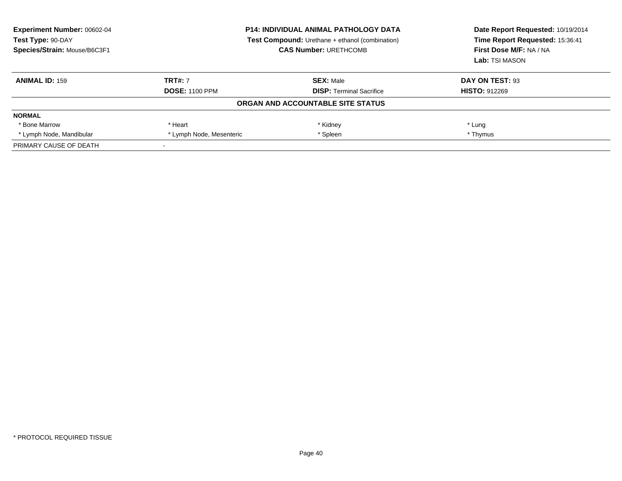| <b>Experiment Number: 00602-04</b><br>Test Type: 90-DAY<br>Species/Strain: Mouse/B6C3F1 | <b>P14: INDIVIDUAL ANIMAL PATHOLOGY DATA</b><br><b>Test Compound:</b> Urethane + ethanol (combination)<br><b>CAS Number: URETHCOMB</b> |                                   | Date Report Requested: 10/19/2014<br>Time Report Requested: 15:36:41<br>First Dose M/F: NA / NA<br>Lab: TSI MASON |  |
|-----------------------------------------------------------------------------------------|----------------------------------------------------------------------------------------------------------------------------------------|-----------------------------------|-------------------------------------------------------------------------------------------------------------------|--|
| <b>ANIMAL ID: 159</b>                                                                   | <b>TRT#: 7</b>                                                                                                                         | <b>SEX: Male</b>                  | DAY ON TEST: 93                                                                                                   |  |
|                                                                                         | <b>DOSE: 1100 PPM</b>                                                                                                                  | <b>DISP:</b> Terminal Sacrifice   | <b>HISTO: 912269</b>                                                                                              |  |
|                                                                                         |                                                                                                                                        | ORGAN AND ACCOUNTABLE SITE STATUS |                                                                                                                   |  |
| <b>NORMAL</b>                                                                           |                                                                                                                                        |                                   |                                                                                                                   |  |
| * Bone Marrow                                                                           | * Heart                                                                                                                                | * Kidney                          | * Lung                                                                                                            |  |
| * Lymph Node, Mandibular                                                                | * Lymph Node, Mesenteric                                                                                                               | * Spleen                          | * Thymus                                                                                                          |  |
| PRIMARY CAUSE OF DEATH                                                                  |                                                                                                                                        |                                   |                                                                                                                   |  |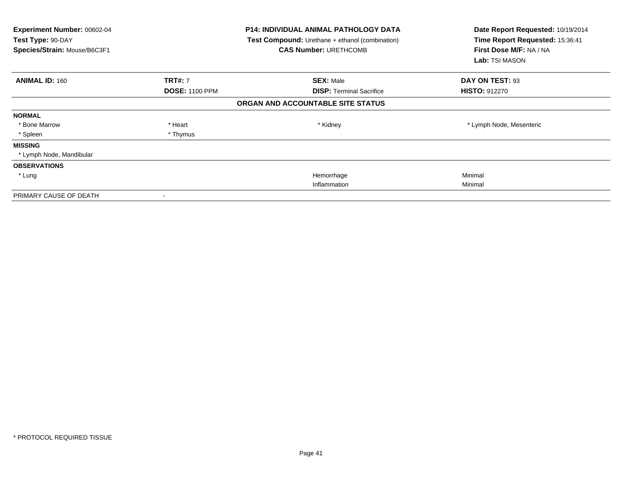| Experiment Number: 00602-04<br>Test Type: 90-DAY<br>Species/Strain: Mouse/B6C3F1 |                          | P14: INDIVIDUAL ANIMAL PATHOLOGY DATA<br>Test Compound: Urethane + ethanol (combination)<br><b>CAS Number: URETHCOMB</b> | Date Report Requested: 10/19/2014<br>Time Report Requested: 15:36:41<br>First Dose M/F: NA / NA<br>Lab: TSI MASON |
|----------------------------------------------------------------------------------|--------------------------|--------------------------------------------------------------------------------------------------------------------------|-------------------------------------------------------------------------------------------------------------------|
| <b>ANIMAL ID: 160</b>                                                            | <b>TRT#: 7</b>           | <b>SEX: Male</b>                                                                                                         | DAY ON TEST: 93                                                                                                   |
|                                                                                  | <b>DOSE: 1100 PPM</b>    | <b>DISP: Terminal Sacrifice</b>                                                                                          | <b>HISTO: 912270</b>                                                                                              |
|                                                                                  |                          | ORGAN AND ACCOUNTABLE SITE STATUS                                                                                        |                                                                                                                   |
| <b>NORMAL</b>                                                                    |                          |                                                                                                                          |                                                                                                                   |
| * Bone Marrow                                                                    | * Heart                  | * Kidney                                                                                                                 | * Lymph Node, Mesenteric                                                                                          |
| * Spleen                                                                         | * Thymus                 |                                                                                                                          |                                                                                                                   |
| <b>MISSING</b>                                                                   |                          |                                                                                                                          |                                                                                                                   |
| * Lymph Node, Mandibular                                                         |                          |                                                                                                                          |                                                                                                                   |
| <b>OBSERVATIONS</b>                                                              |                          |                                                                                                                          |                                                                                                                   |
| * Lung                                                                           |                          | Hemorrhage                                                                                                               | Minimal                                                                                                           |
|                                                                                  |                          | Inflammation                                                                                                             | Minimal                                                                                                           |
| PRIMARY CAUSE OF DEATH                                                           | $\overline{\phantom{a}}$ |                                                                                                                          |                                                                                                                   |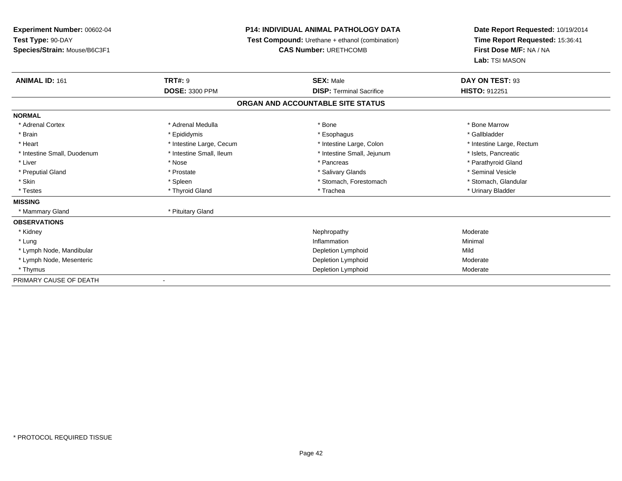# **P14: INDIVIDUAL ANIMAL PATHOLOGY DATA**

**Test Compound:** Urethane + ethanol (combination)

**CAS Number:** URETHCOMB

| <b>ANIMAL ID: 161</b>       | <b>TRT#:</b> 9           | <b>SEX: Male</b>                  | DAY ON TEST: 93           |  |
|-----------------------------|--------------------------|-----------------------------------|---------------------------|--|
|                             | <b>DOSE: 3300 PPM</b>    | <b>DISP: Terminal Sacrifice</b>   | HISTO: 912251             |  |
|                             |                          | ORGAN AND ACCOUNTABLE SITE STATUS |                           |  |
| <b>NORMAL</b>               |                          |                                   |                           |  |
| * Adrenal Cortex            | * Adrenal Medulla        | * Bone                            | * Bone Marrow             |  |
| * Brain                     | * Epididymis             | * Esophagus                       | * Gallbladder             |  |
| * Heart                     | * Intestine Large, Cecum | * Intestine Large, Colon          | * Intestine Large, Rectum |  |
| * Intestine Small, Duodenum | * Intestine Small, Ileum | * Intestine Small, Jejunum        | * Islets, Pancreatic      |  |
| * Liver                     | * Nose                   | * Pancreas                        | * Parathyroid Gland       |  |
| * Preputial Gland           | * Prostate               | * Salivary Glands                 | * Seminal Vesicle         |  |
| * Skin                      | * Spleen                 | * Stomach, Forestomach            | * Stomach, Glandular      |  |
| * Testes                    | * Thyroid Gland          | * Trachea                         | * Urinary Bladder         |  |
| <b>MISSING</b>              |                          |                                   |                           |  |
| * Mammary Gland             | * Pituitary Gland        |                                   |                           |  |
| <b>OBSERVATIONS</b>         |                          |                                   |                           |  |
| * Kidney                    |                          | Nephropathy                       | Moderate                  |  |
| * Lung                      |                          | Inflammation                      | Minimal                   |  |
| * Lymph Node, Mandibular    |                          | Depletion Lymphoid                | Mild                      |  |
| * Lymph Node, Mesenteric    |                          | Depletion Lymphoid                | Moderate                  |  |
| * Thymus                    |                          | Depletion Lymphoid                | Moderate                  |  |
| PRIMARY CAUSE OF DEATH      |                          |                                   |                           |  |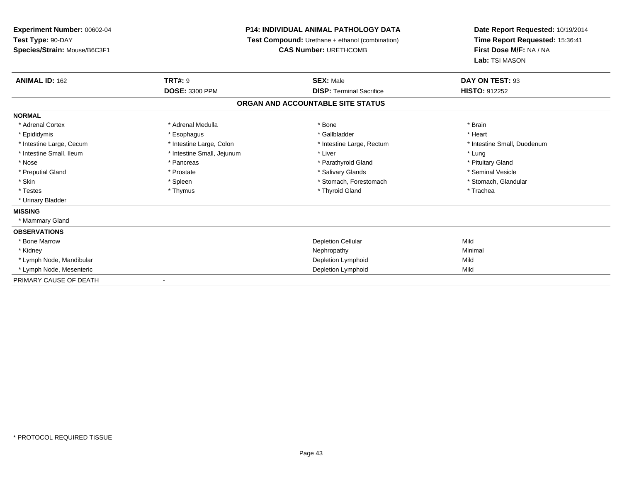**Experiment Number:** 00602-04**Test Type:** 90-DAY **Species/Strain:** Mouse/B6C3F1**P14: INDIVIDUAL ANIMAL PATHOLOGY DATA Test Compound:** Urethane + ethanol (combination)**CAS Number:** URETHCOMB**Date Report Requested:** 10/19/2014**Time Report Requested:** 15:36:41**First Dose M/F:** NA / NA**Lab:** TSI MASON**ANIMAL ID:** 162**TRT#:** 9 **SEX:** Male **DAY ON TEST:** 93 **DOSE:** 3300 PPM**DISP:** Terminal Sacrifice **HISTO:** 912252 **ORGAN AND ACCOUNTABLE SITE STATUSNORMAL**\* Adrenal Cortex \* Adrenal Medulla \* Adrenal Medulla \* Bone \* Brain \* Brain \* Brain \* Brain \* Brain \* Brain \* Brain \* Brain \* Brain \* Brain \* Brain \* Brain \* Brain \* Brain \* Brain \* Brain \* Brain \* Brain \* Brain \* Brain \* Brain \* Brain \* B \* Heart \* Epididymis \* Esophagus \* Gallbladder \* Heart\* Intestine Large, Cecum \* Intestine Large, Colon \* Intestine Large, Rectum \* Intestine Small, Duodenum \* Intestine Small, Ileum \* Thestine Small, Jejunum \* Liver \* Liver \* Liver \* Lung \* Lung \* Lung \* Pituitary Gland \* Nose \* Pancreas \* Pancreas \* Pancreas \* Parathyroid Gland \* Parathyroid Gland \* Seminal Vesicle \* Preputial Gland \* \* Annual vesicle \* \* Prostate \* \* Salivary Glands \* \* Salivary Glands \* \* Seminal Vesicle \* \* Stomach, Glandular \* Skin \* Spleen \* Spleen \* Spleen \* Stomach, Forestomach \* Stomach, Forestomach \* Testes \* Thymus \* Thyroid Gland \* Trachea \* Urinary Bladder**MISSING** \* Mammary Gland**OBSERVATIONS** \* Bone Marroww Depletion Cellular and Depletion Cellular and Depletion Cellular and Mild \* Kidneyy the control of the control of the control of the control of the control of the control of the control of the control of the control of the control of the control of the control of the control of the control of the contro \* Lymph Node, Mandibular Depletion Lymphoidd Mild \* Lymph Node, Mesenteric Depletion Lymphoidd Mild PRIMARY CAUSE OF DEATH-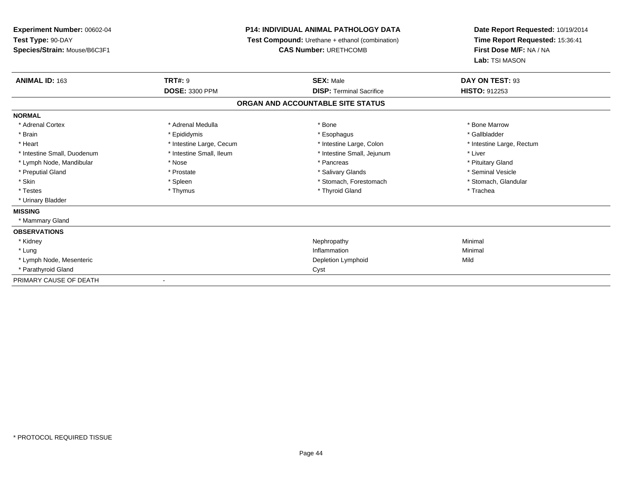# **P14: INDIVIDUAL ANIMAL PATHOLOGY DATA**

**Test Compound:** Urethane + ethanol (combination)

**CAS Number:** URETHCOMB

| ANIMAL ID: 163              | <b>TRT#: 9</b>           | <b>SEX: Male</b>                  | DAY ON TEST: 93           |
|-----------------------------|--------------------------|-----------------------------------|---------------------------|
|                             | <b>DOSE: 3300 PPM</b>    | <b>DISP: Terminal Sacrifice</b>   | <b>HISTO: 912253</b>      |
|                             |                          | ORGAN AND ACCOUNTABLE SITE STATUS |                           |
| <b>NORMAL</b>               |                          |                                   |                           |
| * Adrenal Cortex            | * Adrenal Medulla        | * Bone                            | * Bone Marrow             |
| * Brain                     | * Epididymis             | * Esophagus                       | * Gallbladder             |
| * Heart                     | * Intestine Large, Cecum | * Intestine Large, Colon          | * Intestine Large, Rectum |
| * Intestine Small, Duodenum | * Intestine Small, Ileum | * Intestine Small, Jejunum        | * Liver                   |
| * Lymph Node, Mandibular    | * Nose                   | * Pancreas                        | * Pituitary Gland         |
| * Preputial Gland           | * Prostate               | * Salivary Glands                 | * Seminal Vesicle         |
| * Skin                      | * Spleen                 | * Stomach, Forestomach            | * Stomach, Glandular      |
| * Testes                    | * Thymus                 | * Thyroid Gland                   | * Trachea                 |
| * Urinary Bladder           |                          |                                   |                           |
| <b>MISSING</b>              |                          |                                   |                           |
| * Mammary Gland             |                          |                                   |                           |
| <b>OBSERVATIONS</b>         |                          |                                   |                           |
| * Kidney                    |                          | Nephropathy                       | Minimal                   |
| * Lung                      |                          | Inflammation                      | Minimal                   |
| * Lymph Node, Mesenteric    |                          | Depletion Lymphoid                | Mild                      |
| * Parathyroid Gland         |                          | Cyst                              |                           |
| PRIMARY CAUSE OF DEATH      | $\blacksquare$           |                                   |                           |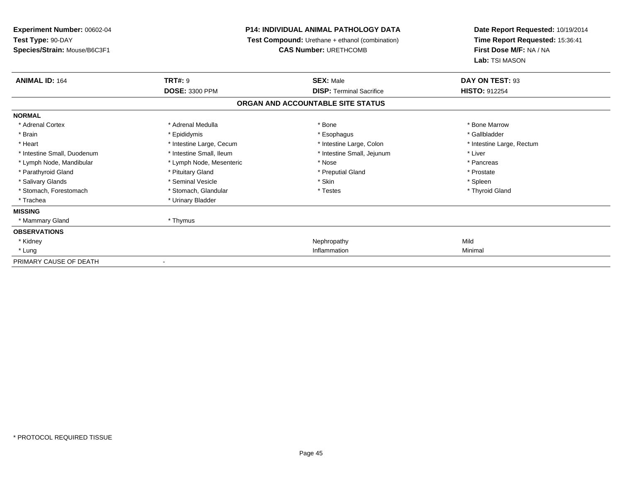**Experiment Number:** 00602-04**Test Type:** 90-DAY **Species/Strain:** Mouse/B6C3F1**P14: INDIVIDUAL ANIMAL PATHOLOGY DATA Test Compound:** Urethane + ethanol (combination)**CAS Number:** URETHCOMB**Date Report Requested:** 10/19/2014**Time Report Requested:** 15:36:41**First Dose M/F:** NA / NA**Lab:** TSI MASON**ANIMAL ID:** 164**TRT#:** 9 **SEX:** Male **DAY ON TEST:** 93 **DOSE:** 3300 PPM**DISP:** Terminal Sacrifice **HISTO:** 912254 **ORGAN AND ACCOUNTABLE SITE STATUSNORMAL**\* Adrenal Cortex \* Adrenal Medulla \* Adrenal Medulla \* Bone \* Bone \* Bone \* Bone \* Bone Marrow \* Gallbladder \* Brain \* Allen the state of the state of the state of the state of the state of the state of the state of the state of the state of the state of the state of the state of the state of the state of the state of the state o \* Heart **\*** Intestine Large, Cecum \* Intestine Large, Cecum \* Intestine Large, Colon \* <sup>\*</sup> Intestine Large, Rectum \* Intestine Small, Duodenum \* Intestine Small, Ileum \* Intestine Small, Jejunum \* Liver\* Lymph Node, Mandibular \* The state of the second text of the second text of the second text of the second text of the second text of the second text of the second text of the second text of the second text of text of tex \* Prostate \* Parathyroid Gland \* **All and \* Pituitary Gland \* Prostate and \* Preputial Gland** \* Preputial Gland  $*$  Spleen \* Salivary Glands \* Seminal Vesicle \* Seminal Vesicle \* Skin \* Skin \* Skin \* Skin \* Skin \* Skin \* Skin \* Skin \* Skin \* Skin \* Skin \* Skin \* Skin \* Skin \* Skin \* Skin \* Skin \* Skin \* Skin \* Skin \* Skin \* Skin \* Skin \* Skin \* Thyroid Gland \* Stomach, Forestomach \* Testes \* Stomach, Glandular \* Testes \* Testes \* Testes \* Trachea \* Urinary Bladder**MISSING** \* Mammary Gland \* Thymus**OBSERVATIONS** \* Kidneyy the controller of the controller of the controller of the controller of the controller of the controller of the controller of the controller of the controller of the controller of the controller of the controller of the Minimal \* Lungg and the control of the control of the control of the control of the control of the control of the control of the control of the control of the control of the control of the control of the control of the control of the co PRIMARY CAUSE OF DEATH-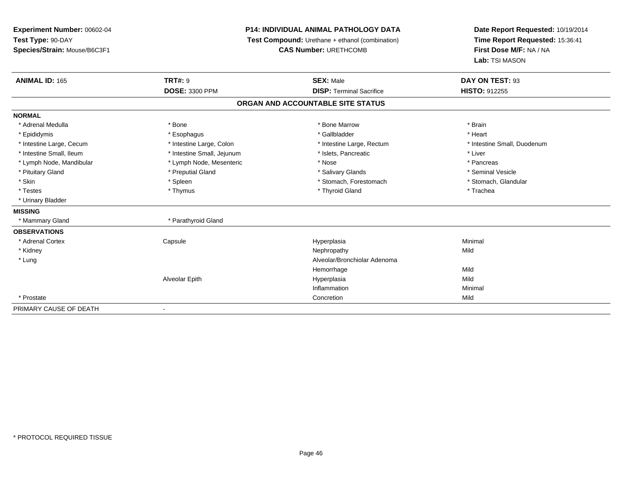# **P14: INDIVIDUAL ANIMAL PATHOLOGY DATA**

**Test Compound:** Urethane + ethanol (combination)

**CAS Number:** URETHCOMB

| <b>ANIMAL ID: 165</b>    | <b>TRT#: 9</b>             | <b>SEX: Male</b>                  | DAY ON TEST: 93             |  |
|--------------------------|----------------------------|-----------------------------------|-----------------------------|--|
|                          | <b>DOSE: 3300 PPM</b>      | <b>DISP: Terminal Sacrifice</b>   | <b>HISTO: 912255</b>        |  |
|                          |                            | ORGAN AND ACCOUNTABLE SITE STATUS |                             |  |
| <b>NORMAL</b>            |                            |                                   |                             |  |
| * Adrenal Medulla        | * Bone                     | * Bone Marrow                     | * Brain                     |  |
| * Epididymis             | * Esophagus                | * Gallbladder                     | * Heart                     |  |
| * Intestine Large, Cecum | * Intestine Large, Colon   | * Intestine Large, Rectum         | * Intestine Small, Duodenum |  |
| * Intestine Small, Ileum | * Intestine Small, Jejunum | * Islets, Pancreatic              | * Liver                     |  |
| * Lymph Node, Mandibular | * Lymph Node, Mesenteric   | * Nose                            | * Pancreas                  |  |
| * Pituitary Gland        | * Preputial Gland          | * Salivary Glands                 | * Seminal Vesicle           |  |
| * Skin                   | * Spleen                   | * Stomach, Forestomach            | * Stomach, Glandular        |  |
| * Testes                 | * Thymus                   | * Thyroid Gland                   | * Trachea                   |  |
| * Urinary Bladder        |                            |                                   |                             |  |
| <b>MISSING</b>           |                            |                                   |                             |  |
| * Mammary Gland          | * Parathyroid Gland        |                                   |                             |  |
| <b>OBSERVATIONS</b>      |                            |                                   |                             |  |
| * Adrenal Cortex         | Capsule                    | Hyperplasia                       | Minimal                     |  |
| * Kidney                 |                            | Nephropathy                       | Mild                        |  |
| * Lung                   |                            | Alveolar/Bronchiolar Adenoma      |                             |  |
|                          |                            | Hemorrhage                        | Mild                        |  |
|                          | Alveolar Epith             | Hyperplasia                       | Mild                        |  |
|                          |                            | Inflammation                      | Minimal                     |  |
| * Prostate               |                            | Concretion                        | Mild                        |  |
| PRIMARY CAUSE OF DEATH   | $\blacksquare$             |                                   |                             |  |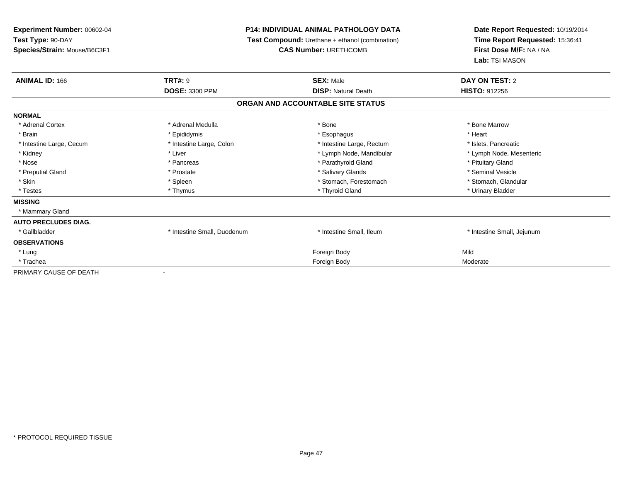# **P14: INDIVIDUAL ANIMAL PATHOLOGY DATA**

**Test Compound:** Urethane + ethanol (combination)

**CAS Number:** URETHCOMB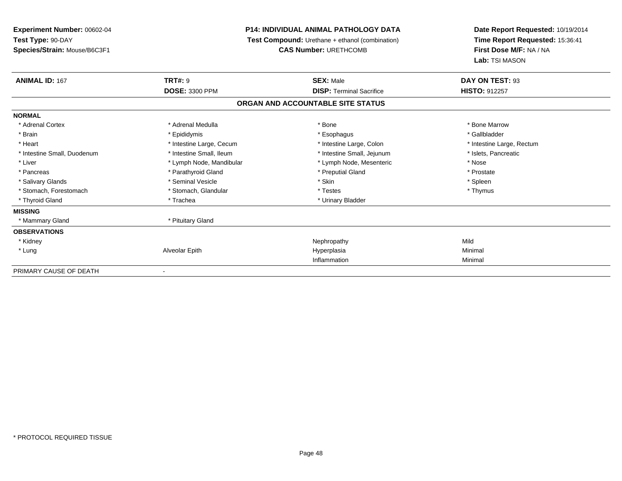# **P14: INDIVIDUAL ANIMAL PATHOLOGY DATA**

**Test Compound:** Urethane + ethanol (combination)

**CAS Number:** URETHCOMB

| <b>ANIMAL ID: 167</b>       | <b>TRT#: 9</b>           | <b>SEX: Male</b>                  | DAY ON TEST: 93           |  |
|-----------------------------|--------------------------|-----------------------------------|---------------------------|--|
|                             | <b>DOSE: 3300 PPM</b>    | <b>DISP: Terminal Sacrifice</b>   | <b>HISTO: 912257</b>      |  |
|                             |                          | ORGAN AND ACCOUNTABLE SITE STATUS |                           |  |
| <b>NORMAL</b>               |                          |                                   |                           |  |
| * Adrenal Cortex            | * Adrenal Medulla        | * Bone                            | * Bone Marrow             |  |
| * Brain                     | * Epididymis             | * Esophagus                       | * Gallbladder             |  |
| * Heart                     | * Intestine Large, Cecum | * Intestine Large, Colon          | * Intestine Large, Rectum |  |
| * Intestine Small, Duodenum | * Intestine Small, Ileum | * Intestine Small, Jejunum        | * Islets, Pancreatic      |  |
| * Liver                     | * Lymph Node, Mandibular | * Lymph Node, Mesenteric          | * Nose                    |  |
| * Pancreas                  | * Parathyroid Gland      | * Preputial Gland                 | * Prostate                |  |
| * Salivary Glands           | * Seminal Vesicle        | * Skin                            | * Spleen                  |  |
| * Stomach, Forestomach      | * Stomach, Glandular     | * Testes                          | * Thymus                  |  |
| * Thyroid Gland             | * Trachea                | * Urinary Bladder                 |                           |  |
| <b>MISSING</b>              |                          |                                   |                           |  |
| * Mammary Gland             | * Pituitary Gland        |                                   |                           |  |
| <b>OBSERVATIONS</b>         |                          |                                   |                           |  |
| * Kidney                    |                          | Nephropathy                       | Mild                      |  |
| * Lung                      | Alveolar Epith           | Hyperplasia                       | Minimal                   |  |
|                             |                          | Inflammation                      | Minimal                   |  |
| PRIMARY CAUSE OF DEATH      |                          |                                   |                           |  |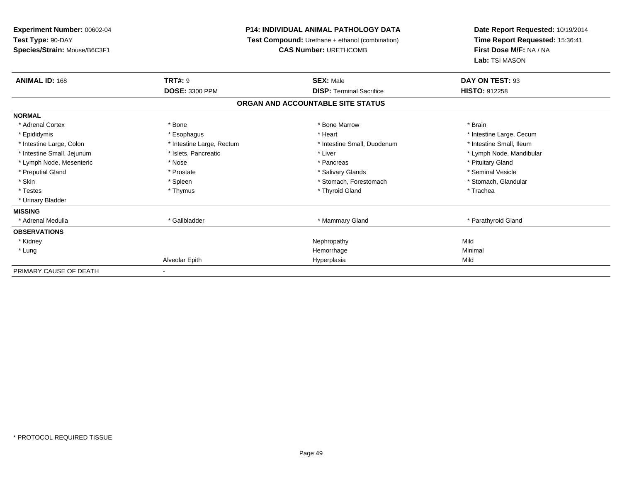# **P14: INDIVIDUAL ANIMAL PATHOLOGY DATA**

**Test Compound:** Urethane + ethanol (combination)

**CAS Number:** URETHCOMB

| <b>ANIMAL ID: 168</b>      | <b>TRT#: 9</b>            | <b>SEX: Male</b>                  | DAY ON TEST: 93          |  |
|----------------------------|---------------------------|-----------------------------------|--------------------------|--|
|                            | <b>DOSE: 3300 PPM</b>     | <b>DISP: Terminal Sacrifice</b>   | <b>HISTO: 912258</b>     |  |
|                            |                           | ORGAN AND ACCOUNTABLE SITE STATUS |                          |  |
| <b>NORMAL</b>              |                           |                                   |                          |  |
| * Adrenal Cortex           | * Bone                    | * Bone Marrow                     | * Brain                  |  |
| * Epididymis               | * Esophagus               | * Heart                           | * Intestine Large, Cecum |  |
| * Intestine Large, Colon   | * Intestine Large, Rectum | * Intestine Small, Duodenum       | * Intestine Small, Ileum |  |
| * Intestine Small, Jejunum | * Islets, Pancreatic      | * Liver                           | * Lymph Node, Mandibular |  |
| * Lymph Node, Mesenteric   | * Nose                    | * Pancreas                        | * Pituitary Gland        |  |
| * Preputial Gland          | * Prostate                | * Salivary Glands                 | * Seminal Vesicle        |  |
| * Skin                     | * Spleen                  | * Stomach, Forestomach            | * Stomach, Glandular     |  |
| * Testes                   | * Thymus                  | * Thyroid Gland                   | * Trachea                |  |
| * Urinary Bladder          |                           |                                   |                          |  |
| <b>MISSING</b>             |                           |                                   |                          |  |
| * Adrenal Medulla          | * Gallbladder             | * Mammary Gland                   | * Parathyroid Gland      |  |
| <b>OBSERVATIONS</b>        |                           |                                   |                          |  |
| * Kidney                   |                           | Nephropathy                       | Mild                     |  |
| * Lung                     |                           | Hemorrhage                        | Minimal                  |  |
|                            | Alveolar Epith            | Hyperplasia                       | Mild                     |  |
| PRIMARY CAUSE OF DEATH     | ۰.                        |                                   |                          |  |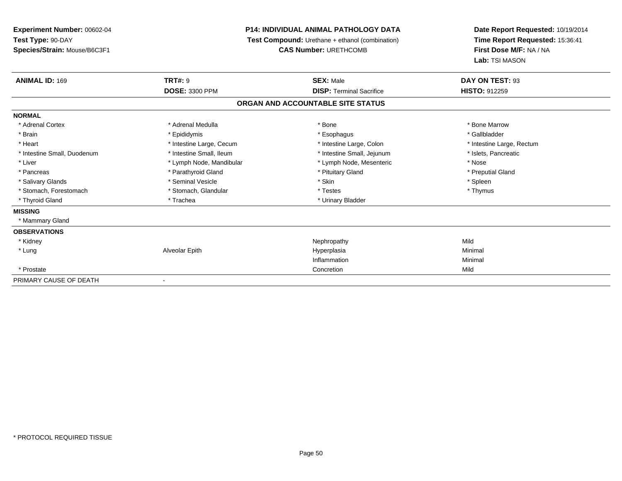# **P14: INDIVIDUAL ANIMAL PATHOLOGY DATA**

**Test Compound:** Urethane + ethanol (combination)

**CAS Number:** URETHCOMB

| <b>ANIMAL ID: 169</b>       | <b>TRT#: 9</b>           | <b>SEX: Male</b>                  | DAY ON TEST: 93           |  |
|-----------------------------|--------------------------|-----------------------------------|---------------------------|--|
|                             | <b>DOSE: 3300 PPM</b>    | <b>DISP: Terminal Sacrifice</b>   | <b>HISTO: 912259</b>      |  |
|                             |                          | ORGAN AND ACCOUNTABLE SITE STATUS |                           |  |
| <b>NORMAL</b>               |                          |                                   |                           |  |
| * Adrenal Cortex            | * Adrenal Medulla        | * Bone                            | * Bone Marrow             |  |
| * Brain                     | * Epididymis             | * Esophagus                       | * Gallbladder             |  |
| * Heart                     | * Intestine Large, Cecum | * Intestine Large, Colon          | * Intestine Large, Rectum |  |
| * Intestine Small, Duodenum | * Intestine Small, Ileum | * Intestine Small, Jejunum        | * Islets, Pancreatic      |  |
| * Liver                     | * Lymph Node, Mandibular | * Lymph Node, Mesenteric          | * Nose                    |  |
| * Pancreas                  | * Parathyroid Gland      | * Pituitary Gland                 | * Preputial Gland         |  |
| * Salivary Glands           | * Seminal Vesicle        | * Skin                            | * Spleen                  |  |
| * Stomach, Forestomach      | * Stomach, Glandular     | * Testes                          | * Thymus                  |  |
| * Thyroid Gland             | * Trachea                | * Urinary Bladder                 |                           |  |
| <b>MISSING</b>              |                          |                                   |                           |  |
| * Mammary Gland             |                          |                                   |                           |  |
| <b>OBSERVATIONS</b>         |                          |                                   |                           |  |
| * Kidney                    |                          | Nephropathy                       | Mild                      |  |
| * Lung                      | Alveolar Epith           | Hyperplasia                       | Minimal                   |  |
|                             |                          | Inflammation                      | Minimal                   |  |
| * Prostate                  |                          | Concretion                        | Mild                      |  |
| PRIMARY CAUSE OF DEATH      |                          |                                   |                           |  |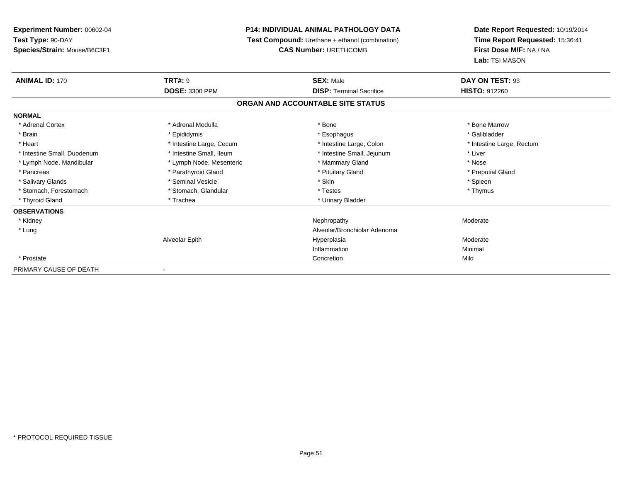# **P14: INDIVIDUAL ANIMAL PATHOLOGY DATA**

**Test Compound:** Urethane + ethanol (combination)

**CAS Number:** URETHCOMB

| <b>ANIMAL ID: 170</b>       | <b>TRT#: 9</b>           | <b>SEX: Male</b><br><b>DISP: Terminal Sacrifice</b> | DAY ON TEST: 93           |
|-----------------------------|--------------------------|-----------------------------------------------------|---------------------------|
|                             | <b>DOSE: 3300 PPM</b>    |                                                     | <b>HISTO: 912260</b>      |
|                             |                          | ORGAN AND ACCOUNTABLE SITE STATUS                   |                           |
| <b>NORMAL</b>               |                          |                                                     |                           |
| * Adrenal Cortex            | * Adrenal Medulla        | * Bone                                              | * Bone Marrow             |
| * Brain                     | * Epididymis             | * Esophagus                                         | * Gallbladder             |
| * Heart                     | * Intestine Large, Cecum | * Intestine Large, Colon                            | * Intestine Large, Rectum |
| * Intestine Small, Duodenum | * Intestine Small, Ileum | * Intestine Small, Jejunum                          | * Liver                   |
| * Lymph Node, Mandibular    | * Lymph Node, Mesenteric | * Mammary Gland                                     | * Nose                    |
| * Pancreas                  | * Parathyroid Gland      | * Pituitary Gland                                   | * Preputial Gland         |
| * Salivary Glands           | * Seminal Vesicle        | * Skin                                              | * Spleen                  |
| * Stomach, Forestomach      | * Stomach, Glandular     | * Testes                                            | * Thymus                  |
| * Thyroid Gland             | * Trachea                | * Urinary Bladder                                   |                           |
| <b>OBSERVATIONS</b>         |                          |                                                     |                           |
| * Kidney                    |                          | Nephropathy                                         | Moderate                  |
| * Lung                      |                          | Alveolar/Bronchiolar Adenoma                        |                           |
|                             | Alveolar Epith           | Hyperplasia                                         | Moderate                  |
|                             |                          | Inflammation                                        | Minimal                   |
| * Prostate                  |                          | Concretion                                          | Mild                      |
| PRIMARY CAUSE OF DEATH      |                          |                                                     |                           |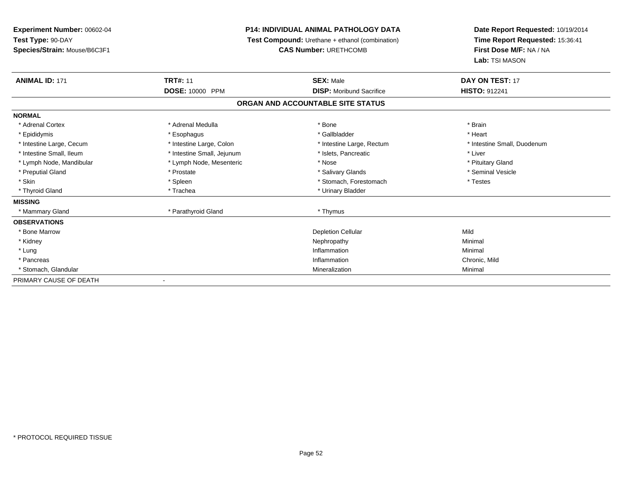| Experiment Number: 00602-04  | <b>P14: INDIVIDUAL ANIMAL PATHOLOGY DATA</b> |                                                 | Date Report Requested: 10/19/2014 |
|------------------------------|----------------------------------------------|-------------------------------------------------|-----------------------------------|
| Test Type: 90-DAY            |                                              | Test Compound: Urethane + ethanol (combination) |                                   |
| Species/Strain: Mouse/B6C3F1 |                                              | <b>CAS Number: URETHCOMB</b>                    | First Dose M/F: NA / NA           |
|                              |                                              |                                                 | Lab: TSI MASON                    |
| <b>ANIMAL ID: 171</b>        | <b>TRT#: 11</b>                              | <b>SEX: Male</b>                                | DAY ON TEST: 17                   |
|                              | DOSE: 10000 PPM                              | <b>DISP:</b> Moribund Sacrifice                 | <b>HISTO: 912241</b>              |
|                              |                                              | ORGAN AND ACCOUNTABLE SITE STATUS               |                                   |
| <b>NORMAL</b>                |                                              |                                                 |                                   |
| * Adrenal Cortex             | * Adrenal Medulla                            | * Bone                                          | * Brain                           |
| * Epididymis                 | * Esophagus                                  | * Gallbladder                                   | * Heart                           |
| * Intestine Large, Cecum     | * Intestine Large, Colon                     | * Intestine Large, Rectum                       | * Intestine Small, Duodenum       |
| * Intestine Small, Ileum     | * Intestine Small, Jejunum                   | * Islets, Pancreatic                            | * Liver                           |
| * Lymph Node, Mandibular     | * Lymph Node, Mesenteric                     | * Nose                                          | * Pituitary Gland                 |
| * Preputial Gland            | * Prostate                                   | * Salivary Glands                               | * Seminal Vesicle                 |
| * Skin                       | * Spleen                                     | * Stomach, Forestomach                          | * Testes                          |
| * Thyroid Gland              | * Trachea                                    | * Urinary Bladder                               |                                   |
| <b>MISSING</b>               |                                              |                                                 |                                   |
| * Mammary Gland              | * Parathyroid Gland                          | * Thymus                                        |                                   |
| <b>OBSERVATIONS</b>          |                                              |                                                 |                                   |
| * Bone Marrow                |                                              | <b>Depletion Cellular</b>                       | Mild                              |
| * Kidney                     |                                              | Nephropathy                                     | Minimal                           |
| * Lung                       |                                              | Inflammation                                    | Minimal                           |
| * Pancreas                   |                                              | Inflammation                                    | Chronic, Mild                     |
| * Stomach, Glandular         |                                              | Mineralization                                  | Minimal                           |
| PRIMARY CAUSE OF DEATH       |                                              |                                                 |                                   |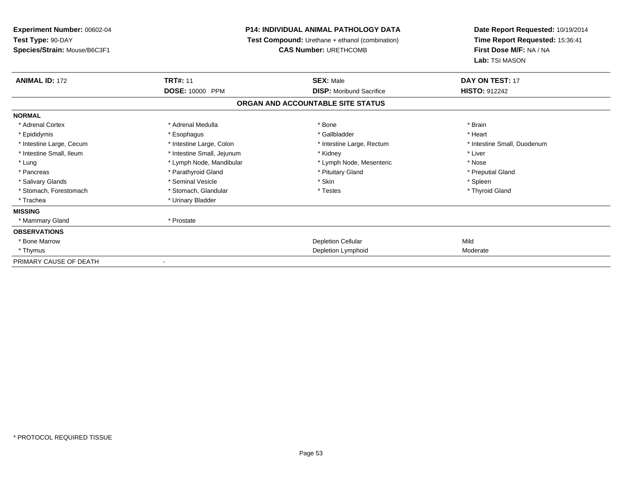| Experiment Number: 00602-04  |                            |                                                        | <b>P14: INDIVIDUAL ANIMAL PATHOLOGY DATA</b> |  | Date Report Requested: 10/19/2014<br>Time Report Requested: 15:36:41 |
|------------------------------|----------------------------|--------------------------------------------------------|----------------------------------------------|--|----------------------------------------------------------------------|
| Test Type: 90-DAY            |                            | <b>Test Compound:</b> Urethane + ethanol (combination) |                                              |  |                                                                      |
| Species/Strain: Mouse/B6C3F1 |                            | <b>CAS Number: URETHCOMB</b>                           | First Dose M/F: NA / NA                      |  |                                                                      |
|                              |                            |                                                        | Lab: TSI MASON                               |  |                                                                      |
| <b>ANIMAL ID: 172</b>        | <b>TRT#: 11</b>            | <b>SEX: Male</b>                                       | DAY ON TEST: 17                              |  |                                                                      |
|                              | DOSE: 10000 PPM            | <b>DISP:</b> Moribund Sacrifice                        | <b>HISTO: 912242</b>                         |  |                                                                      |
|                              |                            | ORGAN AND ACCOUNTABLE SITE STATUS                      |                                              |  |                                                                      |
| <b>NORMAL</b>                |                            |                                                        |                                              |  |                                                                      |
| * Adrenal Cortex             | * Adrenal Medulla          | * Bone                                                 | * Brain                                      |  |                                                                      |
| * Epididymis                 | * Esophagus                | * Gallbladder                                          | * Heart                                      |  |                                                                      |
| * Intestine Large, Cecum     | * Intestine Large, Colon   | * Intestine Large, Rectum                              | * Intestine Small, Duodenum                  |  |                                                                      |
| * Intestine Small. Ileum     | * Intestine Small, Jejunum | * Kidney                                               | * Liver                                      |  |                                                                      |
| * Lung                       | * Lymph Node, Mandibular   | * Lymph Node, Mesenteric                               | * Nose                                       |  |                                                                      |
| * Pancreas                   | * Parathyroid Gland        | * Pituitary Gland                                      | * Preputial Gland                            |  |                                                                      |
| * Salivary Glands            | * Seminal Vesicle          | * Skin                                                 | * Spleen                                     |  |                                                                      |
| * Stomach, Forestomach       | * Stomach, Glandular       | * Testes                                               | * Thyroid Gland                              |  |                                                                      |
| * Trachea                    | * Urinary Bladder          |                                                        |                                              |  |                                                                      |
| <b>MISSING</b>               |                            |                                                        |                                              |  |                                                                      |
| * Mammary Gland              | * Prostate                 |                                                        |                                              |  |                                                                      |
| <b>OBSERVATIONS</b>          |                            |                                                        |                                              |  |                                                                      |
| * Bone Marrow                |                            | <b>Depletion Cellular</b>                              | Mild                                         |  |                                                                      |
| * Thymus                     |                            | Depletion Lymphoid                                     | Moderate                                     |  |                                                                      |
| PRIMARY CAUSE OF DEATH       |                            |                                                        |                                              |  |                                                                      |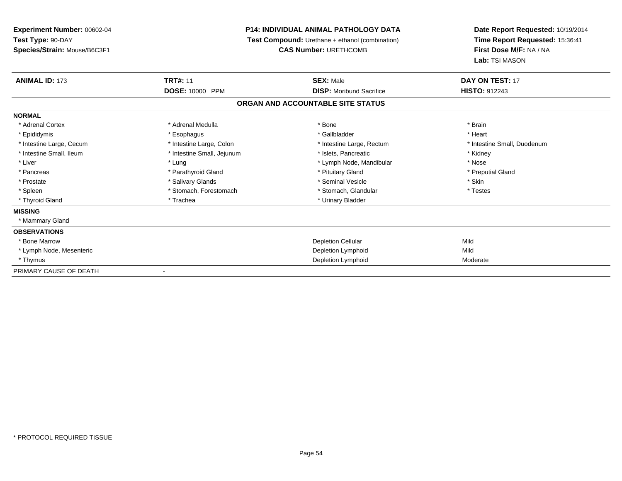**Experiment Number:** 00602-04**Test Type:** 90-DAY **Species/Strain:** Mouse/B6C3F1**P14: INDIVIDUAL ANIMAL PATHOLOGY DATA Test Compound:** Urethane + ethanol (combination)**CAS Number:** URETHCOMB**Date Report Requested:** 10/19/2014**Time Report Requested:** 15:36:41**First Dose M/F:** NA / NA**Lab:** TSI MASON**ANIMAL ID:** 173**TRT#:** 11 **SEX:** Male **DAY ON TEST:** 17 **DOSE:** 10000 PPM **DISP:** Moribund Sacrifice **HISTO:** <sup>912243</sup> **ORGAN AND ACCOUNTABLE SITE STATUSNORMAL**\* Adrenal Cortex \* Adrenal Medulla \* Adrenal Medulla \* Bone \* Brain \* Brain \* Brain \* Brain \* Brain \* Brain \* Brain \* Brain \* Brain \* Brain \* Brain \* Brain \* Brain \* Brain \* Brain \* Brain \* Brain \* Brain \* Brain \* Brain \* Brain \* Brain \* B \* Heart \* Epididymis \* Esophagus \* Gallbladder \* Heart\* Intestine Large, Cecum \* Intestine Large, Colon \* Intestine Large, Rectum \* Intestine Small, Duodenum \* Intestine Small, Ileum \* Thestine Small, Jejunum \* 1998, Pancreatic \* Kidney \* Kidney \* Kidney \* Kidney \* Liver \* Liver \* Lung \* Lung \* Lung \* Lung \* Lymph Node, Mandibular \* Nose \* Nose \* Preputial Gland \* Pancreas \* \* Parathyroid Gland \* \* Parathyroid Gland \* \* Pituitary Gland \* \* Preputial Gland \* \* Preputial Gland \* Prostate \* The state \* Salivary Glands \* Salivary School in the state \* Skin \* Skin \* Skin \* Skin \* Skin \* Skin \* Skin \* Skin \* Skin \* Skin \* Skin \* Skin \* Skin \* Skin \* Skin \* Skin \* Skin \* Skin \* Skin \* Skin \* Skin \* S \* Testes \* Spleen \* Stomach, Forestomach \* Stomach, Spleen \* Stomach, Glandular \* Testestess \* Stomach, Glandular \* Thyroid Gland \* Trachea \* Trachea \* Trachea \* Urinary Bladder **MISSING** \* Mammary Gland**OBSERVATIONS** \* Bone Marroww Depletion Cellular and Depletion Cellular and Depletion Cellular and Mild \* Lymph Node, Mesenteric Depletion Lymphoidd Mild

\* Thymus

PRIMARY CAUSE OF DEATH

-

Depletion Lymphoid

Moderate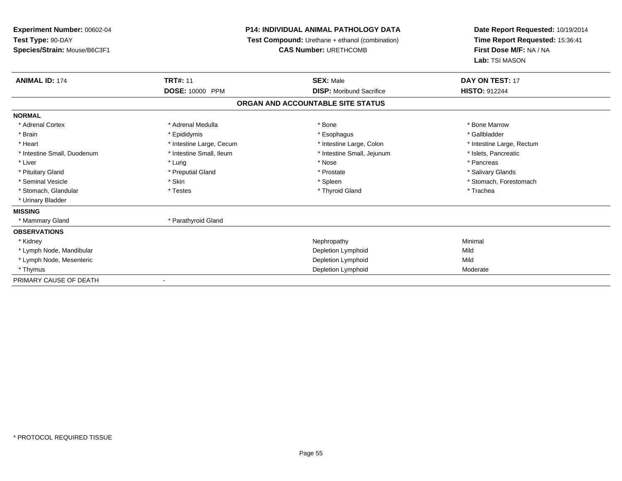# **P14: INDIVIDUAL ANIMAL PATHOLOGY DATA**

**Test Compound:** Urethane + ethanol (combination)

**CAS Number:** URETHCOMB

| <b>ANIMAL ID: 174</b>       | <b>TRT#: 11</b>          | <b>SEX: Male</b>                  | <b>DAY ON TEST: 17</b>    |  |
|-----------------------------|--------------------------|-----------------------------------|---------------------------|--|
|                             | DOSE: 10000 PPM          | <b>DISP:</b> Moribund Sacrifice   | <b>HISTO: 912244</b>      |  |
|                             |                          | ORGAN AND ACCOUNTABLE SITE STATUS |                           |  |
| <b>NORMAL</b>               |                          |                                   |                           |  |
| * Adrenal Cortex            | * Adrenal Medulla        | * Bone                            | * Bone Marrow             |  |
| * Brain                     | * Epididymis             | * Esophagus                       | * Gallbladder             |  |
| * Heart                     | * Intestine Large, Cecum | * Intestine Large, Colon          | * Intestine Large, Rectum |  |
| * Intestine Small, Duodenum | * Intestine Small, Ileum | * Intestine Small, Jejunum        | * Islets, Pancreatic      |  |
| * Liver                     | * Lung                   | * Nose                            | * Pancreas                |  |
| * Pituitary Gland           | * Preputial Gland        | * Prostate                        | * Salivary Glands         |  |
| * Seminal Vesicle           | * Skin                   | * Spleen                          | * Stomach, Forestomach    |  |
| * Stomach, Glandular        | * Testes                 | * Thyroid Gland                   | * Trachea                 |  |
| * Urinary Bladder           |                          |                                   |                           |  |
| <b>MISSING</b>              |                          |                                   |                           |  |
| * Mammary Gland             | * Parathyroid Gland      |                                   |                           |  |
| <b>OBSERVATIONS</b>         |                          |                                   |                           |  |
| * Kidney                    |                          | Nephropathy                       | Minimal                   |  |
| * Lymph Node, Mandibular    |                          | Depletion Lymphoid                | Mild                      |  |
| * Lymph Node, Mesenteric    |                          | Depletion Lymphoid                | Mild                      |  |
| * Thymus                    |                          | Depletion Lymphoid                | Moderate                  |  |
| PRIMARY CAUSE OF DEATH      |                          |                                   |                           |  |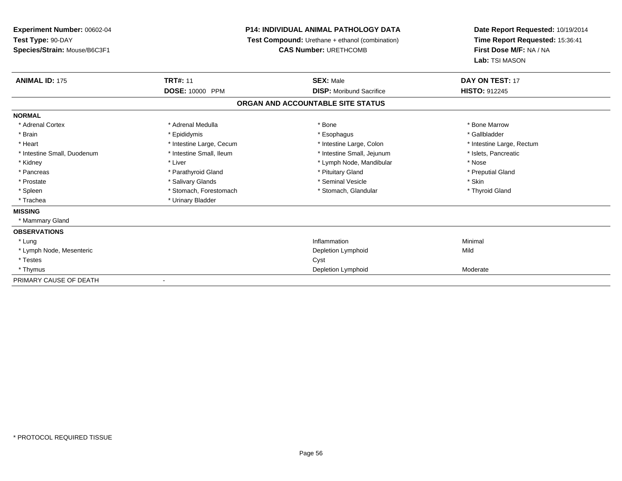# **P14: INDIVIDUAL ANIMAL PATHOLOGY DATA**

**Test Compound:** Urethane + ethanol (combination)

**CAS Number:** URETHCOMB

| <b>ANIMAL ID: 175</b>       | <b>TRT#: 11</b>                  | <b>SEX: Male</b>                  | <b>DAY ON TEST: 17</b>    |
|-----------------------------|----------------------------------|-----------------------------------|---------------------------|
|                             | <b>DOSE: 10000</b><br><b>PPM</b> | <b>DISP:</b> Moribund Sacrifice   | <b>HISTO: 912245</b>      |
|                             |                                  | ORGAN AND ACCOUNTABLE SITE STATUS |                           |
| <b>NORMAL</b>               |                                  |                                   |                           |
| * Adrenal Cortex            | * Adrenal Medulla                | * Bone                            | * Bone Marrow             |
| * Brain                     | * Epididymis                     | * Esophagus                       | * Gallbladder             |
| * Heart                     | * Intestine Large, Cecum         | * Intestine Large, Colon          | * Intestine Large, Rectum |
| * Intestine Small, Duodenum | * Intestine Small, Ileum         | * Intestine Small, Jejunum        | * Islets, Pancreatic      |
| * Kidney                    | * Liver                          | * Lymph Node, Mandibular          | * Nose                    |
| * Pancreas                  | * Parathyroid Gland              | * Pituitary Gland                 | * Preputial Gland         |
| * Prostate                  | * Salivary Glands                | * Seminal Vesicle                 | * Skin                    |
| * Spleen                    | * Stomach, Forestomach           | * Stomach, Glandular              | * Thyroid Gland           |
| * Trachea                   | * Urinary Bladder                |                                   |                           |
| <b>MISSING</b>              |                                  |                                   |                           |
| * Mammary Gland             |                                  |                                   |                           |
| <b>OBSERVATIONS</b>         |                                  |                                   |                           |
| * Lung                      |                                  | Inflammation                      | Minimal                   |
| * Lymph Node, Mesenteric    |                                  | Depletion Lymphoid                | Mild                      |
| * Testes                    |                                  | Cyst                              |                           |
| * Thymus                    |                                  | Depletion Lymphoid                | Moderate                  |
| PRIMARY CAUSE OF DEATH      | ٠                                |                                   |                           |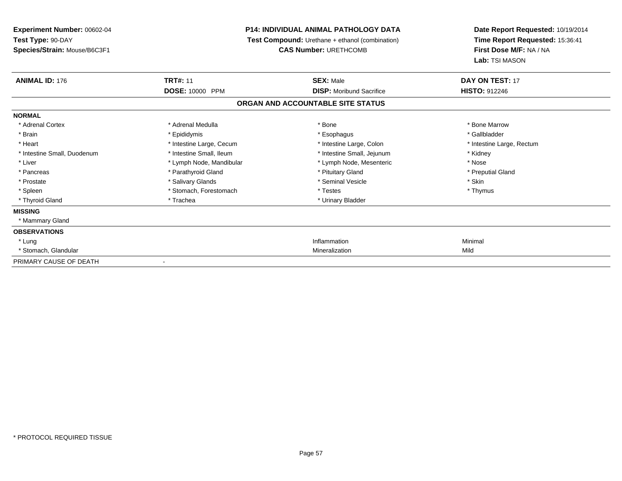**Experiment Number:** 00602-04**Test Type:** 90-DAY **Species/Strain:** Mouse/B6C3F1**P14: INDIVIDUAL ANIMAL PATHOLOGY DATA Test Compound:** Urethane + ethanol (combination)**CAS Number:** URETHCOMB**Date Report Requested:** 10/19/2014**Time Report Requested:** 15:36:41**First Dose M/F:** NA / NA**Lab:** TSI MASON**ANIMAL ID:** 176**C TRT#:** 11 **SEX:** Male **DAY ON TEST:** 17 **DOSE:** 10000 PPM **DISP:** Moribund Sacrifice **HISTO:** <sup>912246</sup> **ORGAN AND ACCOUNTABLE SITE STATUSNORMAL**\* Adrenal Cortex \* Adrenal Medulla \* Adrenal Medulla \* Bone \* Bone \* Bone \* Bone \* Bone Marrow \* Gallbladder \* Brain \* Allen the state of the state of the state of the state of the state of the state of the state of the state of the state of the state of the state of the state of the state of the state of the state of the state o \* Heart **\*** Intestine Large, Cecum \* Intestine Large, Cecum \* Intestine Large, Colon \* <sup>\*</sup> Intestine Large, Rectum \* Intestine Small, Duodenum \* 100 \* Intestine Small, Ileum \* 100 \* Intestine Small, Jejunum \* Kidney \* Kidney \* Liver \* Lymph Node, Mandibular \* Nose \* Lymph Node, Mesenteric \* Nose \* Nose \* Preputial Gland \* Pancreas \* \* Parathyroid Gland \* \* Parathyroid Gland \* \* Pituitary Gland \* \* Preputial Gland \* \* Preputial Gland \* Prostate \* The state \* Salivary Glands \* Salivary School in the seminal Vesicle \* Skin \* Skin \* Skin \* Skin \* Skin \* Skin \* Skin \* Skin \* Skin \* Skin \* Skin \* Skin \* Skin \* Skin \* Skin \* Skin \* Skin \* Skin \* Skin \* Skin \* Thymus \* Spleen \* Spleen \* Stomach, Forestomach \* Stomach \* Testes \* Thyroid Gland \* Trachea \* Trachea \* Trachea \* Urinary Bladder **MISSING** \* Mammary Gland**OBSERVATIONS** \* Lungg and the state of the state of the state of the state of the state of the state of the state of the state of the state of the state of the state of the state of the state of the state of the state of the state of the stat \* Stomach, Glandularr and the contract of the contract of the contract of the contract of the contract of the contract of the contract of the contract of the contract of the contract of the contract of the contract of the contract of the cont n Mild PRIMARY CAUSE OF DEATH-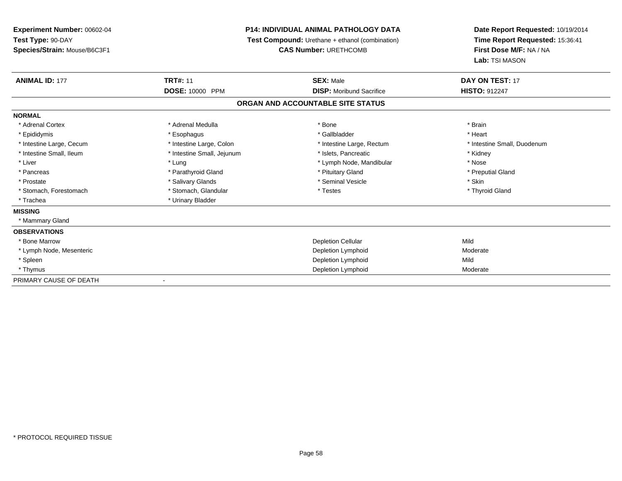# **P14: INDIVIDUAL ANIMAL PATHOLOGY DATA**

**Test Compound:** Urethane + ethanol (combination)

**CAS Number:** URETHCOMB

| <b>ANIMAL ID: 177</b>    | <b>TRT#: 11</b>            | <b>SEX: Male</b>                  | <b>DAY ON TEST: 17</b>      |  |
|--------------------------|----------------------------|-----------------------------------|-----------------------------|--|
|                          | DOSE: 10000 PPM            | <b>DISP:</b> Moribund Sacrifice   | <b>HISTO: 912247</b>        |  |
|                          |                            | ORGAN AND ACCOUNTABLE SITE STATUS |                             |  |
| <b>NORMAL</b>            |                            |                                   |                             |  |
| * Adrenal Cortex         | * Adrenal Medulla          | * Bone                            | * Brain                     |  |
| * Epididymis             | * Esophagus                | * Gallbladder                     | * Heart                     |  |
| * Intestine Large, Cecum | * Intestine Large, Colon   | * Intestine Large, Rectum         | * Intestine Small, Duodenum |  |
| * Intestine Small, Ileum | * Intestine Small, Jejunum | * Islets, Pancreatic              | * Kidney                    |  |
| * Liver                  | * Lung                     | * Lymph Node, Mandibular          | * Nose                      |  |
| * Pancreas               | * Parathyroid Gland        | * Pituitary Gland                 | * Preputial Gland           |  |
| * Prostate               | * Salivary Glands          | * Seminal Vesicle                 | * Skin                      |  |
| * Stomach, Forestomach   | * Stomach, Glandular       | * Testes                          | * Thyroid Gland             |  |
| * Trachea                | * Urinary Bladder          |                                   |                             |  |
| <b>MISSING</b>           |                            |                                   |                             |  |
| * Mammary Gland          |                            |                                   |                             |  |
| <b>OBSERVATIONS</b>      |                            |                                   |                             |  |
| * Bone Marrow            |                            | <b>Depletion Cellular</b>         | Mild                        |  |
| * Lymph Node, Mesenteric |                            | Depletion Lymphoid                | Moderate                    |  |
| * Spleen                 |                            | Depletion Lymphoid                | Mild                        |  |
| * Thymus                 |                            | Depletion Lymphoid                | Moderate                    |  |
| PRIMARY CAUSE OF DEATH   | $\blacksquare$             |                                   |                             |  |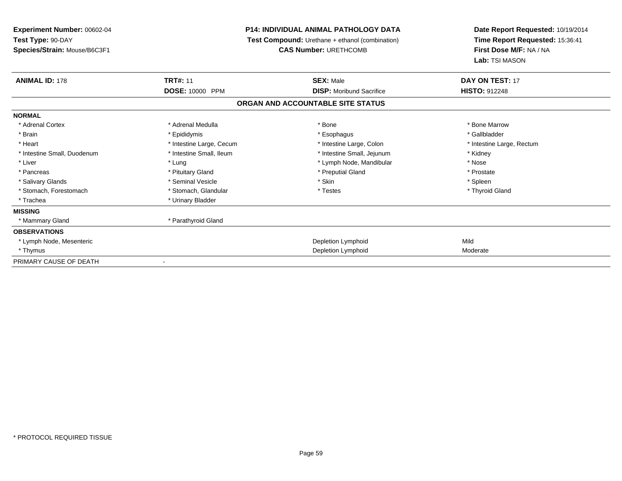| Experiment Number: 00602-04<br>Test Type: 90-DAY |                          | <b>P14: INDIVIDUAL ANIMAL PATHOLOGY DATA</b>           | Date Report Requested: 10/19/2014<br>Time Report Requested: 15:36:41 |
|--------------------------------------------------|--------------------------|--------------------------------------------------------|----------------------------------------------------------------------|
|                                                  |                          | <b>Test Compound:</b> Urethane + ethanol (combination) |                                                                      |
| Species/Strain: Mouse/B6C3F1                     |                          | <b>CAS Number: URETHCOMB</b>                           | First Dose M/F: NA / NA                                              |
|                                                  |                          |                                                        | Lab: TSI MASON                                                       |
| <b>ANIMAL ID: 178</b>                            | <b>TRT#: 11</b>          | <b>SEX: Male</b>                                       | DAY ON TEST: 17                                                      |
|                                                  | DOSE: 10000 PPM          | <b>DISP:</b> Moribund Sacrifice                        | <b>HISTO: 912248</b>                                                 |
|                                                  |                          | ORGAN AND ACCOUNTABLE SITE STATUS                      |                                                                      |
| <b>NORMAL</b>                                    |                          |                                                        |                                                                      |
| * Adrenal Cortex                                 | * Adrenal Medulla        | * Bone                                                 | * Bone Marrow                                                        |
| * Brain                                          | * Epididymis             | * Esophagus                                            | * Gallbladder                                                        |
| * Heart                                          | * Intestine Large, Cecum | * Intestine Large, Colon                               | * Intestine Large, Rectum                                            |
| * Intestine Small, Duodenum                      | * Intestine Small, Ileum | * Intestine Small, Jejunum                             | * Kidney                                                             |
| * Liver                                          | * Lung                   | * Lymph Node, Mandibular                               | * Nose                                                               |
| * Pancreas                                       | * Pituitary Gland        | * Preputial Gland                                      | * Prostate                                                           |
| * Salivary Glands                                | * Seminal Vesicle        | * Skin                                                 | * Spleen                                                             |
| * Stomach, Forestomach                           | * Stomach, Glandular     | * Testes                                               | * Thyroid Gland                                                      |
| * Trachea                                        | * Urinary Bladder        |                                                        |                                                                      |
| <b>MISSING</b>                                   |                          |                                                        |                                                                      |
| * Mammary Gland                                  | * Parathyroid Gland      |                                                        |                                                                      |
| <b>OBSERVATIONS</b>                              |                          |                                                        |                                                                      |
| * Lymph Node, Mesenteric                         |                          | Depletion Lymphoid                                     | Mild                                                                 |
| * Thymus                                         |                          | Depletion Lymphoid                                     | Moderate                                                             |
| PRIMARY CAUSE OF DEATH                           |                          |                                                        |                                                                      |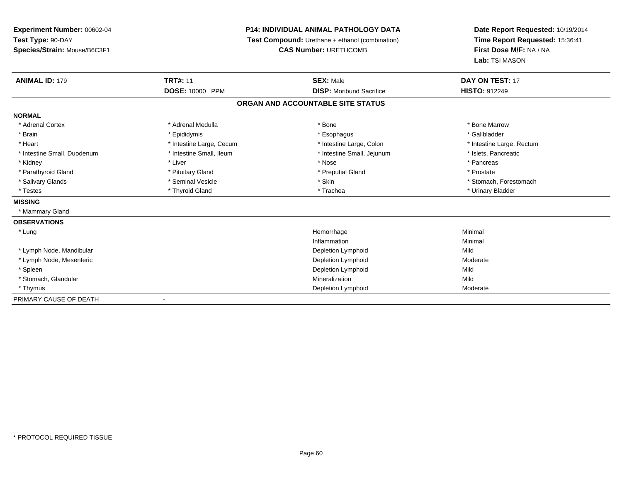# **P14: INDIVIDUAL ANIMAL PATHOLOGY DATA**

**Test Compound:** Urethane + ethanol (combination)

**CAS Number:** URETHCOMB

| <b>ANIMAL ID: 179</b>       | <b>TRT#: 11</b>          | <b>SEX: Male</b>                  | DAY ON TEST: 17           |  |
|-----------------------------|--------------------------|-----------------------------------|---------------------------|--|
|                             | DOSE: 10000 PPM          | <b>DISP:</b> Moribund Sacrifice   | <b>HISTO: 912249</b>      |  |
|                             |                          | ORGAN AND ACCOUNTABLE SITE STATUS |                           |  |
| <b>NORMAL</b>               |                          |                                   |                           |  |
| * Adrenal Cortex            | * Adrenal Medulla        | * Bone                            | * Bone Marrow             |  |
| * Brain                     | * Epididymis             | * Esophagus                       | * Gallbladder             |  |
| * Heart                     | * Intestine Large, Cecum | * Intestine Large, Colon          | * Intestine Large, Rectum |  |
| * Intestine Small, Duodenum | * Intestine Small, Ileum | * Intestine Small, Jejunum        | * Islets, Pancreatic      |  |
| * Kidney                    | * Liver                  | * Nose                            | * Pancreas                |  |
| * Parathyroid Gland         | * Pituitary Gland        | * Preputial Gland                 | * Prostate                |  |
| * Salivary Glands           | * Seminal Vesicle        | * Skin                            | * Stomach, Forestomach    |  |
| * Testes                    | * Thyroid Gland          | * Trachea                         | * Urinary Bladder         |  |
| <b>MISSING</b>              |                          |                                   |                           |  |
| * Mammary Gland             |                          |                                   |                           |  |
| <b>OBSERVATIONS</b>         |                          |                                   |                           |  |
| * Lung                      |                          | Hemorrhage                        | Minimal                   |  |
|                             |                          | Inflammation                      | Minimal                   |  |
| * Lymph Node, Mandibular    |                          | Depletion Lymphoid                | Mild                      |  |
| * Lymph Node, Mesenteric    |                          | Depletion Lymphoid                | Moderate                  |  |
| * Spleen                    |                          | Depletion Lymphoid                | Mild                      |  |
| * Stomach, Glandular        |                          | Mineralization                    | Mild                      |  |
| * Thymus                    |                          | Depletion Lymphoid                | Moderate                  |  |
| PRIMARY CAUSE OF DEATH      | $\overline{\phantom{a}}$ |                                   |                           |  |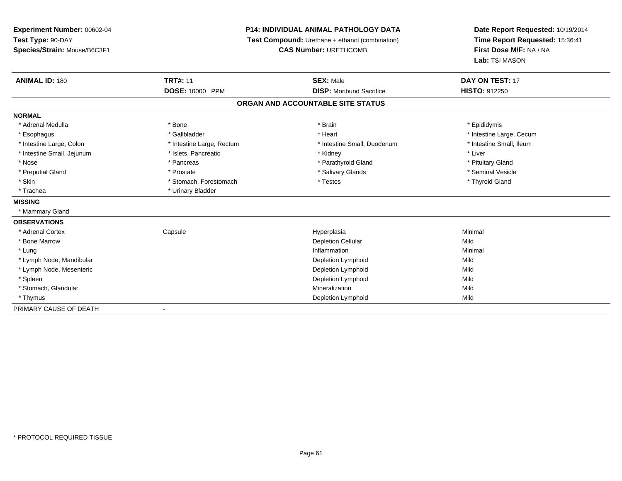**Experiment Number:** 00602-04**Test Type:** 90-DAY **Species/Strain:** Mouse/B6C3F1**P14: INDIVIDUAL ANIMAL PATHOLOGY DATA Test Compound:** Urethane + ethanol (combination)**CAS Number:** URETHCOMB**Date Report Requested:** 10/19/2014**Time Report Requested:** 15:36:41**First Dose M/F:** NA / NA**Lab:** TSI MASON**ANIMAL ID:** 180**CONSERVING TRT#:** 11 **SEX:** Male **SEX:** Male **DAY ON TEST:** 17 **DOSE:** 10000 PPM **DISP:** Moribund Sacrifice **HISTO:** <sup>912250</sup> **ORGAN AND ACCOUNTABLE SITE STATUSNORMAL**\* Adrenal Medulla \* Adrenal Medulla \* \* \* Adrenal Medulla \* \* Epididymis \* Bone \* \* Brain \* \* Brain \* \* Brain \* \* Epididymis \* Epididymis \* Epididymis \* \* Epididymis \* \* Epididymis \* \* Epididymis \* \* Epididymis \* \* Epididymis \* \* Epididymis \* Esophagus \* https://www.fragustage.com/web/2019/heart \* Heart \* Heart \* Heart \* Intestine Large, Cecum \* Intestine Large, Cecum \* Gallbladder \* Callbladder \* 11 and 12 and 12 and 12 and 12 and 12 and 12 and 12 and 12 and \* Intestine Small, Ileum \* Intestine Large, Colon \* Intestine Large, Rectum \* Intestine Small, Duodenum \* Intestine Small, Duodenum \* Intestine Small, Jejunum \* 1992 \* The state of the state of the state of the state of the state of the state of the state of the state of the state of the state of the state of the state of the state of the state of the \* Nose \* Pancreas \* Pancreas \* Pancreas \* Parathyroid Gland \* Parathyroid Gland \* Pituitary Gland \* Pituitary Stand \* Pituitary Communisty of the standard \* Parathyroid Gland \* Pituitary Gland \* Pituitary Gland \* Pituitary \* Seminal Vesicle \* Preputial Gland \* \* Annual vesicle \* \* Prostate \* \* Salivary Glands \* \* Salivary Glands \* \* Seminal Vesicle \* \* Skin \* Thyroid Gland \* Stomach, Forestomach \* Testes \* Testes \* Thyroid Gland \* Thyroid Gland \* Trachea \* Urinary Bladder**MISSING** \* Mammary Gland**OBSERVATIONS** \* Adrenal Cortex**Capsule**  Hyperplasia Minimal \* Bone Marroww Depletion Cellular and Depletion Cellular and Depletion Cellular and Mild \* Lungg and the state of the state of the state of the state of the state of the state of the state of the state of the state of the state of the state of the state of the state of the state of the state of the state of the stat \* Lymph Node, Mandibular Depletion Lymphoidd Mild \* Lymph Node, Mesenteric Depletion Lymphoidd Mild \* Spleenn and the control of the control of the control of the control of the control of the control of the control of  $\mathsf{N}\mathsf{ild}$  \* Stomach, Glandular Mineralizationn Mild \* Thymus Depletion Lymphoidd Mild PRIMARY CAUSE OF DEATH-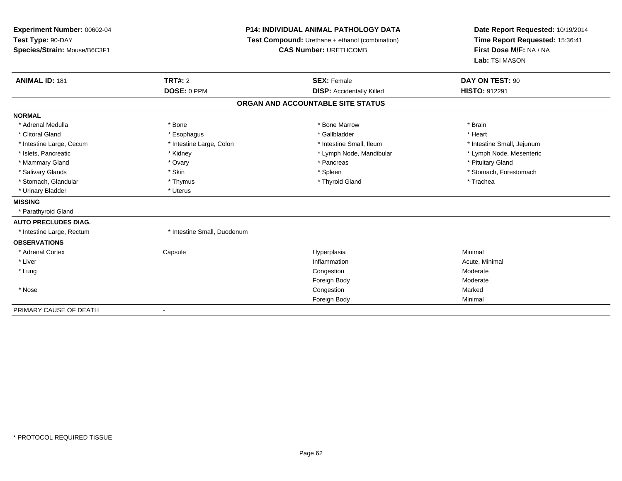| Experiment Number: 00602-04  |                             | <b>P14: INDIVIDUAL ANIMAL PATHOLOGY DATA</b>    | Date Report Requested: 10/19/2014 |  |
|------------------------------|-----------------------------|-------------------------------------------------|-----------------------------------|--|
| Test Type: 90-DAY            |                             | Test Compound: Urethane + ethanol (combination) | Time Report Requested: 15:36:41   |  |
| Species/Strain: Mouse/B6C3F1 |                             | <b>CAS Number: URETHCOMB</b>                    | First Dose M/F: NA / NA           |  |
|                              |                             |                                                 | Lab: TSI MASON                    |  |
| <b>ANIMAL ID: 181</b>        | <b>TRT#: 2</b>              | <b>SEX: Female</b>                              | DAY ON TEST: 90                   |  |
|                              | DOSE: 0 PPM                 | <b>DISP: Accidentally Killed</b>                | <b>HISTO: 912291</b>              |  |
|                              |                             | ORGAN AND ACCOUNTABLE SITE STATUS               |                                   |  |
| <b>NORMAL</b>                |                             |                                                 |                                   |  |
| * Adrenal Medulla            | * Bone                      | * Bone Marrow                                   | * Brain                           |  |
| * Clitoral Gland             | * Esophagus                 | * Gallbladder                                   | * Heart                           |  |
| * Intestine Large, Cecum     | * Intestine Large, Colon    | * Intestine Small. Ileum                        | * Intestine Small, Jejunum        |  |
| * Islets, Pancreatic         | * Kidney                    | * Lymph Node, Mandibular                        | * Lymph Node, Mesenteric          |  |
| * Mammary Gland              | * Ovary                     | * Pancreas                                      | * Pituitary Gland                 |  |
| * Salivary Glands            | * Skin                      | * Spleen                                        | * Stomach, Forestomach            |  |
| * Stomach, Glandular         | * Thymus                    | * Thyroid Gland                                 | * Trachea                         |  |
| * Urinary Bladder            | * Uterus                    |                                                 |                                   |  |
| <b>MISSING</b>               |                             |                                                 |                                   |  |
| * Parathyroid Gland          |                             |                                                 |                                   |  |
| <b>AUTO PRECLUDES DIAG.</b>  |                             |                                                 |                                   |  |
| * Intestine Large, Rectum    | * Intestine Small, Duodenum |                                                 |                                   |  |
| <b>OBSERVATIONS</b>          |                             |                                                 |                                   |  |
| * Adrenal Cortex             | Capsule                     | Hyperplasia                                     | Minimal                           |  |
| * Liver                      |                             | Inflammation                                    | Acute, Minimal                    |  |
| * Lung                       |                             | Congestion                                      | Moderate                          |  |
|                              |                             | Foreign Body                                    | Moderate                          |  |
| * Nose                       |                             | Congestion                                      | Marked                            |  |
|                              |                             | Foreign Body                                    | Minimal                           |  |
| PRIMARY CAUSE OF DEATH       |                             |                                                 |                                   |  |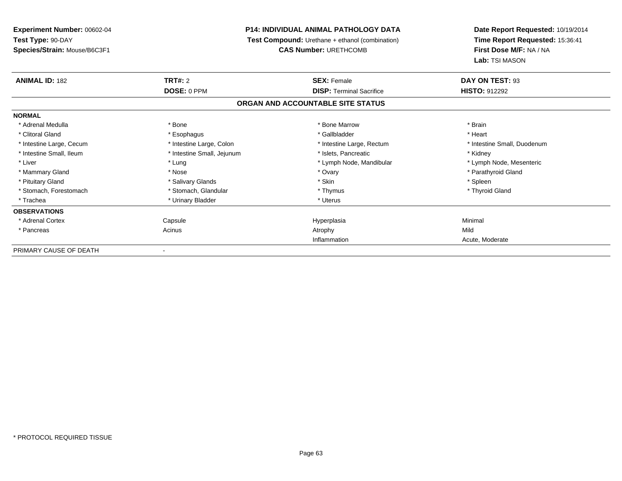**Experiment Number:** 00602-04**Test Type:** 90-DAY **Species/Strain:** Mouse/B6C3F1**P14: INDIVIDUAL ANIMAL PATHOLOGY DATA Test Compound:** Urethane + ethanol (combination)**CAS Number:** URETHCOMB**Date Report Requested:** 10/19/2014**Time Report Requested:** 15:36:41**First Dose M/F:** NA / NA**Lab:** TSI MASON**ANIMAL ID:** 182**TRT#:** 2 **SEX:** Female **DAY ON TEST:** 93 **DOSE:** 0 PPM**DISP:** Terminal Sacrifice **HISTO:** 912292 **ORGAN AND ACCOUNTABLE SITE STATUSNORMAL**\* Adrenal Medulla \* \* Annual Medulla \* Brain \* Bone \* \* Bone Marrow \* Bone Marrow \* \* Brain \* Brain \* Brain \* Brain \* Brain \* Brain \* Brain \* Brain \* Brain \* Brain \* Brain \* Brain \* Brain \* Brain \* Brain \* Brain \* Brain \* \* Heart \* Clitoral Gland \* \* \* heart \* \* Esophagus \* \* \* \* \* \* \* \* \* \* \* Gallbladder \* \* \* \* \* \* \* \* \* \* \* \* Heart \* Intestine Large, Cecum \* Intestine Large, Colon \* Intestine Large, Rectum \* Intestine Small, Duodenum \* Intestine Small, Ileum \* **Alleman \* Intestine Small, Jejunum** \* The \* Islets, Pancreatic \* \* \* Kidney \* Kidney \* Lymph Node, Mesenteric \* Liver \* Lung \* Lung \* Lung \* Lung \* Lymph Node, Mandibular \* Lymph Node, Mandibular \* Mammary Gland \* \* Nose \* \* Nose \* \* Ovary \* Ovary \* Ovary \* The material structure of the term of the term \* Parathyroid Gland \* Parathyroid Gland \* Parathyroid Gland \* Nose \* \* Parathyroid Gland \* \* Parathyroid Gland \* \* Pituitary Gland \* \* \* Sheen \* Salivary Glands \* \* State \* \* Skin \* \* Skin \* \* Spleen \* \* Spleen \* \* Spleen \* \* Thyroid Gland \* Stomach, Forestomach \* Thymus \* Stomach, Glandular \* Thymus \* Thymus \* Thymus \* Thymus \* Thymus \* Thymus \* Thymus \* Thymus \* Thymus \* Thymus \* Thymus \* Thymus \* Thymus \* Thymus \* Thymus \* Thymus \* Thymus \* Thymus \* Thymu \* Trachea \* Urinary Bladder \* Urinary Bladder \* Urinary Bladder \* Urinary Bladder \* Urinary Planet \* Urinary Planet \* Urinary Planet \* Urinary Planet \* Urinary Planet \* Urinary Planet \* Urinary Planet \* Urinary Planet \* Ur **OBSERVATIONS** \* Adrenal Cortex Capsulee and the Hyperplasia Minimal Minimal Service and the Hyperplasia Minimal Minimal Service and Minimal Service and Minimal Service and Minimal Service and Minimal Service and Minimal Service and Minimal Service and Minimal \* Pancreass and the contract of the Acinus and Acinus and Acinus and Acinus Atrophy and Acinus and Mild n Acute, Moderate InflammationPRIMARY CAUSE OF DEATH-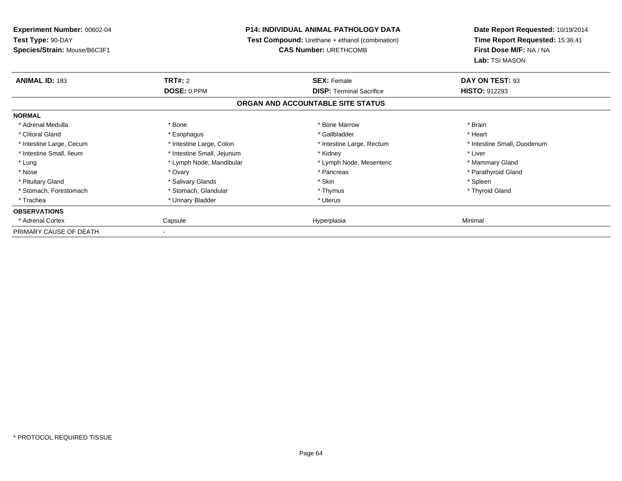| Experiment Number: 00602-04                                          | <b>P14: INDIVIDUAL ANIMAL PATHOLOGY DATA</b> |                                   | Date Report Requested: 10/19/2014 |
|----------------------------------------------------------------------|----------------------------------------------|-----------------------------------|-----------------------------------|
| Test Type: 90-DAY<br>Test Compound: Urethane + ethanol (combination) |                                              |                                   | Time Report Requested: 15:36:41   |
| Species/Strain: Mouse/B6C3F1                                         |                                              | <b>CAS Number: URETHCOMB</b>      | First Dose M/F: NA / NA           |
|                                                                      |                                              |                                   | Lab: TSI MASON                    |
| <b>ANIMAL ID: 183</b>                                                | <b>TRT#: 2</b>                               | <b>SEX: Female</b>                | DAY ON TEST: 93                   |
|                                                                      | DOSE: 0 PPM                                  | <b>DISP:</b> Terminal Sacrifice   | <b>HISTO: 912293</b>              |
|                                                                      |                                              | ORGAN AND ACCOUNTABLE SITE STATUS |                                   |
| <b>NORMAL</b>                                                        |                                              |                                   |                                   |
| * Adrenal Medulla                                                    | * Bone                                       | * Bone Marrow                     | * Brain                           |
| * Clitoral Gland                                                     | * Esophagus                                  | * Gallbladder                     | * Heart                           |
| * Intestine Large, Cecum                                             | * Intestine Large, Colon                     | * Intestine Large, Rectum         | * Intestine Small, Duodenum       |
| * Intestine Small, Ileum                                             | * Intestine Small, Jejunum                   | * Kidney                          | * Liver                           |
| * Lung                                                               | * Lymph Node, Mandibular                     | * Lymph Node, Mesenteric          | * Mammary Gland                   |
| * Nose                                                               | * Ovary                                      | * Pancreas                        | * Parathyroid Gland               |
| * Pituitary Gland                                                    | * Salivary Glands                            | * Skin                            | * Spleen                          |
| * Stomach, Forestomach                                               | * Stomach, Glandular                         | * Thymus                          | * Thyroid Gland                   |
| * Trachea                                                            | * Urinary Bladder                            | * Uterus                          |                                   |
| <b>OBSERVATIONS</b>                                                  |                                              |                                   |                                   |
| * Adrenal Cortex                                                     | Capsule                                      | Hyperplasia                       | Minimal                           |
| PRIMARY CAUSE OF DEATH                                               |                                              |                                   |                                   |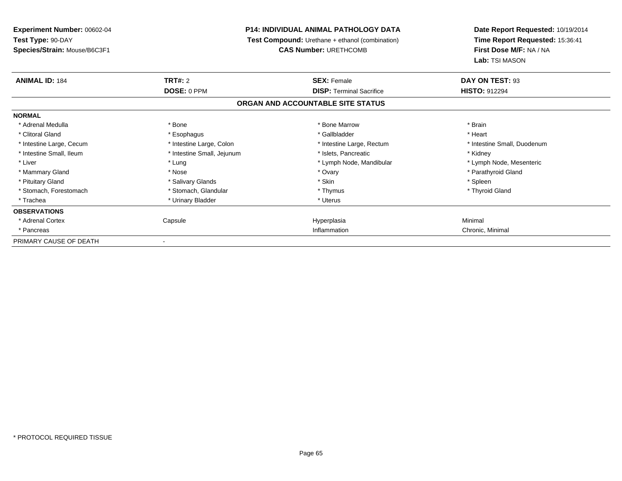**Experiment Number:** 00602-04**Test Type:** 90-DAY **Species/Strain:** Mouse/B6C3F1**P14: INDIVIDUAL ANIMAL PATHOLOGY DATA Test Compound:** Urethane + ethanol (combination)**CAS Number:** URETHCOMB**Date Report Requested:** 10/19/2014**Time Report Requested:** 15:36:41**First Dose M/F:** NA / NA**Lab:** TSI MASON**ANIMAL ID:** 184**TRT#:** 2 **SEX:** Female **DAY ON TEST:** 93 **DOSE:** 0 PPM**DISP:** Terminal Sacrifice **HISTO:** 912294 **ORGAN AND ACCOUNTABLE SITE STATUSNORMAL**\* Adrenal Medulla \* \* Annual Medulla \* Brain \* Bone \* \* Bone Marrow \* Bone Marrow \* \* Brain \* Brain \* Brain \* Brain \* Brain \* Brain \* Brain \* Brain \* Brain \* Brain \* Brain \* Brain \* Brain \* Brain \* Brain \* Brain \* Brain \* \* Heart \* Clitoral Gland \* \* \* heart \* \* Esophagus \* \* \* \* \* \* \* \* \* \* \* Gallbladder \* \* \* \* \* \* \* \* \* \* \* \* Heart \* Intestine Large, Cecum \* Intestine Large, Colon \* Intestine Large, Rectum \* Intestine Small, Duodenum \* Intestine Small, Ileum \* **Alleman \* Intestine Small, Jejunum** \* The \* Islets, Pancreatic \* \* \* Kidney \* Kidney \* Lymph Node, Mesenteric \* Liver \* Lung \* Lung \* Lung \* Lung \* Lymph Node, Mandibular \* Lymph Node, Mandibular \* Mammary Gland \* \* Nose \* \* Nose \* \* Ovary \* Ovary \* Ovary \* The material structure of the term of the term \* Parathyroid Gland \* Parathyroid Gland \* Parathyroid Gland \* Nose \* \* Parathyroid Gland \* \* Parathyroid Gland \* \* Pituitary Gland \* \* \* Sheen \* Salivary Glands \* \* State \* \* Skin \* \* Skin \* \* Spleen \* \* Spleen \* \* Spleen \* \* Thyroid Gland \* Stomach, Forestomach \* Thymus \* Stomach, Glandular \* Thymus \* Thymus \* Thymus \* Thymus \* Thymus \* Thymus \* Thymus \* Thymus \* Thymus \* Thymus \* Thymus \* Thymus \* Thymus \* Thymus \* Thymus \* Thymus \* Thymus \* Thymus \* Thymu \* Trachea \* Urinary Bladder \* Urinary Bladder \* Urinary Bladder \* Urinary Bladder \* Urinary Planet \* Urinary Planet \* Urinary Planet \* Urinary Planet \* Urinary Planet \* Urinary Planet \* Urinary Planet \* Urinary Planet \* Ur **OBSERVATIONS** \* Adrenal Cortex Capsulee and the Hyperplasia Minimal Minimal Service and the Hyperplasia Minimal Minimal Service and Minimal Service and Minimal Service and Minimal Service and Minimal Service and Minimal Service and Minimal Service and Minimal \* Pancreass and the contract of the contract of the contract of the contract of the contract of the contract of the contract of the contract of the contract of the contract of the contract of the contract of the contract of the cont Inflammation **Chronic**, Minimal PRIMARY CAUSE OF DEATH-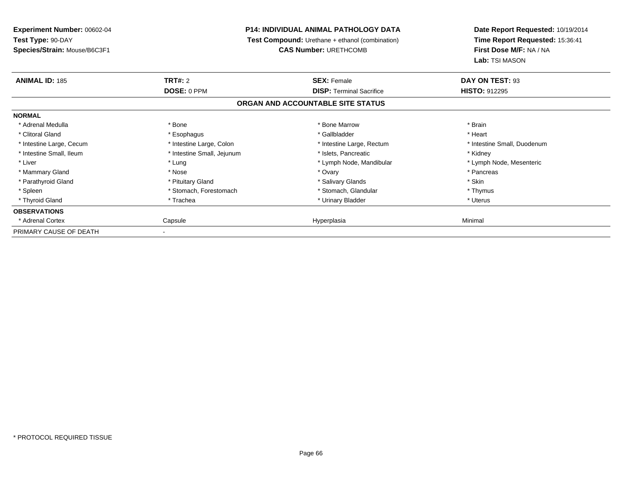| <b>Experiment Number: 00602-04</b><br>Test Type: 90-DAY |                            | <b>P14: INDIVIDUAL ANIMAL PATHOLOGY DATA</b>    | Date Report Requested: 10/19/2014 |
|---------------------------------------------------------|----------------------------|-------------------------------------------------|-----------------------------------|
|                                                         |                            | Test Compound: Urethane + ethanol (combination) | Time Report Requested: 15:36:41   |
| Species/Strain: Mouse/B6C3F1                            |                            | <b>CAS Number: URETHCOMB</b>                    | First Dose M/F: NA / NA           |
|                                                         |                            |                                                 | Lab: TSI MASON                    |
| <b>ANIMAL ID: 185</b>                                   | <b>TRT#: 2</b>             | <b>SEX: Female</b>                              | DAY ON TEST: 93                   |
|                                                         | DOSE: 0 PPM                | <b>DISP: Terminal Sacrifice</b>                 | <b>HISTO: 912295</b>              |
|                                                         |                            | ORGAN AND ACCOUNTABLE SITE STATUS               |                                   |
| <b>NORMAL</b>                                           |                            |                                                 |                                   |
| * Adrenal Medulla                                       | * Bone                     | * Bone Marrow                                   | * Brain                           |
| * Clitoral Gland                                        | * Esophagus                | * Gallbladder                                   | * Heart                           |
| * Intestine Large, Cecum                                | * Intestine Large, Colon   | * Intestine Large, Rectum                       | * Intestine Small, Duodenum       |
| * Intestine Small, Ileum                                | * Intestine Small, Jejunum | * Islets, Pancreatic                            | * Kidney                          |
| * Liver                                                 | * Lung                     | * Lymph Node, Mandibular                        | * Lymph Node, Mesenteric          |
| * Mammary Gland                                         | * Nose                     | * Ovary                                         | * Pancreas                        |
| * Parathyroid Gland                                     | * Pituitary Gland          | * Salivary Glands                               | * Skin                            |
| * Spleen                                                | * Stomach, Forestomach     | * Stomach, Glandular                            | * Thymus                          |
| * Thyroid Gland                                         | * Trachea                  | * Urinary Bladder                               | * Uterus                          |
| <b>OBSERVATIONS</b>                                     |                            |                                                 |                                   |
| * Adrenal Cortex                                        | Capsule                    | Hyperplasia                                     | Minimal                           |
| PRIMARY CAUSE OF DEATH                                  |                            |                                                 |                                   |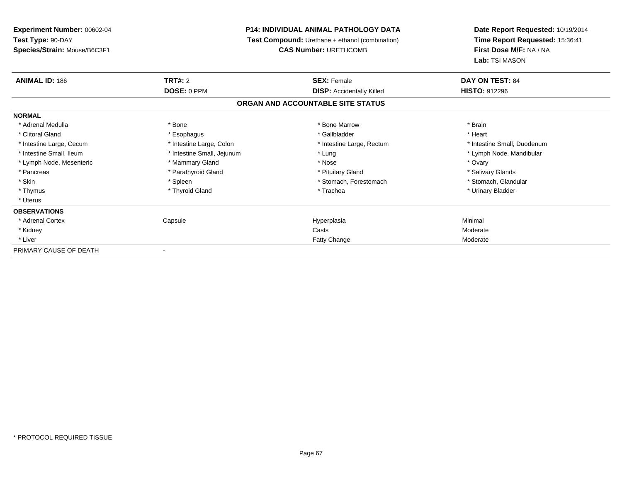**Experiment Number:** 00602-04**Test Type:** 90-DAY **Species/Strain:** Mouse/B6C3F1**P14: INDIVIDUAL ANIMAL PATHOLOGY DATA Test Compound:** Urethane + ethanol (combination)**CAS Number:** URETHCOMB**Date Report Requested:** 10/19/2014**Time Report Requested:** 15:36:41**First Dose M/F:** NA / NA**Lab:** TSI MASON**ANIMAL ID:** 186**C TRT#:** 2 **SEX:** Female **DAY ON TEST:** 84 **DOSE:** 0 PPM**DISP:** Accidentally Killed **HISTO:** 912296 **ORGAN AND ACCOUNTABLE SITE STATUSNORMAL**\* Adrenal Medulla \* \* Annual Medulla \* Brain \* Bone \* \* Bone Marrow \* Bone Marrow \* \* Brain \* Brain \* Brain \* Brain \* Brain \* Brain \* Brain \* Brain \* Brain \* Brain \* Brain \* Brain \* Brain \* Brain \* Brain \* Brain \* Brain \* \* Heart \* Clitoral Gland \* \* \* heart \* \* Esophagus \* \* \* \* \* \* \* \* \* \* \* Gallbladder \* \* \* \* \* \* \* \* \* \* \* \* Heart \* Intestine Large, Cecum \* Intestine Large, Colon \* Intestine Large, Rectum \* Intestine Small, Duodenum \* Intestine Small, Ileum \* Intestine Small, Jejunum \* Lung \* Lymph Node, Mandibular\* Lymph Node, Mesenteric \* \* \* Mammary Gland \* \* Nose \* \* Nose \* \* Nose \* Ovary \* Ovary \* Salivary Glands \* Pancreas \* And the section of the section of the section of the section of the section of the section of the section of the section of the section of the section of the section of the section of the section of the sectio \* Stomach, Glandular \* Skin \* Spleen \* Spleen \* Spleen \* Stomach, Forestomach \* Stomach, Suite and the storage \* Stomach, Glandular \* Thymus \* Thyroid Gland \* Trachea \* Urinary Bladder \* \* Uterus**OBSERVATIONS** \* Adrenal Cortex Capsulee and the Hyperplasia Minimal Minimal Service and the Hyperplasia Minimal Minimal Service and Minimal Service and Minimal Service and Minimal Service and Minimal Service and Minimal Service and Minimal Service and Minimal \* Kidneyy which is a state of the control of the control of the control of the control of the control of the control of the control of the control of the control of the control of the control of the control of the control of the c e Moderate \* Liver Fatty ChangePRIMARY CAUSE OF DEATH-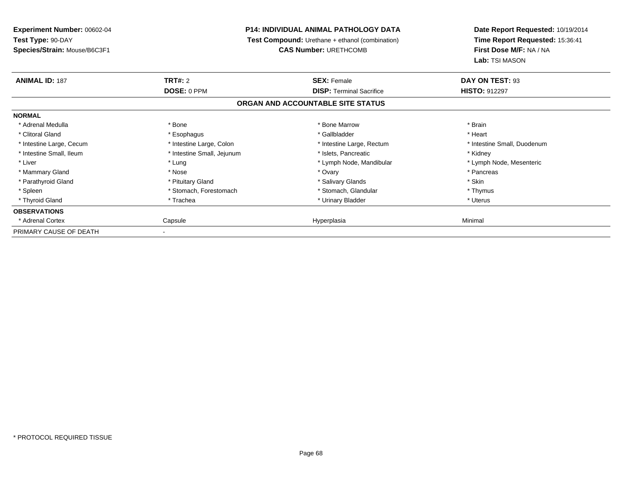| <b>Experiment Number: 00602-04</b> | <b>P14: INDIVIDUAL ANIMAL PATHOLOGY DATA</b> |                                                 | Date Report Requested: 10/19/2014 |
|------------------------------------|----------------------------------------------|-------------------------------------------------|-----------------------------------|
| Test Type: 90-DAY                  |                                              | Test Compound: Urethane + ethanol (combination) | Time Report Requested: 15:36:41   |
| Species/Strain: Mouse/B6C3F1       |                                              | <b>CAS Number: URETHCOMB</b>                    | First Dose M/F: NA / NA           |
|                                    |                                              |                                                 | Lab: TSI MASON                    |
| <b>ANIMAL ID: 187</b>              | <b>TRT#: 2</b>                               | <b>SEX: Female</b>                              | DAY ON TEST: 93                   |
|                                    | DOSE: 0 PPM                                  | <b>DISP: Terminal Sacrifice</b>                 | <b>HISTO: 912297</b>              |
|                                    |                                              | ORGAN AND ACCOUNTABLE SITE STATUS               |                                   |
| <b>NORMAL</b>                      |                                              |                                                 |                                   |
| * Adrenal Medulla                  | * Bone                                       | * Bone Marrow                                   | * Brain                           |
| * Clitoral Gland                   | * Esophagus                                  | * Gallbladder                                   | * Heart                           |
| * Intestine Large, Cecum           | * Intestine Large, Colon                     | * Intestine Large, Rectum                       | * Intestine Small, Duodenum       |
| * Intestine Small, Ileum           | * Intestine Small, Jejunum                   | * Islets, Pancreatic                            | * Kidney                          |
| * Liver                            | * Lung                                       | * Lymph Node, Mandibular                        | * Lymph Node, Mesenteric          |
| * Mammary Gland                    | * Nose                                       | * Ovary                                         | * Pancreas                        |
| * Parathyroid Gland                | * Pituitary Gland                            | * Salivary Glands                               | * Skin                            |
| * Spleen                           | * Stomach, Forestomach                       | * Stomach, Glandular                            | * Thymus                          |
| * Thyroid Gland                    | * Trachea                                    | * Urinary Bladder                               | * Uterus                          |
| <b>OBSERVATIONS</b>                |                                              |                                                 |                                   |
| * Adrenal Cortex                   | Capsule                                      | Hyperplasia                                     | Minimal                           |
| PRIMARY CAUSE OF DEATH             |                                              |                                                 |                                   |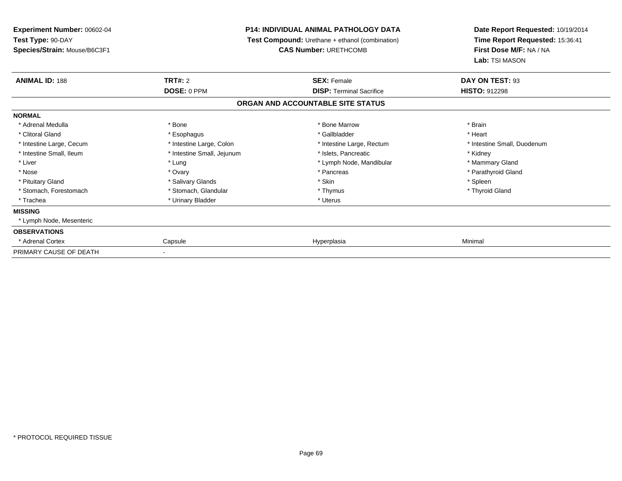| Experiment Number: 00602-04<br>Test Type: 90-DAY<br>Species/Strain: Mouse/B6C3F1 | <b>P14: INDIVIDUAL ANIMAL PATHOLOGY DATA</b><br><b>Test Compound:</b> Urethane + ethanol (combination)<br><b>CAS Number: URETHCOMB</b> |                                   | Date Report Requested: 10/19/2014<br>Time Report Requested: 15:36:41<br>First Dose M/F: NA / NA |  |  |
|----------------------------------------------------------------------------------|----------------------------------------------------------------------------------------------------------------------------------------|-----------------------------------|-------------------------------------------------------------------------------------------------|--|--|
|                                                                                  |                                                                                                                                        |                                   | Lab: TSI MASON                                                                                  |  |  |
| <b>ANIMAL ID: 188</b>                                                            | <b>TRT#: 2</b>                                                                                                                         | <b>SEX: Female</b>                | DAY ON TEST: 93                                                                                 |  |  |
|                                                                                  | DOSE: 0 PPM                                                                                                                            | <b>DISP: Terminal Sacrifice</b>   | <b>HISTO: 912298</b>                                                                            |  |  |
|                                                                                  |                                                                                                                                        | ORGAN AND ACCOUNTABLE SITE STATUS |                                                                                                 |  |  |
| <b>NORMAL</b>                                                                    |                                                                                                                                        |                                   |                                                                                                 |  |  |
| * Adrenal Medulla                                                                | * Bone                                                                                                                                 | * Bone Marrow                     | * Brain                                                                                         |  |  |
| * Clitoral Gland                                                                 | * Esophagus                                                                                                                            | * Gallbladder                     | * Heart                                                                                         |  |  |
| * Intestine Large, Cecum                                                         | * Intestine Large, Colon                                                                                                               | * Intestine Large, Rectum         | * Intestine Small, Duodenum                                                                     |  |  |
| * Intestine Small, Ileum                                                         | * Intestine Small, Jejunum                                                                                                             | * Islets, Pancreatic              | * Kidney                                                                                        |  |  |
| * Liver                                                                          | * Lung                                                                                                                                 | * Lymph Node, Mandibular          | * Mammary Gland                                                                                 |  |  |
| * Nose                                                                           | * Ovary                                                                                                                                | * Pancreas                        | * Parathyroid Gland                                                                             |  |  |
| * Pituitary Gland                                                                | * Salivary Glands                                                                                                                      | * Skin                            | * Spleen                                                                                        |  |  |
| * Stomach, Forestomach                                                           | * Stomach, Glandular                                                                                                                   | * Thymus                          | * Thyroid Gland                                                                                 |  |  |
| * Trachea                                                                        | * Urinary Bladder                                                                                                                      | * Uterus                          |                                                                                                 |  |  |
| <b>MISSING</b>                                                                   |                                                                                                                                        |                                   |                                                                                                 |  |  |
| * Lymph Node, Mesenteric                                                         |                                                                                                                                        |                                   |                                                                                                 |  |  |
| <b>OBSERVATIONS</b>                                                              |                                                                                                                                        |                                   |                                                                                                 |  |  |
| * Adrenal Cortex                                                                 | Capsule                                                                                                                                | Hyperplasia                       | Minimal                                                                                         |  |  |
| PRIMARY CAUSE OF DEATH                                                           | $\overline{\phantom{a}}$                                                                                                               |                                   |                                                                                                 |  |  |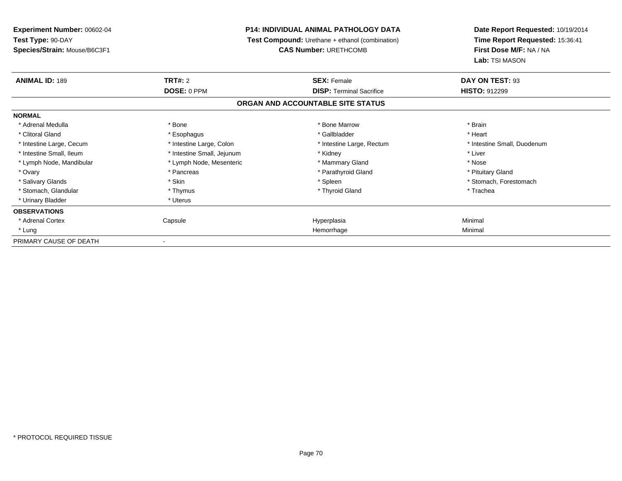| <b>Experiment Number: 00602-04</b> |                            | <b>P14: INDIVIDUAL ANIMAL PATHOLOGY DATA</b>                                           | Date Report Requested: 10/19/2014 |  |  |
|------------------------------------|----------------------------|----------------------------------------------------------------------------------------|-----------------------------------|--|--|
| Test Type: 90-DAY                  |                            | <b>Test Compound:</b> Urethane + ethanol (combination)<br><b>CAS Number: URETHCOMB</b> |                                   |  |  |
| Species/Strain: Mouse/B6C3F1       |                            |                                                                                        |                                   |  |  |
|                                    |                            |                                                                                        | Lab: TSI MASON                    |  |  |
| <b>ANIMAL ID: 189</b>              | <b>TRT#: 2</b>             | <b>SEX: Female</b>                                                                     | DAY ON TEST: 93                   |  |  |
|                                    | DOSE: 0 PPM                | <b>DISP: Terminal Sacrifice</b>                                                        | <b>HISTO: 912299</b>              |  |  |
|                                    |                            | ORGAN AND ACCOUNTABLE SITE STATUS                                                      |                                   |  |  |
| <b>NORMAL</b>                      |                            |                                                                                        |                                   |  |  |
| * Adrenal Medulla                  | * Bone                     | * Bone Marrow                                                                          | * Brain                           |  |  |
| * Clitoral Gland                   | * Esophagus                | * Gallbladder                                                                          | * Heart                           |  |  |
| * Intestine Large, Cecum           | * Intestine Large, Colon   | * Intestine Large, Rectum                                                              | * Intestine Small, Duodenum       |  |  |
| * Intestine Small, Ileum           | * Intestine Small, Jejunum | * Kidney                                                                               | * Liver                           |  |  |
| * Lymph Node, Mandibular           | * Lymph Node, Mesenteric   | * Mammary Gland                                                                        | * Nose                            |  |  |
| * Ovary                            | * Pancreas                 | * Parathyroid Gland                                                                    | * Pituitary Gland                 |  |  |
| * Salivary Glands                  | * Skin                     | * Spleen                                                                               | * Stomach, Forestomach            |  |  |
| * Stomach, Glandular               | * Thymus                   | * Thyroid Gland                                                                        | * Trachea                         |  |  |
| * Urinary Bladder                  | * Uterus                   |                                                                                        |                                   |  |  |
| <b>OBSERVATIONS</b>                |                            |                                                                                        |                                   |  |  |
| * Adrenal Cortex                   | Capsule                    | Hyperplasia                                                                            | Minimal                           |  |  |
| * Lung                             |                            | Hemorrhage                                                                             | Minimal                           |  |  |
| PRIMARY CAUSE OF DEATH             |                            |                                                                                        |                                   |  |  |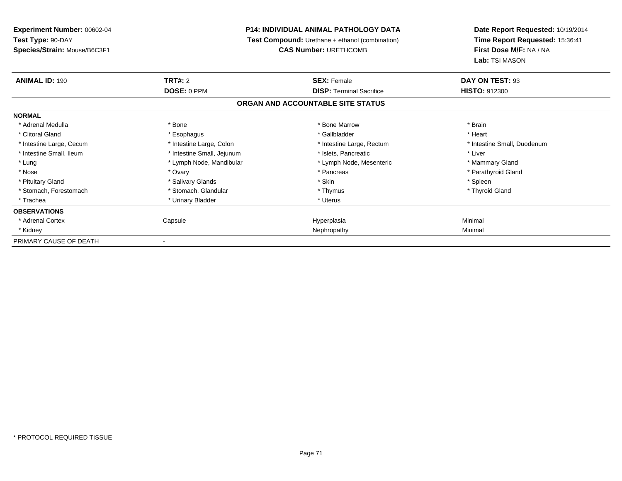**Experiment Number:** 00602-04**Test Type:** 90-DAY **Species/Strain:** Mouse/B6C3F1**P14: INDIVIDUAL ANIMAL PATHOLOGY DATA Test Compound:** Urethane + ethanol (combination)**CAS Number:** URETHCOMB**Date Report Requested:** 10/19/2014**Time Report Requested:** 15:36:41**First Dose M/F:** NA / NA**Lab:** TSI MASON**ANIMAL ID:** 190**TRT#:** 2 **SEX:** Female **DAY ON TEST:** 93 **DOSE:** 0 PPM**DISP:** Terminal Sacrifice **HISTO:** 912300 **ORGAN AND ACCOUNTABLE SITE STATUSNORMAL**\* Adrenal Medulla \* \* Annual Medulla \* Brain \* Bone \* \* Bone Marrow \* Bone Marrow \* \* Brain \* Brain \* Brain \* Brain \* Brain \* Brain \* Brain \* Brain \* Brain \* Brain \* Brain \* Brain \* Brain \* Brain \* Brain \* Brain \* Brain \* \* Heart \* Clitoral Gland \* \* \* heart \* \* Esophagus \* \* \* \* \* \* \* \* \* \* \* Gallbladder \* \* \* \* \* \* \* \* \* \* \* \* Heart \* Intestine Large, Cecum \* Intestine Large, Colon \* Intestine Large, Rectum \* Intestine Small, Duodenum \* Intestine Small, Ileum \* Intestine Small, Jejunum \* Islets, Pancreatic \* Liver\* Lung **\* Lymph Node, Mandibular \*** Lymph Node, Mesenteric \* Mammary Gland \* Mammary Gland \* Parathyroid Gland \* Nose \* Ovary \* Pancreas \* Parathyroid Gland \* Pituitary Gland \* \* \* Sheen \* Salivary Glands \* \* State \* \* Skin \* \* Skin \* \* Spleen \* \* Spleen \* \* Spleen \* \* Thyroid Gland \* Stomach, Forestomach \* Thymus \* Stomach, Glandular \* Thymus \* Thymus \* Thymus \* Thymus \* Thymus \* Thymus \* Thymus \* Thymus \* Thymus \* Thymus \* Thymus \* Thymus \* Thymus \* Thymus \* Thymus \* Thymus \* Thymus \* Thymus \* Thymu \* Trachea \* Urinary Bladder \* Urinary Bladder \* Urinary Bladder \* Urinary Bladder \* Urinary Planet \* Urinary Planet \* Urinary Planet \* Urinary Planet \* Urinary Planet \* Urinary Planet \* Urinary Planet \* Urinary Planet \* Ur **OBSERVATIONS** \* Adrenal Cortex Capsulee and the Hyperplasia Minimal Minimal Service and the Hyperplasia Minimal Minimal Service and Minimal Service and Minimal Service and Minimal Service and Minimal Service and Minimal Service and Minimal Service and Minimal \* Kidneyy and the control of the control of the control of the control of the control of the control of the control of the control of the control of the control of the control of the control of the control of the control of the co PRIMARY CAUSE OF DEATH-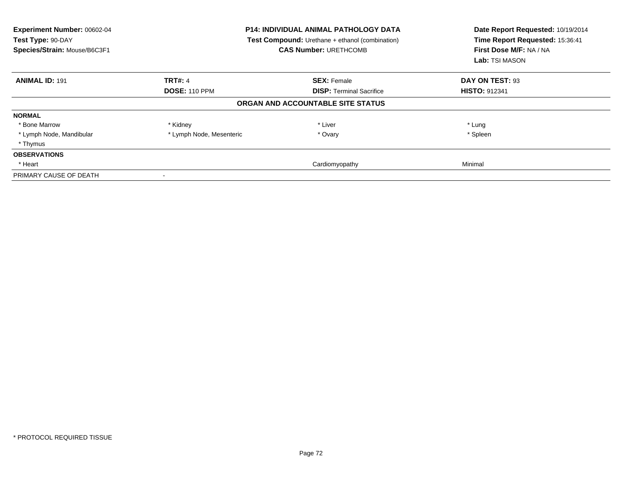| Experiment Number: 00602-04<br>Test Type: 90-DAY<br>Species/Strain: Mouse/B6C3F1 | <b>P14: INDIVIDUAL ANIMAL PATHOLOGY DATA</b><br><b>Test Compound:</b> Urethane + ethanol (combination)<br><b>CAS Number: URETHCOMB</b> |                                   | Date Report Requested: 10/19/2014<br>Time Report Requested: 15:36:41<br>First Dose M/F: NA / NA<br>Lab: TSI MASON |
|----------------------------------------------------------------------------------|----------------------------------------------------------------------------------------------------------------------------------------|-----------------------------------|-------------------------------------------------------------------------------------------------------------------|
| <b>ANIMAL ID: 191</b>                                                            | <b>TRT#: 4</b>                                                                                                                         | <b>SEX: Female</b>                | DAY ON TEST: 93                                                                                                   |
|                                                                                  | <b>DOSE: 110 PPM</b>                                                                                                                   | <b>DISP:</b> Terminal Sacrifice   | <b>HISTO: 912341</b>                                                                                              |
|                                                                                  |                                                                                                                                        | ORGAN AND ACCOUNTABLE SITE STATUS |                                                                                                                   |
| <b>NORMAL</b>                                                                    |                                                                                                                                        |                                   |                                                                                                                   |
| * Bone Marrow                                                                    | * Kidney                                                                                                                               | * Liver                           | * Lung                                                                                                            |
| * Lymph Node, Mandibular                                                         | * Lymph Node, Mesenteric                                                                                                               | * Ovary                           | * Spleen                                                                                                          |
| * Thymus                                                                         |                                                                                                                                        |                                   |                                                                                                                   |
| <b>OBSERVATIONS</b>                                                              |                                                                                                                                        |                                   |                                                                                                                   |
| * Heart                                                                          |                                                                                                                                        | Cardiomyopathy                    | Minimal                                                                                                           |
| PRIMARY CAUSE OF DEATH                                                           |                                                                                                                                        |                                   |                                                                                                                   |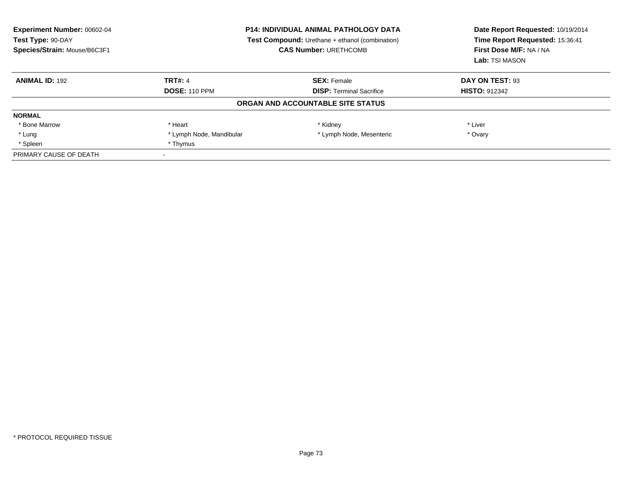| <b>Experiment Number: 00602-04</b><br>Test Type: 90-DAY<br>Species/Strain: Mouse/B6C3F1 | <b>P14: INDIVIDUAL ANIMAL PATHOLOGY DATA</b><br>Test Compound: Urethane + ethanol (combination)<br><b>CAS Number: URETHCOMB</b> |                                   | Date Report Requested: 10/19/2014<br>Time Report Requested: 15:36:41<br>First Dose M/F: NA / NA<br>Lab: TSI MASON |
|-----------------------------------------------------------------------------------------|---------------------------------------------------------------------------------------------------------------------------------|-----------------------------------|-------------------------------------------------------------------------------------------------------------------|
| <b>ANIMAL ID: 192</b>                                                                   | <b>TRT#: 4</b>                                                                                                                  | <b>SEX: Female</b>                | DAY ON TEST: 93                                                                                                   |
|                                                                                         | <b>DOSE: 110 PPM</b>                                                                                                            | <b>DISP:</b> Terminal Sacrifice   | <b>HISTO: 912342</b>                                                                                              |
|                                                                                         |                                                                                                                                 | ORGAN AND ACCOUNTABLE SITE STATUS |                                                                                                                   |
| <b>NORMAL</b>                                                                           |                                                                                                                                 |                                   |                                                                                                                   |
| * Bone Marrow                                                                           | * Heart                                                                                                                         | * Kidney                          | * Liver                                                                                                           |
| * Lung                                                                                  | * Lymph Node, Mandibular                                                                                                        | * Lymph Node, Mesenteric          | * Ovary                                                                                                           |
| * Spleen                                                                                | * Thymus                                                                                                                        |                                   |                                                                                                                   |
| PRIMARY CAUSE OF DEATH                                                                  |                                                                                                                                 |                                   |                                                                                                                   |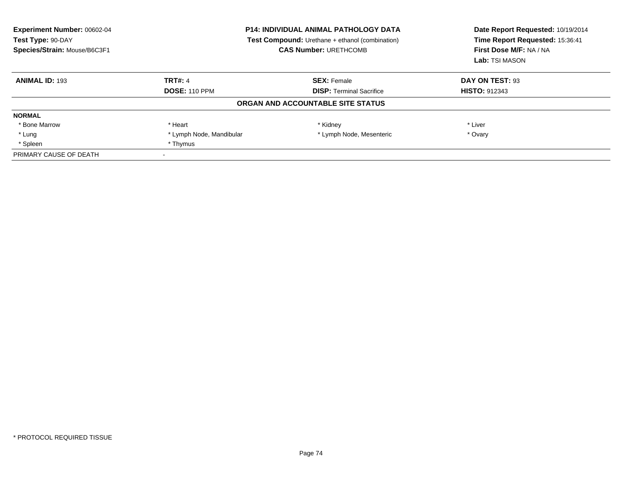| <b>Experiment Number: 00602-04</b><br>Test Type: 90-DAY<br>Species/Strain: Mouse/B6C3F1 | <b>P14: INDIVIDUAL ANIMAL PATHOLOGY DATA</b><br>Test Compound: Urethane + ethanol (combination)<br><b>CAS Number: URETHCOMB</b> |                                   | Date Report Requested: 10/19/2014<br>Time Report Requested: 15:36:41<br>First Dose M/F: NA / NA<br>Lab: TSI MASON |
|-----------------------------------------------------------------------------------------|---------------------------------------------------------------------------------------------------------------------------------|-----------------------------------|-------------------------------------------------------------------------------------------------------------------|
| <b>ANIMAL ID: 193</b>                                                                   | <b>TRT#: 4</b>                                                                                                                  | <b>SEX: Female</b>                | DAY ON TEST: 93                                                                                                   |
|                                                                                         | <b>DOSE: 110 PPM</b>                                                                                                            | <b>DISP:</b> Terminal Sacrifice   | <b>HISTO: 912343</b>                                                                                              |
|                                                                                         |                                                                                                                                 | ORGAN AND ACCOUNTABLE SITE STATUS |                                                                                                                   |
| <b>NORMAL</b>                                                                           |                                                                                                                                 |                                   |                                                                                                                   |
| * Bone Marrow                                                                           | * Heart                                                                                                                         | * Kidney                          | * Liver                                                                                                           |
| * Lung                                                                                  | * Lymph Node, Mandibular                                                                                                        | * Lymph Node, Mesenteric          | * Ovary                                                                                                           |
| * Spleen                                                                                | * Thymus                                                                                                                        |                                   |                                                                                                                   |
| PRIMARY CAUSE OF DEATH                                                                  |                                                                                                                                 |                                   |                                                                                                                   |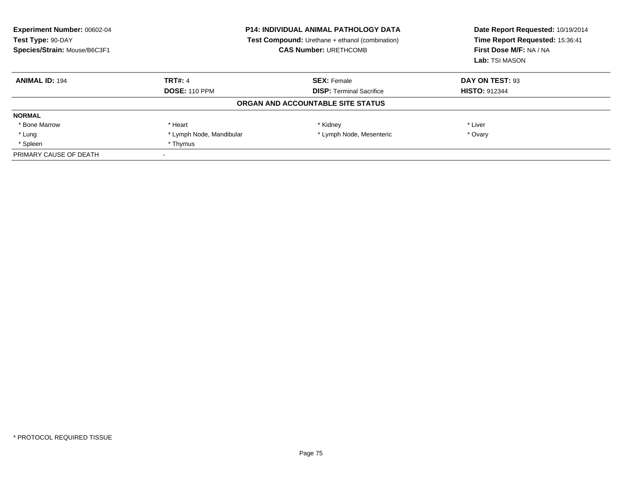| <b>Experiment Number: 00602-04</b><br>Test Type: 90-DAY<br>Species/Strain: Mouse/B6C3F1 | <b>P14: INDIVIDUAL ANIMAL PATHOLOGY DATA</b><br>Test Compound: Urethane + ethanol (combination)<br><b>CAS Number: URETHCOMB</b> |                                   | Date Report Requested: 10/19/2014<br>Time Report Requested: 15:36:41<br>First Dose M/F: NA / NA<br>Lab: TSI MASON |
|-----------------------------------------------------------------------------------------|---------------------------------------------------------------------------------------------------------------------------------|-----------------------------------|-------------------------------------------------------------------------------------------------------------------|
| <b>ANIMAL ID: 194</b>                                                                   | <b>TRT#: 4</b>                                                                                                                  | <b>SEX: Female</b>                | DAY ON TEST: 93                                                                                                   |
|                                                                                         | <b>DOSE: 110 PPM</b>                                                                                                            | <b>DISP:</b> Terminal Sacrifice   | <b>HISTO: 912344</b>                                                                                              |
|                                                                                         |                                                                                                                                 | ORGAN AND ACCOUNTABLE SITE STATUS |                                                                                                                   |
| <b>NORMAL</b>                                                                           |                                                                                                                                 |                                   |                                                                                                                   |
| * Bone Marrow                                                                           | * Heart                                                                                                                         | * Kidney                          | * Liver                                                                                                           |
| * Lung                                                                                  | * Lymph Node, Mandibular                                                                                                        | * Lymph Node, Mesenteric          | * Ovary                                                                                                           |
| * Spleen                                                                                | * Thymus                                                                                                                        |                                   |                                                                                                                   |
| PRIMARY CAUSE OF DEATH                                                                  |                                                                                                                                 |                                   |                                                                                                                   |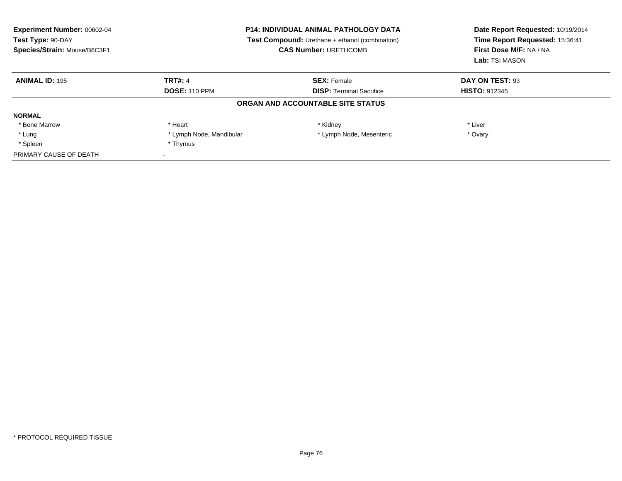| <b>Experiment Number: 00602-04</b><br>Test Type: 90-DAY<br>Species/Strain: Mouse/B6C3F1 | <b>P14: INDIVIDUAL ANIMAL PATHOLOGY DATA</b><br>Test Compound: Urethane + ethanol (combination)<br><b>CAS Number: URETHCOMB</b> |                                   | Date Report Requested: 10/19/2014<br>Time Report Requested: 15:36:41<br>First Dose M/F: NA / NA<br>Lab: TSI MASON |
|-----------------------------------------------------------------------------------------|---------------------------------------------------------------------------------------------------------------------------------|-----------------------------------|-------------------------------------------------------------------------------------------------------------------|
| <b>ANIMAL ID: 195</b>                                                                   | <b>TRT#: 4</b>                                                                                                                  | <b>SEX: Female</b>                | DAY ON TEST: 93                                                                                                   |
|                                                                                         | <b>DOSE: 110 PPM</b>                                                                                                            | <b>DISP:</b> Terminal Sacrifice   | <b>HISTO: 912345</b>                                                                                              |
|                                                                                         |                                                                                                                                 | ORGAN AND ACCOUNTABLE SITE STATUS |                                                                                                                   |
| <b>NORMAL</b>                                                                           |                                                                                                                                 |                                   |                                                                                                                   |
| * Bone Marrow                                                                           | * Heart                                                                                                                         | * Kidney                          | * Liver                                                                                                           |
| * Lung                                                                                  | * Lymph Node, Mandibular                                                                                                        | * Lymph Node, Mesenteric          | * Ovary                                                                                                           |
| * Spleen                                                                                | * Thymus                                                                                                                        |                                   |                                                                                                                   |
| PRIMARY CAUSE OF DEATH                                                                  |                                                                                                                                 |                                   |                                                                                                                   |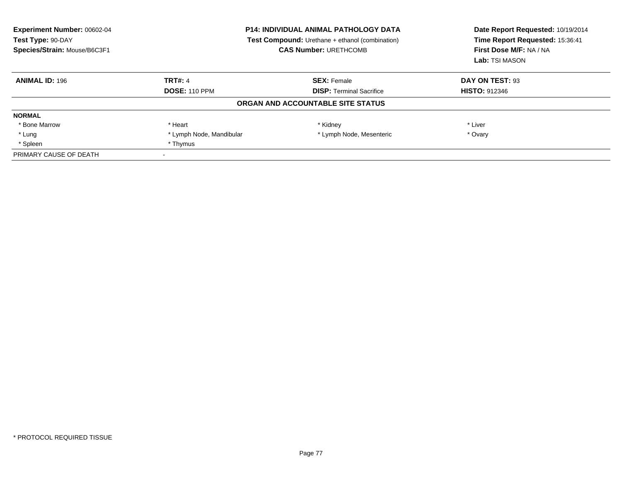| <b>Experiment Number: 00602-04</b><br>Test Type: 90-DAY<br>Species/Strain: Mouse/B6C3F1 | <b>P14: INDIVIDUAL ANIMAL PATHOLOGY DATA</b><br>Test Compound: Urethane + ethanol (combination)<br><b>CAS Number: URETHCOMB</b> |                                   | Date Report Requested: 10/19/2014<br>Time Report Requested: 15:36:41<br>First Dose M/F: NA / NA<br>Lab: TSI MASON |
|-----------------------------------------------------------------------------------------|---------------------------------------------------------------------------------------------------------------------------------|-----------------------------------|-------------------------------------------------------------------------------------------------------------------|
| <b>ANIMAL ID: 196</b>                                                                   | <b>TRT#: 4</b>                                                                                                                  | <b>SEX: Female</b>                | DAY ON TEST: 93                                                                                                   |
|                                                                                         | <b>DOSE: 110 PPM</b>                                                                                                            | <b>DISP:</b> Terminal Sacrifice   | <b>HISTO: 912346</b>                                                                                              |
|                                                                                         |                                                                                                                                 | ORGAN AND ACCOUNTABLE SITE STATUS |                                                                                                                   |
| <b>NORMAL</b>                                                                           |                                                                                                                                 |                                   |                                                                                                                   |
| * Bone Marrow                                                                           | * Heart                                                                                                                         | * Kidney                          | * Liver                                                                                                           |
| * Lung                                                                                  | * Lymph Node, Mandibular                                                                                                        | * Lymph Node, Mesenteric          | * Ovary                                                                                                           |
| * Spleen                                                                                | * Thymus                                                                                                                        |                                   |                                                                                                                   |
| PRIMARY CAUSE OF DEATH                                                                  |                                                                                                                                 |                                   |                                                                                                                   |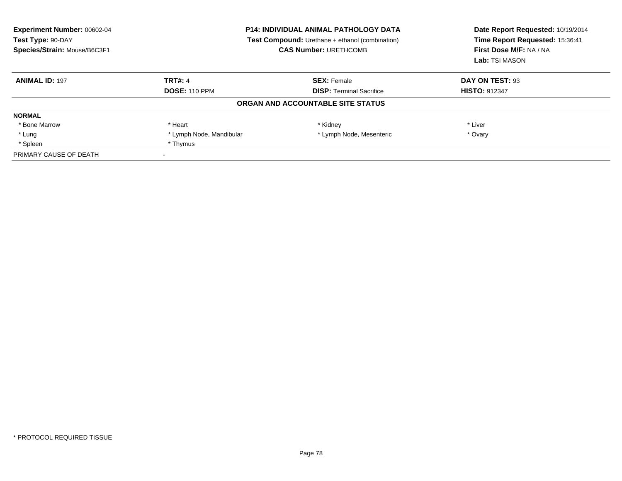| <b>Experiment Number: 00602-04</b><br>Test Type: 90-DAY<br>Species/Strain: Mouse/B6C3F1 | <b>P14: INDIVIDUAL ANIMAL PATHOLOGY DATA</b><br>Test Compound: Urethane + ethanol (combination)<br><b>CAS Number: URETHCOMB</b> |                                   | Date Report Requested: 10/19/2014<br>Time Report Requested: 15:36:41<br>First Dose M/F: NA / NA<br>Lab: TSI MASON |
|-----------------------------------------------------------------------------------------|---------------------------------------------------------------------------------------------------------------------------------|-----------------------------------|-------------------------------------------------------------------------------------------------------------------|
| <b>ANIMAL ID: 197</b>                                                                   | <b>TRT#: 4</b>                                                                                                                  | <b>SEX: Female</b>                | DAY ON TEST: 93                                                                                                   |
|                                                                                         | <b>DOSE: 110 PPM</b>                                                                                                            | <b>DISP:</b> Terminal Sacrifice   | <b>HISTO: 912347</b>                                                                                              |
|                                                                                         |                                                                                                                                 | ORGAN AND ACCOUNTABLE SITE STATUS |                                                                                                                   |
| <b>NORMAL</b>                                                                           |                                                                                                                                 |                                   |                                                                                                                   |
| * Bone Marrow                                                                           | * Heart                                                                                                                         | * Kidney                          | * Liver                                                                                                           |
| * Lung                                                                                  | * Lymph Node, Mandibular                                                                                                        | * Lymph Node, Mesenteric          | * Ovary                                                                                                           |
| * Spleen                                                                                | * Thymus                                                                                                                        |                                   |                                                                                                                   |
| PRIMARY CAUSE OF DEATH                                                                  |                                                                                                                                 |                                   |                                                                                                                   |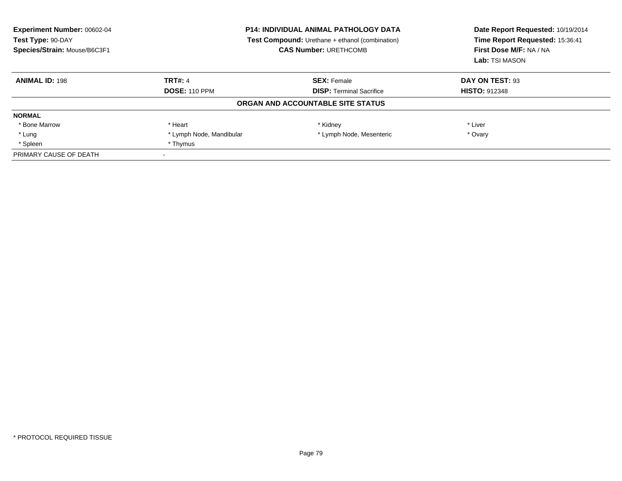| <b>Experiment Number: 00602-04</b><br>Test Type: 90-DAY<br>Species/Strain: Mouse/B6C3F1 | <b>P14: INDIVIDUAL ANIMAL PATHOLOGY DATA</b><br>Test Compound: Urethane + ethanol (combination)<br><b>CAS Number: URETHCOMB</b> |                                   | Date Report Requested: 10/19/2014<br>Time Report Requested: 15:36:41<br>First Dose M/F: NA / NA<br>Lab: TSI MASON |
|-----------------------------------------------------------------------------------------|---------------------------------------------------------------------------------------------------------------------------------|-----------------------------------|-------------------------------------------------------------------------------------------------------------------|
| <b>ANIMAL ID: 198</b>                                                                   | <b>TRT#: 4</b>                                                                                                                  | <b>SEX: Female</b>                | DAY ON TEST: 93                                                                                                   |
|                                                                                         | <b>DOSE: 110 PPM</b>                                                                                                            | <b>DISP:</b> Terminal Sacrifice   | <b>HISTO: 912348</b>                                                                                              |
|                                                                                         |                                                                                                                                 | ORGAN AND ACCOUNTABLE SITE STATUS |                                                                                                                   |
| <b>NORMAL</b>                                                                           |                                                                                                                                 |                                   |                                                                                                                   |
| * Bone Marrow                                                                           | * Heart                                                                                                                         | * Kidney                          | * Liver                                                                                                           |
| * Lung                                                                                  | * Lymph Node, Mandibular                                                                                                        | * Lymph Node, Mesenteric          | * Ovary                                                                                                           |
| * Spleen                                                                                | * Thymus                                                                                                                        |                                   |                                                                                                                   |
| PRIMARY CAUSE OF DEATH                                                                  |                                                                                                                                 |                                   |                                                                                                                   |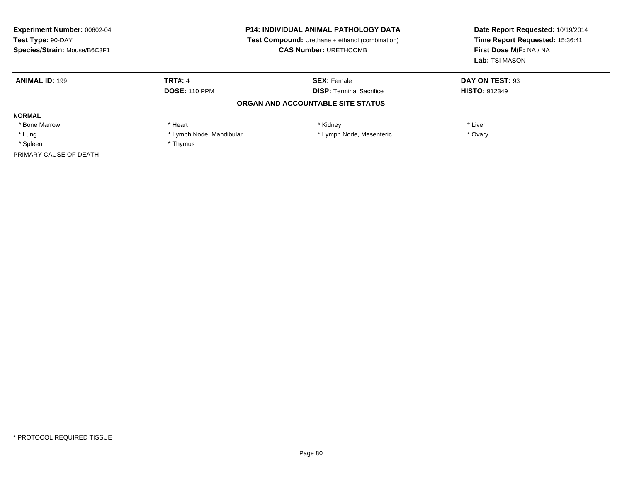| <b>Experiment Number: 00602-04</b><br>Test Type: 90-DAY<br>Species/Strain: Mouse/B6C3F1 | <b>P14: INDIVIDUAL ANIMAL PATHOLOGY DATA</b><br>Test Compound: Urethane + ethanol (combination)<br><b>CAS Number: URETHCOMB</b> |                                   | Date Report Requested: 10/19/2014<br>Time Report Requested: 15:36:41<br>First Dose M/F: NA / NA<br>Lab: TSI MASON |
|-----------------------------------------------------------------------------------------|---------------------------------------------------------------------------------------------------------------------------------|-----------------------------------|-------------------------------------------------------------------------------------------------------------------|
| <b>ANIMAL ID: 199</b>                                                                   | <b>TRT#: 4</b>                                                                                                                  | <b>SEX: Female</b>                | DAY ON TEST: 93                                                                                                   |
|                                                                                         | <b>DOSE: 110 PPM</b>                                                                                                            | <b>DISP:</b> Terminal Sacrifice   | <b>HISTO: 912349</b>                                                                                              |
|                                                                                         |                                                                                                                                 | ORGAN AND ACCOUNTABLE SITE STATUS |                                                                                                                   |
| <b>NORMAL</b>                                                                           |                                                                                                                                 |                                   |                                                                                                                   |
| * Bone Marrow                                                                           | * Heart                                                                                                                         | * Kidney                          | * Liver                                                                                                           |
| * Lung                                                                                  | * Lymph Node, Mandibular                                                                                                        | * Lymph Node, Mesenteric          | * Ovary                                                                                                           |
| * Spleen                                                                                | * Thymus                                                                                                                        |                                   |                                                                                                                   |
| PRIMARY CAUSE OF DEATH                                                                  |                                                                                                                                 |                                   |                                                                                                                   |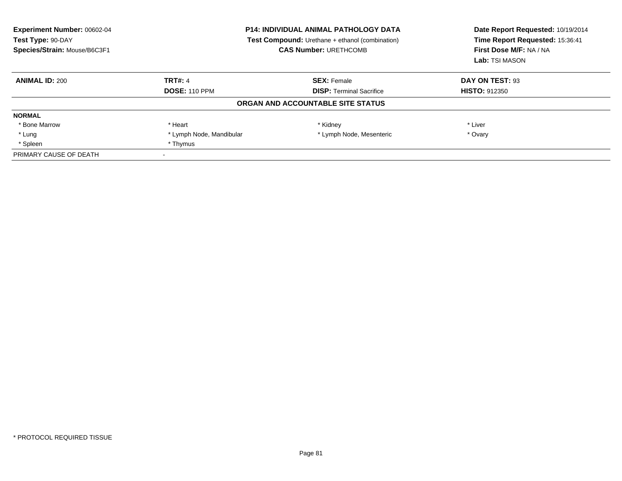| <b>Experiment Number: 00602-04</b><br>Test Type: 90-DAY<br>Species/Strain: Mouse/B6C3F1 | <b>P14: INDIVIDUAL ANIMAL PATHOLOGY DATA</b><br>Test Compound: Urethane + ethanol (combination)<br><b>CAS Number: URETHCOMB</b> |                                   | Date Report Requested: 10/19/2014<br>Time Report Requested: 15:36:41<br>First Dose M/F: NA / NA<br>Lab: TSI MASON |
|-----------------------------------------------------------------------------------------|---------------------------------------------------------------------------------------------------------------------------------|-----------------------------------|-------------------------------------------------------------------------------------------------------------------|
| <b>ANIMAL ID: 200</b>                                                                   | <b>TRT#: 4</b>                                                                                                                  | <b>SEX: Female</b>                | DAY ON TEST: 93                                                                                                   |
|                                                                                         | <b>DOSE: 110 PPM</b>                                                                                                            | <b>DISP:</b> Terminal Sacrifice   | <b>HISTO: 912350</b>                                                                                              |
|                                                                                         |                                                                                                                                 | ORGAN AND ACCOUNTABLE SITE STATUS |                                                                                                                   |
| <b>NORMAL</b>                                                                           |                                                                                                                                 |                                   |                                                                                                                   |
| * Bone Marrow                                                                           | * Heart                                                                                                                         | * Kidney                          | * Liver                                                                                                           |
| * Lung                                                                                  | * Lymph Node, Mandibular                                                                                                        | * Lymph Node, Mesenteric          | * Ovary                                                                                                           |
| * Spleen                                                                                | * Thymus                                                                                                                        |                                   |                                                                                                                   |
| PRIMARY CAUSE OF DEATH                                                                  |                                                                                                                                 |                                   |                                                                                                                   |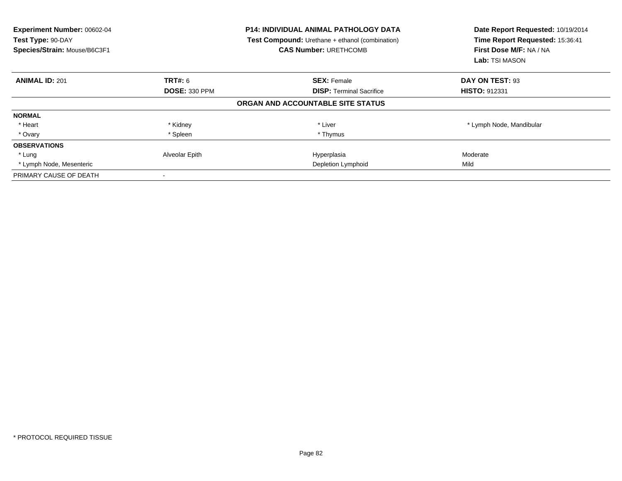| <b>Experiment Number: 00602-04</b><br>Test Type: 90-DAY<br>Species/Strain: Mouse/B6C3F1 |                      | <b>P14: INDIVIDUAL ANIMAL PATHOLOGY DATA</b><br><b>Test Compound:</b> Urethane + ethanol (combination)<br><b>CAS Number: URETHCOMB</b> | Date Report Requested: 10/19/2014<br>Time Report Requested: 15:36:41<br>First Dose M/F: NA / NA<br>Lab: TSI MASON |
|-----------------------------------------------------------------------------------------|----------------------|----------------------------------------------------------------------------------------------------------------------------------------|-------------------------------------------------------------------------------------------------------------------|
| <b>ANIMAL ID: 201</b>                                                                   | TRT#: 6              | <b>SEX: Female</b>                                                                                                                     | DAY ON TEST: 93                                                                                                   |
|                                                                                         | <b>DOSE: 330 PPM</b> | <b>DISP:</b> Terminal Sacrifice                                                                                                        | <b>HISTO: 912331</b>                                                                                              |
|                                                                                         |                      | ORGAN AND ACCOUNTABLE SITE STATUS                                                                                                      |                                                                                                                   |
| <b>NORMAL</b>                                                                           |                      |                                                                                                                                        |                                                                                                                   |
| * Heart                                                                                 | * Kidney             | * Liver                                                                                                                                | * Lymph Node, Mandibular                                                                                          |
| * Ovary                                                                                 | * Spleen             | * Thymus                                                                                                                               |                                                                                                                   |
| <b>OBSERVATIONS</b>                                                                     |                      |                                                                                                                                        |                                                                                                                   |
| * Lung                                                                                  | Alveolar Epith       | Hyperplasia                                                                                                                            | Moderate                                                                                                          |
| * Lymph Node, Mesenteric                                                                |                      | Depletion Lymphoid                                                                                                                     | Mild                                                                                                              |
| PRIMARY CAUSE OF DEATH                                                                  |                      |                                                                                                                                        |                                                                                                                   |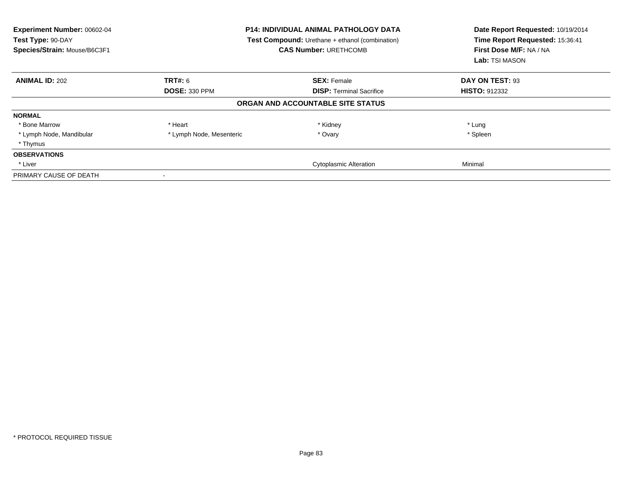| Experiment Number: 00602-04<br>Test Type: 90-DAY<br>Species/Strain: Mouse/B6C3F1 |                          | <b>P14: INDIVIDUAL ANIMAL PATHOLOGY DATA</b><br><b>Test Compound:</b> Urethane + ethanol (combination)<br><b>CAS Number: URETHCOMB</b> | Date Report Requested: 10/19/2014<br>Time Report Requested: 15:36:41<br>First Dose M/F: NA / NA<br>Lab: TSI MASON |
|----------------------------------------------------------------------------------|--------------------------|----------------------------------------------------------------------------------------------------------------------------------------|-------------------------------------------------------------------------------------------------------------------|
| <b>ANIMAL ID: 202</b>                                                            | TRT#: 6                  | <b>SEX: Female</b>                                                                                                                     | DAY ON TEST: 93                                                                                                   |
|                                                                                  | <b>DOSE: 330 PPM</b>     | <b>DISP:</b> Terminal Sacrifice                                                                                                        | <b>HISTO: 912332</b>                                                                                              |
|                                                                                  |                          | ORGAN AND ACCOUNTABLE SITE STATUS                                                                                                      |                                                                                                                   |
| <b>NORMAL</b>                                                                    |                          |                                                                                                                                        |                                                                                                                   |
| * Bone Marrow                                                                    | * Heart                  | * Kidney                                                                                                                               | * Lung                                                                                                            |
| * Lymph Node, Mandibular                                                         | * Lymph Node, Mesenteric | * Ovary                                                                                                                                | * Spleen                                                                                                          |
| * Thymus                                                                         |                          |                                                                                                                                        |                                                                                                                   |
| <b>OBSERVATIONS</b>                                                              |                          |                                                                                                                                        |                                                                                                                   |
| * Liver                                                                          |                          | <b>Cytoplasmic Alteration</b>                                                                                                          | Minimal                                                                                                           |
| PRIMARY CAUSE OF DEATH                                                           |                          |                                                                                                                                        |                                                                                                                   |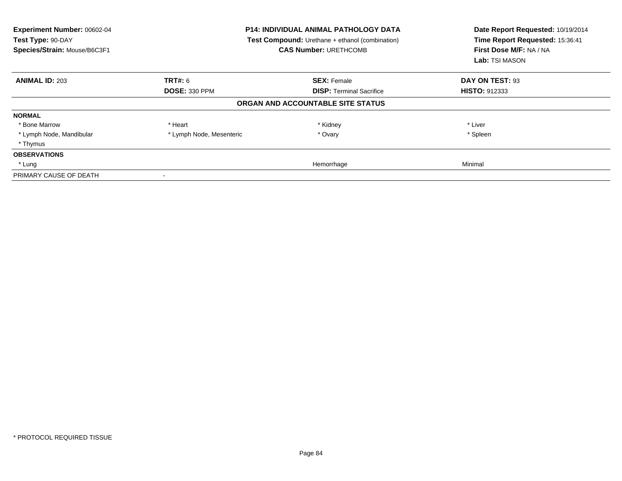| Experiment Number: 00602-04<br>Test Type: 90-DAY<br>Species/Strain: Mouse/B6C3F1 |                          | <b>P14: INDIVIDUAL ANIMAL PATHOLOGY DATA</b><br><b>Test Compound:</b> Urethane + ethanol (combination)<br><b>CAS Number: URETHCOMB</b> | Date Report Requested: 10/19/2014<br>Time Report Requested: 15:36:41<br>First Dose M/F: NA / NA<br>Lab: TSI MASON |
|----------------------------------------------------------------------------------|--------------------------|----------------------------------------------------------------------------------------------------------------------------------------|-------------------------------------------------------------------------------------------------------------------|
| <b>ANIMAL ID: 203</b>                                                            | TRT#: 6                  | <b>SEX: Female</b>                                                                                                                     | DAY ON TEST: 93                                                                                                   |
|                                                                                  | <b>DOSE: 330 PPM</b>     | <b>DISP:</b> Terminal Sacrifice                                                                                                        | <b>HISTO: 912333</b>                                                                                              |
|                                                                                  |                          | ORGAN AND ACCOUNTABLE SITE STATUS                                                                                                      |                                                                                                                   |
| <b>NORMAL</b>                                                                    |                          |                                                                                                                                        |                                                                                                                   |
| * Bone Marrow                                                                    | * Heart                  | * Kidney                                                                                                                               | * Liver                                                                                                           |
| * Lymph Node, Mandibular                                                         | * Lymph Node, Mesenteric | * Ovary                                                                                                                                | * Spleen                                                                                                          |
| * Thymus                                                                         |                          |                                                                                                                                        |                                                                                                                   |
| <b>OBSERVATIONS</b>                                                              |                          |                                                                                                                                        |                                                                                                                   |
| * Lung                                                                           |                          | Hemorrhage                                                                                                                             | Minimal                                                                                                           |
| PRIMARY CAUSE OF DEATH                                                           |                          |                                                                                                                                        |                                                                                                                   |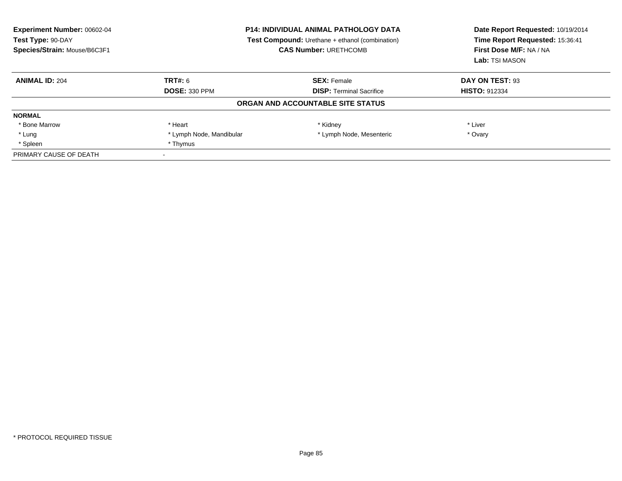| <b>Experiment Number: 00602-04</b><br>Test Type: 90-DAY<br>Species/Strain: Mouse/B6C3F1 | <b>P14: INDIVIDUAL ANIMAL PATHOLOGY DATA</b><br>Test Compound: Urethane + ethanol (combination)<br><b>CAS Number: URETHCOMB</b> |                                   | Date Report Requested: 10/19/2014<br>Time Report Requested: 15:36:41<br>First Dose M/F: NA / NA<br>Lab: TSI MASON |
|-----------------------------------------------------------------------------------------|---------------------------------------------------------------------------------------------------------------------------------|-----------------------------------|-------------------------------------------------------------------------------------------------------------------|
| <b>ANIMAL ID: 204</b>                                                                   | TRT#: 6                                                                                                                         | <b>SEX: Female</b>                | DAY ON TEST: 93                                                                                                   |
|                                                                                         | <b>DOSE: 330 PPM</b>                                                                                                            | <b>DISP:</b> Terminal Sacrifice   | <b>HISTO: 912334</b>                                                                                              |
|                                                                                         |                                                                                                                                 | ORGAN AND ACCOUNTABLE SITE STATUS |                                                                                                                   |
| <b>NORMAL</b>                                                                           |                                                                                                                                 |                                   |                                                                                                                   |
| * Bone Marrow                                                                           | * Heart                                                                                                                         | * Kidney                          | * Liver                                                                                                           |
| * Lung                                                                                  | * Lymph Node, Mandibular                                                                                                        | * Lymph Node, Mesenteric          | * Ovary                                                                                                           |
| * Spleen                                                                                | * Thymus                                                                                                                        |                                   |                                                                                                                   |
| PRIMARY CAUSE OF DEATH                                                                  |                                                                                                                                 |                                   |                                                                                                                   |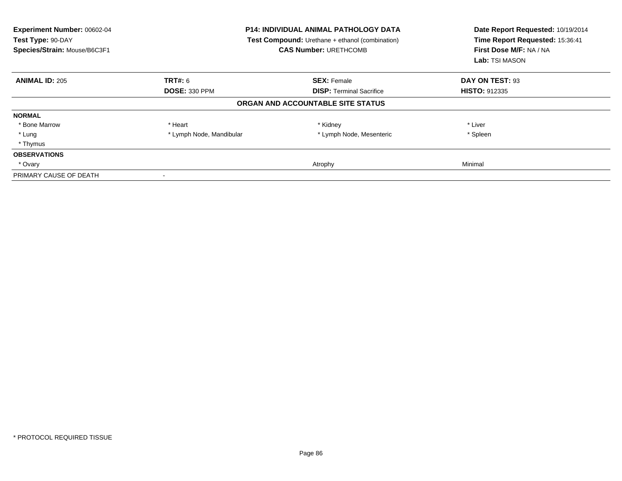| Experiment Number: 00602-04<br>Test Type: 90-DAY<br>Species/Strain: Mouse/B6C3F1 |                          | <b>P14: INDIVIDUAL ANIMAL PATHOLOGY DATA</b><br><b>Test Compound:</b> Urethane + ethanol (combination)<br><b>CAS Number: URETHCOMB</b> | Date Report Requested: 10/19/2014<br>Time Report Requested: 15:36:41<br>First Dose M/F: NA / NA<br>Lab: TSI MASON |
|----------------------------------------------------------------------------------|--------------------------|----------------------------------------------------------------------------------------------------------------------------------------|-------------------------------------------------------------------------------------------------------------------|
| <b>ANIMAL ID: 205</b>                                                            | TRT#: 6                  | <b>SEX: Female</b>                                                                                                                     | DAY ON TEST: 93                                                                                                   |
|                                                                                  | <b>DOSE: 330 PPM</b>     | <b>DISP:</b> Terminal Sacrifice                                                                                                        | <b>HISTO: 912335</b>                                                                                              |
|                                                                                  |                          | ORGAN AND ACCOUNTABLE SITE STATUS                                                                                                      |                                                                                                                   |
| <b>NORMAL</b>                                                                    |                          |                                                                                                                                        |                                                                                                                   |
| * Bone Marrow                                                                    | * Heart                  | * Kidney                                                                                                                               | * Liver                                                                                                           |
| * Lung                                                                           | * Lymph Node, Mandibular | * Lymph Node, Mesenteric                                                                                                               | * Spleen                                                                                                          |
| * Thymus                                                                         |                          |                                                                                                                                        |                                                                                                                   |
| <b>OBSERVATIONS</b>                                                              |                          |                                                                                                                                        |                                                                                                                   |
| * Ovary                                                                          |                          | Atrophy                                                                                                                                | Minimal                                                                                                           |
| PRIMARY CAUSE OF DEATH                                                           |                          |                                                                                                                                        |                                                                                                                   |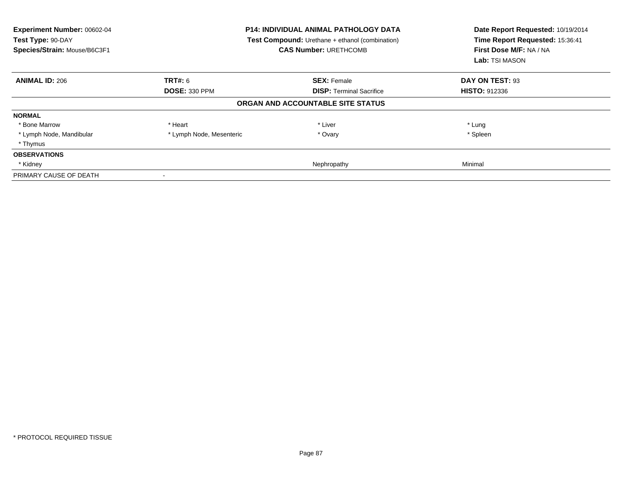| Experiment Number: 00602-04<br>Test Type: 90-DAY<br>Species/Strain: Mouse/B6C3F1 |                          | <b>P14: INDIVIDUAL ANIMAL PATHOLOGY DATA</b><br><b>Test Compound:</b> Urethane + ethanol (combination)<br><b>CAS Number: URETHCOMB</b> | Date Report Requested: 10/19/2014<br>Time Report Requested: 15:36:41<br>First Dose M/F: NA / NA<br>Lab: TSI MASON |
|----------------------------------------------------------------------------------|--------------------------|----------------------------------------------------------------------------------------------------------------------------------------|-------------------------------------------------------------------------------------------------------------------|
| <b>ANIMAL ID: 206</b>                                                            | TRT#: 6                  | <b>SEX: Female</b>                                                                                                                     | DAY ON TEST: 93                                                                                                   |
|                                                                                  | <b>DOSE: 330 PPM</b>     | <b>DISP:</b> Terminal Sacrifice                                                                                                        | <b>HISTO: 912336</b>                                                                                              |
|                                                                                  |                          | ORGAN AND ACCOUNTABLE SITE STATUS                                                                                                      |                                                                                                                   |
| <b>NORMAL</b>                                                                    |                          |                                                                                                                                        |                                                                                                                   |
| * Bone Marrow                                                                    | * Heart                  | * Liver                                                                                                                                | * Lung                                                                                                            |
| * Lymph Node, Mandibular                                                         | * Lymph Node, Mesenteric | * Ovary                                                                                                                                | * Spleen                                                                                                          |
| * Thymus                                                                         |                          |                                                                                                                                        |                                                                                                                   |
| <b>OBSERVATIONS</b>                                                              |                          |                                                                                                                                        |                                                                                                                   |
| * Kidney                                                                         |                          | Nephropathy                                                                                                                            | Minimal                                                                                                           |
| PRIMARY CAUSE OF DEATH                                                           |                          |                                                                                                                                        |                                                                                                                   |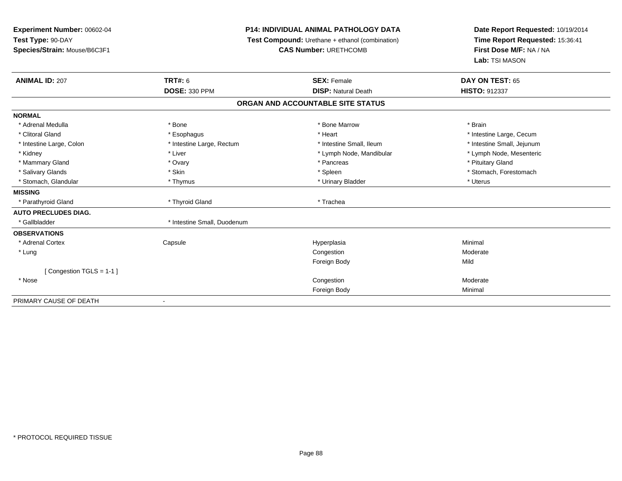## **P14: INDIVIDUAL ANIMAL PATHOLOGY DATA**

**Test Compound:** Urethane + ethanol (combination)

**CAS Number:** URETHCOMB

| <b>ANIMAL ID: 207</b>       | TRT#: 6                     | <b>SEX: Female</b>                | DAY ON TEST: 65            |
|-----------------------------|-----------------------------|-----------------------------------|----------------------------|
|                             | <b>DOSE: 330 PPM</b>        | <b>DISP: Natural Death</b>        | HISTO: 912337              |
|                             |                             | ORGAN AND ACCOUNTABLE SITE STATUS |                            |
| <b>NORMAL</b>               |                             |                                   |                            |
| * Adrenal Medulla           | * Bone                      | * Bone Marrow                     | * Brain                    |
| * Clitoral Gland            | * Esophagus                 | * Heart                           | * Intestine Large, Cecum   |
| * Intestine Large, Colon    | * Intestine Large, Rectum   | * Intestine Small. Ileum          | * Intestine Small, Jejunum |
| * Kidney                    | * Liver                     | * Lymph Node, Mandibular          | * Lymph Node, Mesenteric   |
| * Mammary Gland             | * Ovary                     | * Pancreas                        | * Pituitary Gland          |
| * Salivary Glands           | * Skin                      | * Spleen                          | * Stomach, Forestomach     |
| * Stomach, Glandular        | * Thymus                    | * Urinary Bladder                 | * Uterus                   |
| <b>MISSING</b>              |                             |                                   |                            |
| * Parathyroid Gland         | * Thyroid Gland             | * Trachea                         |                            |
| <b>AUTO PRECLUDES DIAG.</b> |                             |                                   |                            |
| * Gallbladder               | * Intestine Small, Duodenum |                                   |                            |
| <b>OBSERVATIONS</b>         |                             |                                   |                            |
| * Adrenal Cortex            | Capsule                     | Hyperplasia                       | Minimal                    |
| * Lung                      |                             | Congestion                        | Moderate                   |
|                             |                             | Foreign Body                      | Mild                       |
| [Congestion TGLS = 1-1]     |                             |                                   |                            |
| * Nose                      |                             | Congestion                        | Moderate                   |
|                             |                             | Foreign Body                      | Minimal                    |
| PRIMARY CAUSE OF DEATH      | ٠                           |                                   |                            |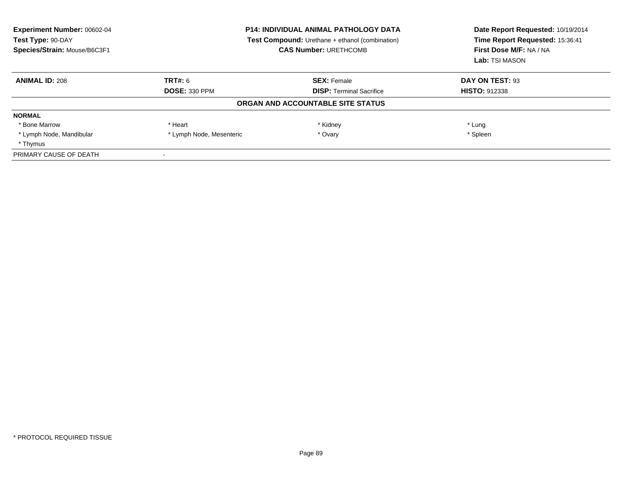| <b>Experiment Number: 00602-04</b><br>Test Type: 90-DAY<br>Species/Strain: Mouse/B6C3F1 | <b>P14: INDIVIDUAL ANIMAL PATHOLOGY DATA</b><br><b>Test Compound:</b> Urethane + ethanol (combination)<br><b>CAS Number: URETHCOMB</b> |                                   | Date Report Requested: 10/19/2014<br>Time Report Requested: 15:36:41<br>First Dose M/F: NA / NA<br>Lab: TSI MASON |
|-----------------------------------------------------------------------------------------|----------------------------------------------------------------------------------------------------------------------------------------|-----------------------------------|-------------------------------------------------------------------------------------------------------------------|
| <b>ANIMAL ID: 208</b>                                                                   | TRT#: 6                                                                                                                                | <b>SEX: Female</b>                | DAY ON TEST: 93                                                                                                   |
|                                                                                         | <b>DOSE: 330 PPM</b>                                                                                                                   | <b>DISP:</b> Terminal Sacrifice   | <b>HISTO: 912338</b>                                                                                              |
|                                                                                         |                                                                                                                                        | ORGAN AND ACCOUNTABLE SITE STATUS |                                                                                                                   |
| <b>NORMAL</b>                                                                           |                                                                                                                                        |                                   |                                                                                                                   |
| * Bone Marrow                                                                           | * Heart                                                                                                                                | * Kidney                          | * Lung                                                                                                            |
| * Lymph Node, Mandibular                                                                | * Lymph Node, Mesenteric                                                                                                               | * Ovary                           | * Spleen                                                                                                          |
| * Thymus                                                                                |                                                                                                                                        |                                   |                                                                                                                   |
| PRIMARY CAUSE OF DEATH                                                                  |                                                                                                                                        |                                   |                                                                                                                   |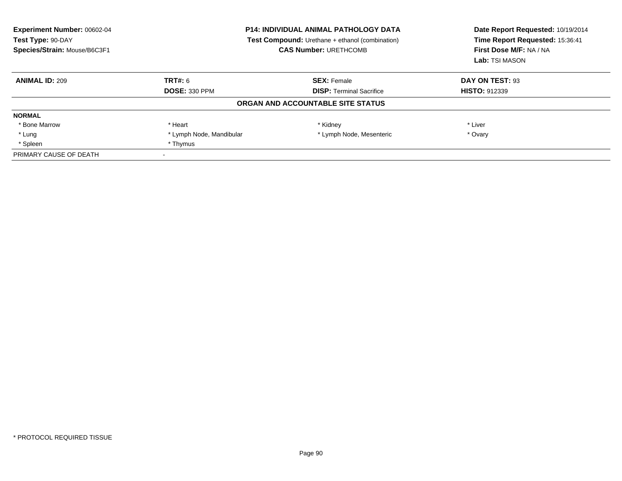| <b>Experiment Number: 00602-04</b><br>Test Type: 90-DAY<br>Species/Strain: Mouse/B6C3F1 | <b>P14: INDIVIDUAL ANIMAL PATHOLOGY DATA</b><br>Test Compound: Urethane + ethanol (combination)<br><b>CAS Number: URETHCOMB</b> |                                   | Date Report Requested: 10/19/2014<br>Time Report Requested: 15:36:41<br>First Dose M/F: NA / NA<br>Lab: TSI MASON |
|-----------------------------------------------------------------------------------------|---------------------------------------------------------------------------------------------------------------------------------|-----------------------------------|-------------------------------------------------------------------------------------------------------------------|
| <b>ANIMAL ID: 209</b>                                                                   | TRT#: 6                                                                                                                         | <b>SEX: Female</b>                | DAY ON TEST: 93                                                                                                   |
|                                                                                         | <b>DOSE: 330 PPM</b>                                                                                                            | <b>DISP:</b> Terminal Sacrifice   | <b>HISTO: 912339</b>                                                                                              |
|                                                                                         |                                                                                                                                 | ORGAN AND ACCOUNTABLE SITE STATUS |                                                                                                                   |
| <b>NORMAL</b>                                                                           |                                                                                                                                 |                                   |                                                                                                                   |
| * Bone Marrow                                                                           | * Heart                                                                                                                         | * Kidney                          | * Liver                                                                                                           |
| * Lung                                                                                  | * Lymph Node, Mandibular                                                                                                        | * Lymph Node, Mesenteric          | * Ovary                                                                                                           |
| * Spleen                                                                                | * Thymus                                                                                                                        |                                   |                                                                                                                   |
| PRIMARY CAUSE OF DEATH                                                                  |                                                                                                                                 |                                   |                                                                                                                   |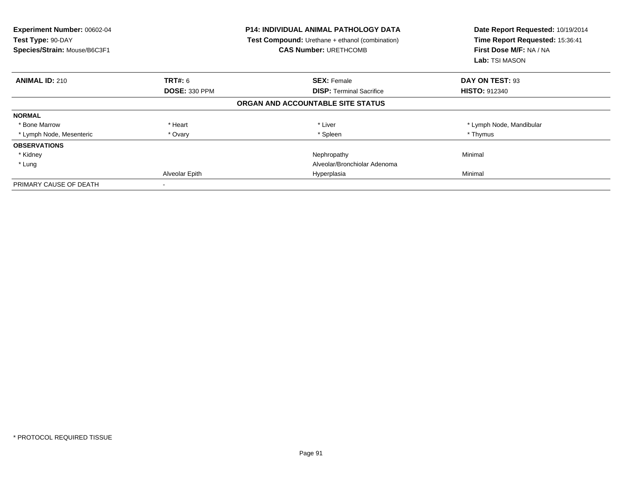| Experiment Number: 00602-04<br>Test Type: 90-DAY<br>Species/Strain: Mouse/B6C3F1 |                      | <b>P14: INDIVIDUAL ANIMAL PATHOLOGY DATA</b><br><b>Test Compound:</b> Urethane + ethanol (combination)<br><b>CAS Number: URETHCOMB</b> | Date Report Requested: 10/19/2014<br>Time Report Requested: 15:36:41<br>First Dose M/F: NA / NA<br>Lab: TSI MASON |
|----------------------------------------------------------------------------------|----------------------|----------------------------------------------------------------------------------------------------------------------------------------|-------------------------------------------------------------------------------------------------------------------|
| <b>ANIMAL ID: 210</b>                                                            | <b>TRT#: 6</b>       | <b>SEX: Female</b>                                                                                                                     | DAY ON TEST: 93                                                                                                   |
|                                                                                  | <b>DOSE: 330 PPM</b> | <b>DISP:</b> Terminal Sacrifice                                                                                                        | <b>HISTO: 912340</b>                                                                                              |
|                                                                                  |                      | ORGAN AND ACCOUNTABLE SITE STATUS                                                                                                      |                                                                                                                   |
| <b>NORMAL</b>                                                                    |                      |                                                                                                                                        |                                                                                                                   |
| * Bone Marrow                                                                    | * Heart              | * Liver                                                                                                                                | * Lymph Node, Mandibular                                                                                          |
| * Lymph Node, Mesenteric                                                         | * Ovary              | * Spleen                                                                                                                               | * Thymus                                                                                                          |
| <b>OBSERVATIONS</b>                                                              |                      |                                                                                                                                        |                                                                                                                   |
| * Kidney                                                                         |                      | Nephropathy                                                                                                                            | Minimal                                                                                                           |
| * Lung                                                                           |                      | Alveolar/Bronchiolar Adenoma                                                                                                           |                                                                                                                   |
|                                                                                  | Alveolar Epith       | Hyperplasia                                                                                                                            | Minimal                                                                                                           |
| PRIMARY CAUSE OF DEATH                                                           |                      |                                                                                                                                        |                                                                                                                   |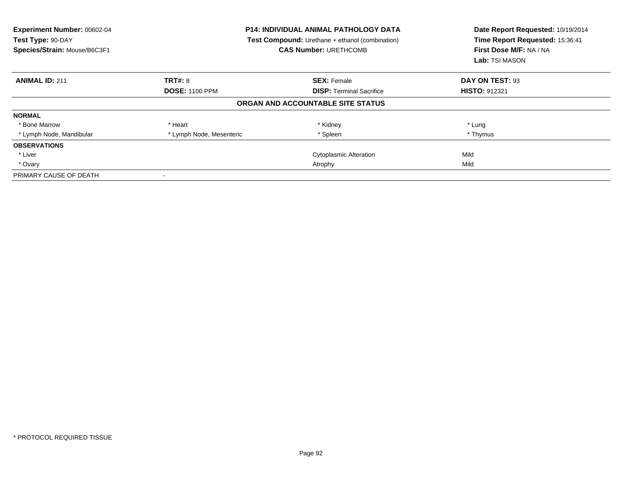| Experiment Number: 00602-04<br>Test Type: 90-DAY<br>Species/Strain: Mouse/B6C3F1 |                          | <b>P14: INDIVIDUAL ANIMAL PATHOLOGY DATA</b><br><b>Test Compound:</b> Urethane + ethanol (combination)<br><b>CAS Number: URETHCOMB</b> | Date Report Requested: 10/19/2014<br>Time Report Requested: 15:36:41<br>First Dose M/F: NA / NA<br>Lab: TSI MASON |
|----------------------------------------------------------------------------------|--------------------------|----------------------------------------------------------------------------------------------------------------------------------------|-------------------------------------------------------------------------------------------------------------------|
| <b>ANIMAL ID: 211</b>                                                            | TRT#: 8                  | <b>SEX: Female</b>                                                                                                                     | DAY ON TEST: 93                                                                                                   |
|                                                                                  | <b>DOSE: 1100 PPM</b>    | <b>DISP:</b> Terminal Sacrifice                                                                                                        | <b>HISTO: 912321</b>                                                                                              |
|                                                                                  |                          | ORGAN AND ACCOUNTABLE SITE STATUS                                                                                                      |                                                                                                                   |
| <b>NORMAL</b>                                                                    |                          |                                                                                                                                        |                                                                                                                   |
| * Bone Marrow                                                                    | * Heart                  | * Kidney                                                                                                                               | * Lung                                                                                                            |
| * Lymph Node, Mandibular                                                         | * Lymph Node, Mesenteric | * Spleen                                                                                                                               | * Thymus                                                                                                          |
| <b>OBSERVATIONS</b>                                                              |                          |                                                                                                                                        |                                                                                                                   |
| * Liver                                                                          |                          | <b>Cytoplasmic Alteration</b>                                                                                                          | Mild                                                                                                              |
| * Ovary                                                                          |                          | Atrophy                                                                                                                                | Mild                                                                                                              |
| PRIMARY CAUSE OF DEATH                                                           | $\overline{\phantom{a}}$ |                                                                                                                                        |                                                                                                                   |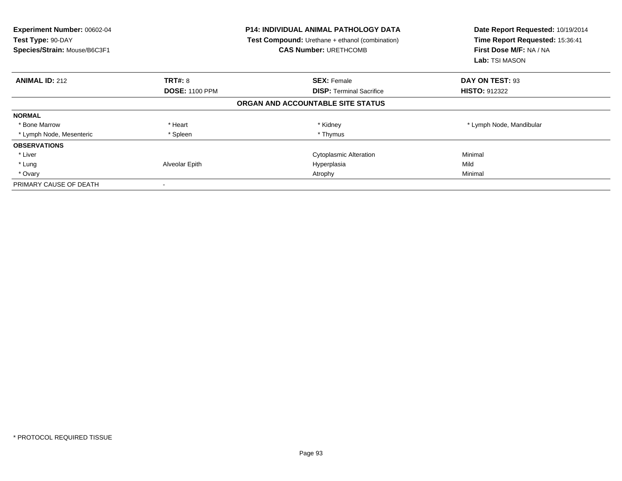| <b>Experiment Number: 00602-04</b><br>Test Type: 90-DAY<br>Species/Strain: Mouse/B6C3F1 |                       | <b>P14: INDIVIDUAL ANIMAL PATHOLOGY DATA</b><br>Test Compound: Urethane + ethanol (combination)<br><b>CAS Number: URETHCOMB</b> | Date Report Requested: 10/19/2014<br>Time Report Requested: 15:36:41<br>First Dose M/F: NA / NA<br><b>Lab:</b> TSI MASON |  |
|-----------------------------------------------------------------------------------------|-----------------------|---------------------------------------------------------------------------------------------------------------------------------|--------------------------------------------------------------------------------------------------------------------------|--|
| <b>ANIMAL ID: 212</b>                                                                   | <b>TRT#: 8</b>        | <b>SEX: Female</b>                                                                                                              | DAY ON TEST: 93                                                                                                          |  |
|                                                                                         | <b>DOSE: 1100 PPM</b> | <b>DISP:</b> Terminal Sacrifice                                                                                                 | <b>HISTO: 912322</b>                                                                                                     |  |
|                                                                                         |                       | ORGAN AND ACCOUNTABLE SITE STATUS                                                                                               |                                                                                                                          |  |
| <b>NORMAL</b>                                                                           |                       |                                                                                                                                 |                                                                                                                          |  |
| * Bone Marrow                                                                           | * Heart               | * Kidney                                                                                                                        | * Lymph Node, Mandibular                                                                                                 |  |
| * Lymph Node, Mesenteric                                                                | * Spleen              | * Thymus                                                                                                                        |                                                                                                                          |  |
| <b>OBSERVATIONS</b>                                                                     |                       |                                                                                                                                 |                                                                                                                          |  |
| * Liver                                                                                 |                       | <b>Cytoplasmic Alteration</b>                                                                                                   | Minimal                                                                                                                  |  |
| * Lung                                                                                  | Alveolar Epith        | Hyperplasia                                                                                                                     | Mild                                                                                                                     |  |
| * Ovary                                                                                 |                       | Atrophy                                                                                                                         | Minimal                                                                                                                  |  |
| PRIMARY CAUSE OF DEATH                                                                  |                       |                                                                                                                                 |                                                                                                                          |  |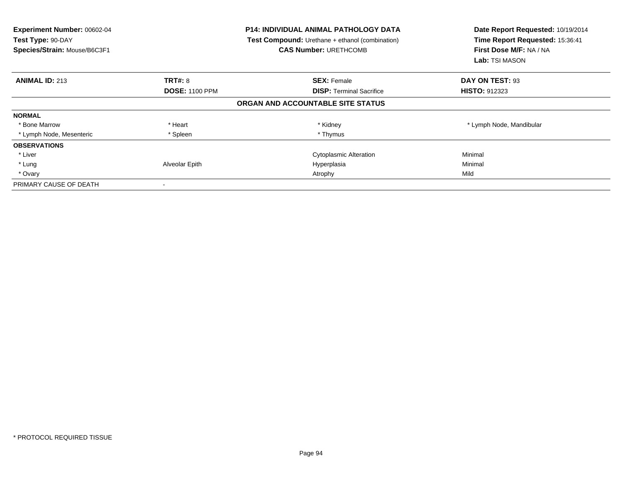| <b>Experiment Number: 00602-04</b><br>Test Type: 90-DAY<br>Species/Strain: Mouse/B6C3F1 | <b>P14: INDIVIDUAL ANIMAL PATHOLOGY DATA</b><br><b>Test Compound:</b> Urethane + ethanol (combination)<br><b>CAS Number: URETHCOMB</b> |                                   | Date Report Requested: 10/19/2014<br>Time Report Requested: 15:36:41<br>First Dose M/F: NA / NA<br><b>Lab:</b> TSI MASON |
|-----------------------------------------------------------------------------------------|----------------------------------------------------------------------------------------------------------------------------------------|-----------------------------------|--------------------------------------------------------------------------------------------------------------------------|
| <b>ANIMAL ID: 213</b>                                                                   | TRT#: 8                                                                                                                                | <b>SEX: Female</b>                | DAY ON TEST: 93                                                                                                          |
|                                                                                         | <b>DOSE: 1100 PPM</b>                                                                                                                  | <b>DISP: Terminal Sacrifice</b>   | <b>HISTO: 912323</b>                                                                                                     |
|                                                                                         |                                                                                                                                        | ORGAN AND ACCOUNTABLE SITE STATUS |                                                                                                                          |
| <b>NORMAL</b>                                                                           |                                                                                                                                        |                                   |                                                                                                                          |
| * Bone Marrow                                                                           | * Heart                                                                                                                                | * Kidney                          | * Lymph Node, Mandibular                                                                                                 |
| * Lymph Node, Mesenteric                                                                | * Spleen                                                                                                                               | * Thymus                          |                                                                                                                          |
| <b>OBSERVATIONS</b>                                                                     |                                                                                                                                        |                                   |                                                                                                                          |
| * Liver                                                                                 |                                                                                                                                        | <b>Cytoplasmic Alteration</b>     | Minimal                                                                                                                  |
| * Lung                                                                                  | Alveolar Epith                                                                                                                         | Hyperplasia                       | Minimal                                                                                                                  |
| * Ovary                                                                                 |                                                                                                                                        | Atrophy                           | Mild                                                                                                                     |
| PRIMARY CAUSE OF DEATH                                                                  |                                                                                                                                        |                                   |                                                                                                                          |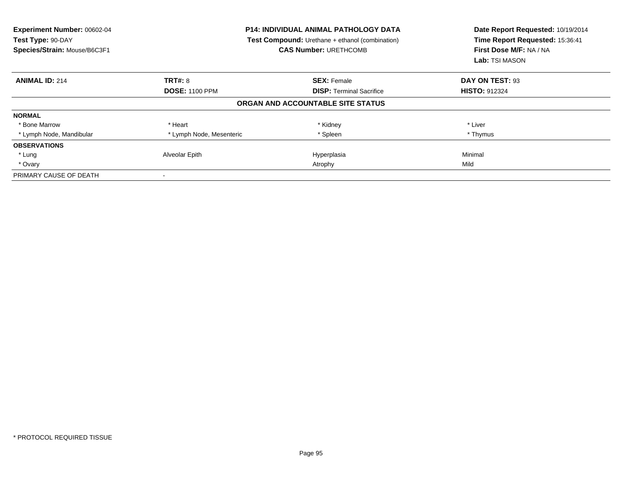| <b>Experiment Number: 00602-04</b><br>Test Type: 90-DAY<br>Species/Strain: Mouse/B6C3F1 |                          | <b>P14: INDIVIDUAL ANIMAL PATHOLOGY DATA</b><br>Test Compound: Urethane + ethanol (combination)<br><b>CAS Number: URETHCOMB</b> | Date Report Requested: 10/19/2014<br>Time Report Requested: 15:36:41<br>First Dose M/F: NA / NA<br>Lab: TSI MASON |
|-----------------------------------------------------------------------------------------|--------------------------|---------------------------------------------------------------------------------------------------------------------------------|-------------------------------------------------------------------------------------------------------------------|
| <b>ANIMAL ID: 214</b>                                                                   | <b>TRT#: 8</b>           | <b>SEX: Female</b>                                                                                                              | DAY ON TEST: 93                                                                                                   |
|                                                                                         | <b>DOSE: 1100 PPM</b>    | <b>DISP:</b> Terminal Sacrifice                                                                                                 | <b>HISTO: 912324</b>                                                                                              |
|                                                                                         |                          | ORGAN AND ACCOUNTABLE SITE STATUS                                                                                               |                                                                                                                   |
| <b>NORMAL</b>                                                                           |                          |                                                                                                                                 |                                                                                                                   |
| * Bone Marrow                                                                           | * Heart                  | * Kidney                                                                                                                        | * Liver                                                                                                           |
| * Lymph Node, Mandibular                                                                | * Lymph Node, Mesenteric | * Spleen                                                                                                                        | * Thymus                                                                                                          |
| <b>OBSERVATIONS</b>                                                                     |                          |                                                                                                                                 |                                                                                                                   |
| * Lung                                                                                  | Alveolar Epith           | Hyperplasia                                                                                                                     | Minimal                                                                                                           |
| * Ovary                                                                                 |                          | Atrophy                                                                                                                         | Mild                                                                                                              |
| PRIMARY CAUSE OF DEATH                                                                  |                          |                                                                                                                                 |                                                                                                                   |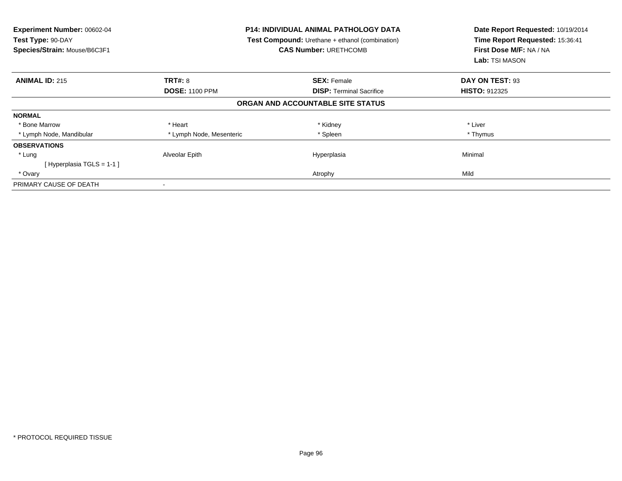| Experiment Number: 00602-04<br>Test Type: 90-DAY<br>Species/Strain: Mouse/B6C3F1 | <b>P14: INDIVIDUAL ANIMAL PATHOLOGY DATA</b><br><b>Test Compound:</b> Urethane + ethanol (combination)<br><b>CAS Number: URETHCOMB</b> |                                   | Date Report Requested: 10/19/2014<br>Time Report Requested: 15:36:41<br>First Dose M/F: NA / NA<br>Lab: TSI MASON |
|----------------------------------------------------------------------------------|----------------------------------------------------------------------------------------------------------------------------------------|-----------------------------------|-------------------------------------------------------------------------------------------------------------------|
| <b>ANIMAL ID: 215</b>                                                            | <b>TRT#: 8</b>                                                                                                                         | <b>SEX: Female</b>                | DAY ON TEST: 93                                                                                                   |
|                                                                                  | <b>DOSE: 1100 PPM</b>                                                                                                                  | <b>DISP:</b> Terminal Sacrifice   | <b>HISTO: 912325</b>                                                                                              |
|                                                                                  |                                                                                                                                        | ORGAN AND ACCOUNTABLE SITE STATUS |                                                                                                                   |
| <b>NORMAL</b>                                                                    |                                                                                                                                        |                                   |                                                                                                                   |
| * Bone Marrow                                                                    | * Heart                                                                                                                                | * Kidney                          | * Liver                                                                                                           |
| * Lymph Node, Mandibular                                                         | * Lymph Node, Mesenteric                                                                                                               | * Spleen                          | * Thymus                                                                                                          |
| <b>OBSERVATIONS</b>                                                              |                                                                                                                                        |                                   |                                                                                                                   |
| * Lung                                                                           | Alveolar Epith                                                                                                                         | Hyperplasia                       | Minimal                                                                                                           |
| [Hyperplasia TGLS = 1-1]                                                         |                                                                                                                                        |                                   |                                                                                                                   |
| * Ovary                                                                          |                                                                                                                                        | Atrophy                           | Mild                                                                                                              |
| PRIMARY CAUSE OF DEATH                                                           |                                                                                                                                        |                                   |                                                                                                                   |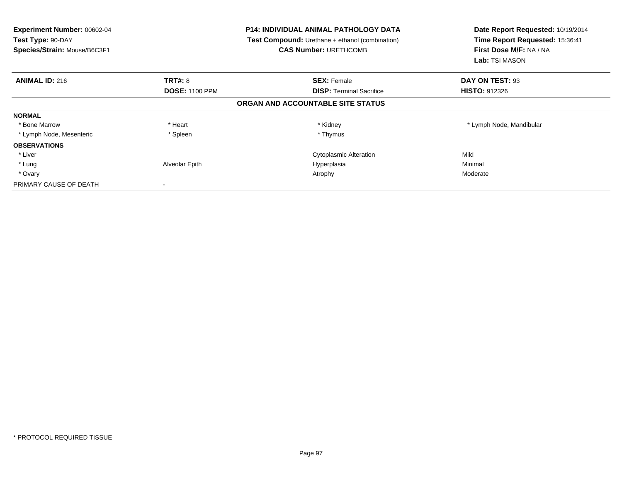| <b>Experiment Number: 00602-04</b><br>Test Type: 90-DAY<br>Species/Strain: Mouse/B6C3F1 |                       | <b>P14: INDIVIDUAL ANIMAL PATHOLOGY DATA</b><br><b>Test Compound:</b> Urethane + ethanol (combination)<br><b>CAS Number: URETHCOMB</b> | Date Report Requested: 10/19/2014<br>Time Report Requested: 15:36:41<br>First Dose M/F: NA / NA<br><b>Lab:</b> TSI MASON |  |
|-----------------------------------------------------------------------------------------|-----------------------|----------------------------------------------------------------------------------------------------------------------------------------|--------------------------------------------------------------------------------------------------------------------------|--|
| <b>ANIMAL ID: 216</b>                                                                   | TRT#: 8               | <b>SEX: Female</b>                                                                                                                     | DAY ON TEST: 93                                                                                                          |  |
|                                                                                         | <b>DOSE: 1100 PPM</b> | <b>DISP: Terminal Sacrifice</b>                                                                                                        | <b>HISTO: 912326</b>                                                                                                     |  |
|                                                                                         |                       | ORGAN AND ACCOUNTABLE SITE STATUS                                                                                                      |                                                                                                                          |  |
| <b>NORMAL</b>                                                                           |                       |                                                                                                                                        |                                                                                                                          |  |
| * Bone Marrow                                                                           | * Heart               | * Kidney                                                                                                                               | * Lymph Node, Mandibular                                                                                                 |  |
| * Lymph Node, Mesenteric                                                                | * Spleen              | * Thymus                                                                                                                               |                                                                                                                          |  |
| <b>OBSERVATIONS</b>                                                                     |                       |                                                                                                                                        |                                                                                                                          |  |
| * Liver                                                                                 |                       | <b>Cytoplasmic Alteration</b>                                                                                                          | Mild                                                                                                                     |  |
| * Lung                                                                                  | Alveolar Epith        | Hyperplasia                                                                                                                            | Minimal                                                                                                                  |  |
| * Ovary                                                                                 |                       | Atrophy                                                                                                                                | Moderate                                                                                                                 |  |
| PRIMARY CAUSE OF DEATH                                                                  |                       |                                                                                                                                        |                                                                                                                          |  |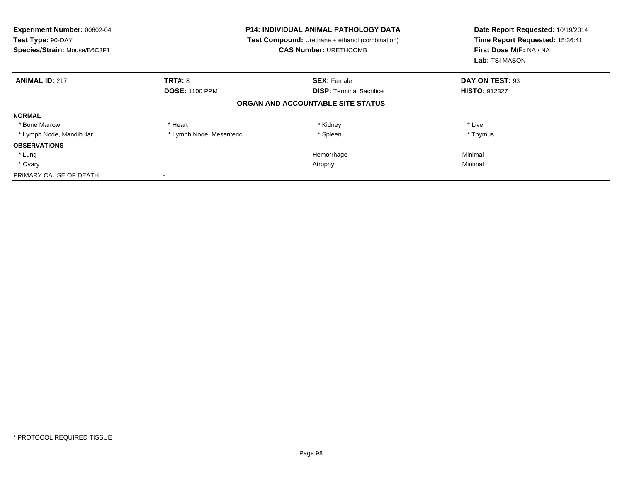| Experiment Number: 00602-04<br>Test Type: 90-DAY<br>Species/Strain: Mouse/B6C3F1 | <b>P14: INDIVIDUAL ANIMAL PATHOLOGY DATA</b><br><b>Test Compound:</b> Urethane + ethanol (combination)<br><b>CAS Number: URETHCOMB</b> |                                   | Date Report Requested: 10/19/2014<br>Time Report Requested: 15:36:41<br>First Dose M/F: NA / NA<br>Lab: TSI MASON |
|----------------------------------------------------------------------------------|----------------------------------------------------------------------------------------------------------------------------------------|-----------------------------------|-------------------------------------------------------------------------------------------------------------------|
| <b>ANIMAL ID: 217</b>                                                            | <b>TRT#: 8</b>                                                                                                                         | <b>SEX: Female</b>                | DAY ON TEST: 93                                                                                                   |
|                                                                                  | <b>DOSE: 1100 PPM</b>                                                                                                                  | <b>DISP:</b> Terminal Sacrifice   | <b>HISTO: 912327</b>                                                                                              |
|                                                                                  |                                                                                                                                        | ORGAN AND ACCOUNTABLE SITE STATUS |                                                                                                                   |
| <b>NORMAL</b>                                                                    |                                                                                                                                        |                                   |                                                                                                                   |
| * Bone Marrow                                                                    | * Heart                                                                                                                                | * Kidney                          | * Liver                                                                                                           |
| * Lymph Node, Mandibular                                                         | * Lymph Node, Mesenteric                                                                                                               | * Spleen                          | * Thymus                                                                                                          |
| <b>OBSERVATIONS</b>                                                              |                                                                                                                                        |                                   |                                                                                                                   |
| * Lung                                                                           |                                                                                                                                        | Hemorrhage                        | Minimal                                                                                                           |
| * Ovary                                                                          |                                                                                                                                        | Atrophy                           | Minimal                                                                                                           |
| PRIMARY CAUSE OF DEATH                                                           |                                                                                                                                        |                                   |                                                                                                                   |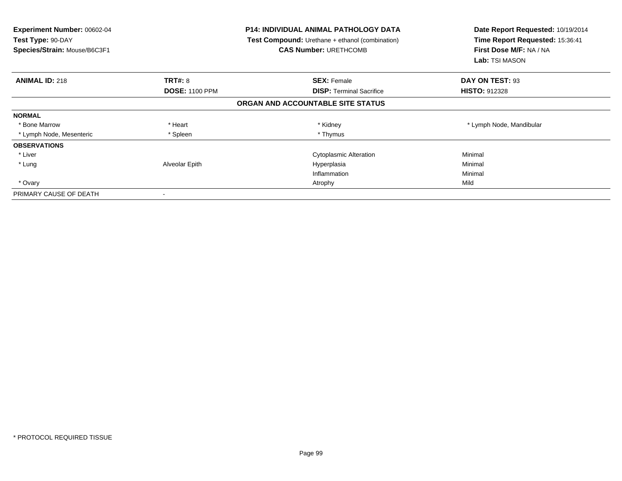| Experiment Number: 00602-04<br>Test Type: 90-DAY<br>Species/Strain: Mouse/B6C3F1 | <b>P14: INDIVIDUAL ANIMAL PATHOLOGY DATA</b><br>Test Compound: Urethane + ethanol (combination)<br><b>CAS Number: URETHCOMB</b> |                                   | Date Report Requested: 10/19/2014<br>Time Report Requested: 15:36:41<br>First Dose M/F: NA / NA<br>Lab: TSI MASON |  |
|----------------------------------------------------------------------------------|---------------------------------------------------------------------------------------------------------------------------------|-----------------------------------|-------------------------------------------------------------------------------------------------------------------|--|
| <b>ANIMAL ID: 218</b>                                                            | TRT#: 8                                                                                                                         | <b>SEX: Female</b>                | DAY ON TEST: 93                                                                                                   |  |
|                                                                                  | <b>DOSE: 1100 PPM</b>                                                                                                           | <b>DISP:</b> Terminal Sacrifice   | <b>HISTO: 912328</b>                                                                                              |  |
|                                                                                  |                                                                                                                                 | ORGAN AND ACCOUNTABLE SITE STATUS |                                                                                                                   |  |
| <b>NORMAL</b>                                                                    |                                                                                                                                 |                                   |                                                                                                                   |  |
| * Bone Marrow                                                                    | * Heart                                                                                                                         | * Kidney                          | * Lymph Node, Mandibular                                                                                          |  |
| * Lymph Node, Mesenteric                                                         | * Spleen                                                                                                                        | * Thymus                          |                                                                                                                   |  |
| <b>OBSERVATIONS</b>                                                              |                                                                                                                                 |                                   |                                                                                                                   |  |
| * Liver                                                                          |                                                                                                                                 | <b>Cytoplasmic Alteration</b>     | Minimal                                                                                                           |  |
| * Lung                                                                           | Alveolar Epith                                                                                                                  | Hyperplasia                       | Minimal                                                                                                           |  |
|                                                                                  |                                                                                                                                 | Inflammation                      | Minimal                                                                                                           |  |
| * Ovary                                                                          |                                                                                                                                 | Atrophy                           | Mild                                                                                                              |  |
| PRIMARY CAUSE OF DEATH                                                           | $\,$                                                                                                                            |                                   |                                                                                                                   |  |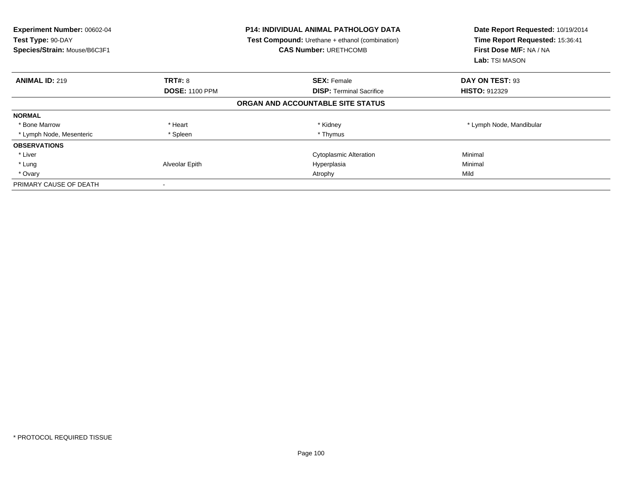| <b>Experiment Number: 00602-04</b><br>Test Type: 90-DAY<br>Species/Strain: Mouse/B6C3F1 |                       | <b>P14: INDIVIDUAL ANIMAL PATHOLOGY DATA</b><br>Test Compound: Urethane + ethanol (combination)<br><b>CAS Number: URETHCOMB</b> | Date Report Requested: 10/19/2014<br>Time Report Requested: 15:36:41<br>First Dose M/F: NA / NA<br><b>Lab:</b> TSI MASON |  |
|-----------------------------------------------------------------------------------------|-----------------------|---------------------------------------------------------------------------------------------------------------------------------|--------------------------------------------------------------------------------------------------------------------------|--|
| <b>ANIMAL ID: 219</b>                                                                   | <b>TRT#: 8</b>        | <b>SEX: Female</b>                                                                                                              | DAY ON TEST: 93                                                                                                          |  |
|                                                                                         | <b>DOSE: 1100 PPM</b> | <b>DISP:</b> Terminal Sacrifice                                                                                                 | <b>HISTO: 912329</b>                                                                                                     |  |
|                                                                                         |                       | ORGAN AND ACCOUNTABLE SITE STATUS                                                                                               |                                                                                                                          |  |
| <b>NORMAL</b>                                                                           |                       |                                                                                                                                 |                                                                                                                          |  |
| * Bone Marrow                                                                           | * Heart               | * Kidney                                                                                                                        | * Lymph Node, Mandibular                                                                                                 |  |
| * Lymph Node, Mesenteric                                                                | * Spleen              | * Thymus                                                                                                                        |                                                                                                                          |  |
| <b>OBSERVATIONS</b>                                                                     |                       |                                                                                                                                 |                                                                                                                          |  |
| * Liver                                                                                 |                       | <b>Cytoplasmic Alteration</b>                                                                                                   | Minimal                                                                                                                  |  |
| * Lung                                                                                  | Alveolar Epith        | Hyperplasia                                                                                                                     | Minimal                                                                                                                  |  |
| * Ovary                                                                                 |                       | Atrophy                                                                                                                         | Mild                                                                                                                     |  |
| PRIMARY CAUSE OF DEATH                                                                  |                       |                                                                                                                                 |                                                                                                                          |  |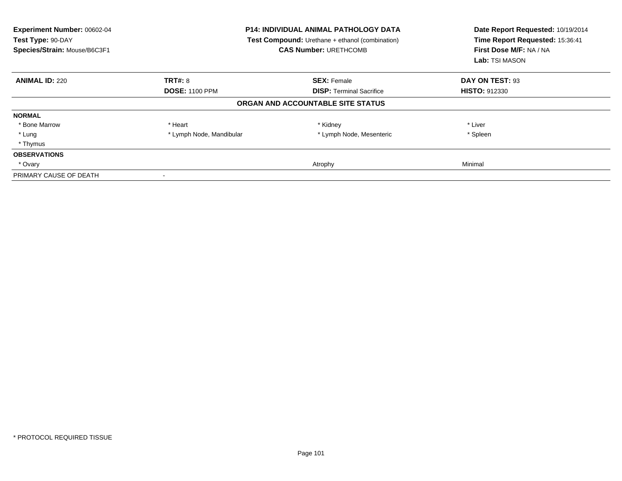| <b>Experiment Number: 00602-04</b><br>Test Type: 90-DAY<br>Species/Strain: Mouse/B6C3F1 | <b>P14: INDIVIDUAL ANIMAL PATHOLOGY DATA</b><br>Test Compound: Urethane + ethanol (combination)<br><b>CAS Number: URETHCOMB</b> |                                   | Date Report Requested: 10/19/2014<br>Time Report Requested: 15:36:41<br>First Dose M/F: NA / NA<br>Lab: TSI MASON |  |
|-----------------------------------------------------------------------------------------|---------------------------------------------------------------------------------------------------------------------------------|-----------------------------------|-------------------------------------------------------------------------------------------------------------------|--|
| <b>ANIMAL ID: 220</b>                                                                   | <b>TRT#: 8</b>                                                                                                                  | <b>SEX: Female</b>                | DAY ON TEST: 93                                                                                                   |  |
|                                                                                         | <b>DOSE: 1100 PPM</b>                                                                                                           | <b>DISP:</b> Terminal Sacrifice   | <b>HISTO: 912330</b>                                                                                              |  |
|                                                                                         |                                                                                                                                 | ORGAN AND ACCOUNTABLE SITE STATUS |                                                                                                                   |  |
| <b>NORMAL</b>                                                                           |                                                                                                                                 |                                   |                                                                                                                   |  |
| * Bone Marrow                                                                           | * Heart                                                                                                                         | * Kidney                          | * Liver                                                                                                           |  |
| * Lung                                                                                  | * Lymph Node, Mandibular                                                                                                        | * Lymph Node, Mesenteric          | * Spleen                                                                                                          |  |
| * Thymus                                                                                |                                                                                                                                 |                                   |                                                                                                                   |  |
| <b>OBSERVATIONS</b>                                                                     |                                                                                                                                 |                                   |                                                                                                                   |  |
| * Ovary                                                                                 |                                                                                                                                 | Atrophy                           | Minimal                                                                                                           |  |
| PRIMARY CAUSE OF DEATH                                                                  |                                                                                                                                 |                                   |                                                                                                                   |  |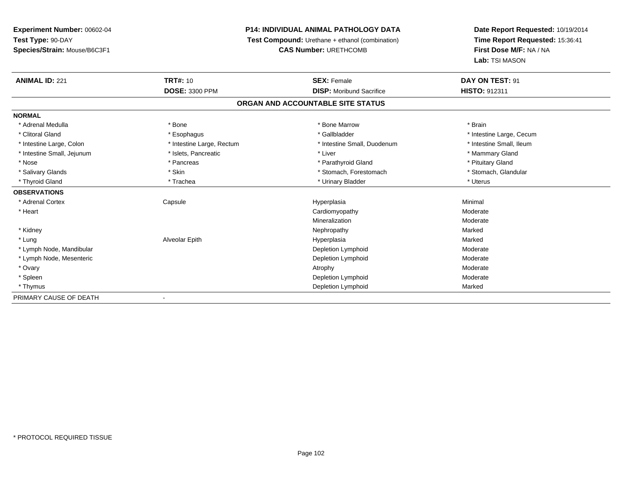## **P14: INDIVIDUAL ANIMAL PATHOLOGY DATA**

**Test Compound:** Urethane + ethanol (combination)

**CAS Number:** URETHCOMB

| <b>ANIMAL ID: 221</b>      | <b>TRT#: 10</b>           | <b>SEX: Female</b>                | DAY ON TEST: 91          |
|----------------------------|---------------------------|-----------------------------------|--------------------------|
|                            | <b>DOSE: 3300 PPM</b>     | <b>DISP:</b> Moribund Sacrifice   | <b>HISTO: 912311</b>     |
|                            |                           | ORGAN AND ACCOUNTABLE SITE STATUS |                          |
| <b>NORMAL</b>              |                           |                                   |                          |
| * Adrenal Medulla          | * Bone                    | * Bone Marrow                     | * Brain                  |
| * Clitoral Gland           | * Esophagus               | * Gallbladder                     | * Intestine Large, Cecum |
| * Intestine Large, Colon   | * Intestine Large, Rectum | * Intestine Small, Duodenum       | * Intestine Small, Ileum |
| * Intestine Small, Jejunum | * Islets, Pancreatic      | * Liver                           | * Mammary Gland          |
| * Nose                     | * Pancreas                | * Parathyroid Gland               | * Pituitary Gland        |
| * Salivary Glands          | * Skin                    | * Stomach, Forestomach            | * Stomach, Glandular     |
| * Thyroid Gland            | * Trachea                 | * Urinary Bladder                 | * Uterus                 |
| <b>OBSERVATIONS</b>        |                           |                                   |                          |
| * Adrenal Cortex           | Capsule                   | Hyperplasia                       | Minimal                  |
| * Heart                    |                           | Cardiomyopathy                    | Moderate                 |
|                            |                           | Mineralization                    | Moderate                 |
| * Kidney                   |                           | Nephropathy                       | Marked                   |
| * Lung                     | Alveolar Epith            | Hyperplasia                       | Marked                   |
| * Lymph Node, Mandibular   |                           | Depletion Lymphoid                | Moderate                 |
| * Lymph Node, Mesenteric   |                           | Depletion Lymphoid                | Moderate                 |
| * Ovary                    |                           | Atrophy                           | Moderate                 |
| * Spleen                   |                           | Depletion Lymphoid                | Moderate                 |
| * Thymus                   |                           | Depletion Lymphoid                | Marked                   |
| PRIMARY CAUSE OF DEATH     | $\overline{\phantom{a}}$  |                                   |                          |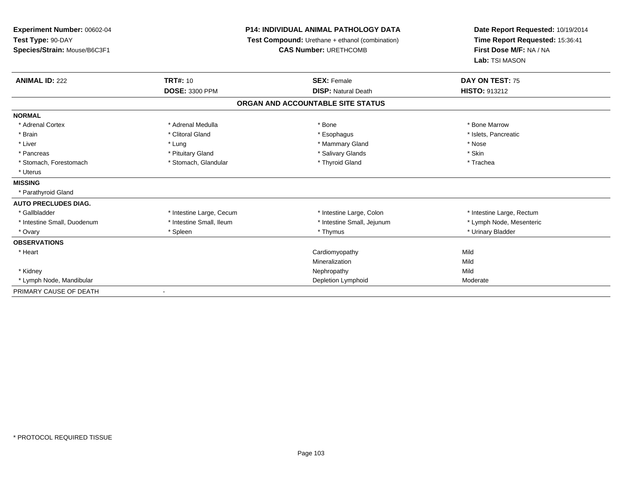| Experiment Number: 00602-04<br>Test Type: 90-DAY<br>Species/Strain: Mouse/B6C3F1 |                          | <b>P14: INDIVIDUAL ANIMAL PATHOLOGY DATA</b><br>Test Compound: Urethane + ethanol (combination)<br><b>CAS Number: URETHCOMB</b> | Date Report Requested: 10/19/2014<br>Time Report Requested: 15:36:41<br>First Dose M/F: NA / NA<br>Lab: TSI MASON |  |
|----------------------------------------------------------------------------------|--------------------------|---------------------------------------------------------------------------------------------------------------------------------|-------------------------------------------------------------------------------------------------------------------|--|
| <b>ANIMAL ID: 222</b>                                                            | <b>TRT#: 10</b>          | <b>SEX: Female</b>                                                                                                              | DAY ON TEST: 75                                                                                                   |  |
|                                                                                  | <b>DOSE: 3300 PPM</b>    | <b>DISP: Natural Death</b>                                                                                                      | HISTO: 913212                                                                                                     |  |
|                                                                                  |                          | ORGAN AND ACCOUNTABLE SITE STATUS                                                                                               |                                                                                                                   |  |
| <b>NORMAL</b>                                                                    |                          |                                                                                                                                 |                                                                                                                   |  |
| * Adrenal Cortex                                                                 | * Adrenal Medulla        | * Bone                                                                                                                          | * Bone Marrow                                                                                                     |  |
| * Brain                                                                          | * Clitoral Gland         | * Esophagus                                                                                                                     | * Islets, Pancreatic                                                                                              |  |
| * Liver                                                                          | * Lung                   | * Mammary Gland                                                                                                                 | * Nose                                                                                                            |  |
| * Pancreas                                                                       | * Pituitary Gland        | * Salivary Glands                                                                                                               | * Skin                                                                                                            |  |
| * Stomach, Forestomach                                                           | * Stomach, Glandular     | * Thyroid Gland                                                                                                                 | * Trachea                                                                                                         |  |
| * Uterus                                                                         |                          |                                                                                                                                 |                                                                                                                   |  |
| <b>MISSING</b>                                                                   |                          |                                                                                                                                 |                                                                                                                   |  |
| * Parathyroid Gland                                                              |                          |                                                                                                                                 |                                                                                                                   |  |
| <b>AUTO PRECLUDES DIAG.</b>                                                      |                          |                                                                                                                                 |                                                                                                                   |  |
| * Gallbladder                                                                    | * Intestine Large, Cecum | * Intestine Large, Colon                                                                                                        | * Intestine Large, Rectum                                                                                         |  |
| * Intestine Small, Duodenum                                                      | * Intestine Small, Ileum | * Intestine Small, Jejunum                                                                                                      | * Lymph Node, Mesenteric                                                                                          |  |
| * Ovary                                                                          | * Spleen                 | * Thymus                                                                                                                        | * Urinary Bladder                                                                                                 |  |
| <b>OBSERVATIONS</b>                                                              |                          |                                                                                                                                 |                                                                                                                   |  |
| * Heart                                                                          |                          | Cardiomyopathy                                                                                                                  | Mild                                                                                                              |  |
|                                                                                  |                          | Mineralization                                                                                                                  | Mild                                                                                                              |  |
| * Kidney                                                                         |                          | Nephropathy                                                                                                                     | Mild                                                                                                              |  |
| * Lymph Node, Mandibular                                                         |                          | Depletion Lymphoid                                                                                                              | Moderate                                                                                                          |  |
| PRIMARY CAUSE OF DEATH                                                           |                          |                                                                                                                                 |                                                                                                                   |  |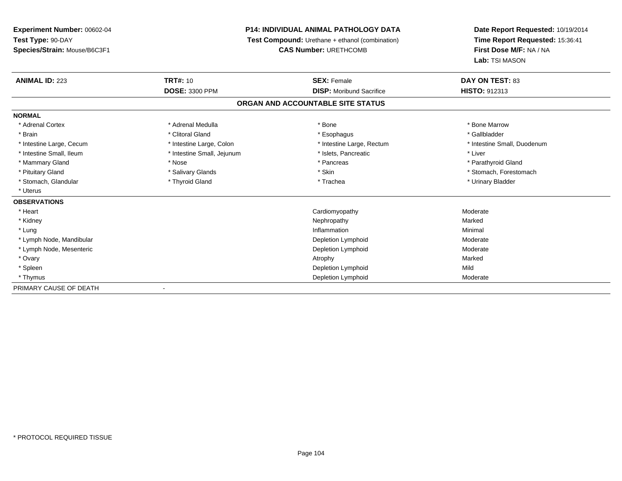## **P14: INDIVIDUAL ANIMAL PATHOLOGY DATA**

**Test Compound:** Urethane + ethanol (combination)

**CAS Number:** URETHCOMB

| <b>ANIMAL ID: 223</b>    | <b>TRT#: 10</b>            | <b>SEX: Female</b>                | <b>DAY ON TEST: 83</b>      |  |
|--------------------------|----------------------------|-----------------------------------|-----------------------------|--|
|                          | <b>DOSE: 3300 PPM</b>      | <b>DISP:</b> Moribund Sacrifice   | <b>HISTO: 912313</b>        |  |
|                          |                            | ORGAN AND ACCOUNTABLE SITE STATUS |                             |  |
| <b>NORMAL</b>            |                            |                                   |                             |  |
| * Adrenal Cortex         | * Adrenal Medulla          | * Bone                            | * Bone Marrow               |  |
| * Brain                  | * Clitoral Gland           | * Esophagus                       | * Gallbladder               |  |
| * Intestine Large, Cecum | * Intestine Large, Colon   | * Intestine Large, Rectum         | * Intestine Small, Duodenum |  |
| * Intestine Small, Ileum | * Intestine Small, Jejunum | * Islets, Pancreatic              | * Liver                     |  |
| * Mammary Gland          | * Nose                     | * Pancreas                        | * Parathyroid Gland         |  |
| * Pituitary Gland        | * Salivary Glands          | * Skin                            | * Stomach, Forestomach      |  |
| * Stomach, Glandular     | * Thyroid Gland            | * Trachea                         | * Urinary Bladder           |  |
| * Uterus                 |                            |                                   |                             |  |
| <b>OBSERVATIONS</b>      |                            |                                   |                             |  |
| * Heart                  |                            | Cardiomyopathy                    | Moderate                    |  |
| * Kidney                 |                            | Nephropathy                       | Marked                      |  |
| * Lung                   |                            | Inflammation                      | Minimal                     |  |
| * Lymph Node, Mandibular |                            | Depletion Lymphoid                | Moderate                    |  |
| * Lymph Node, Mesenteric |                            | Depletion Lymphoid                | Moderate                    |  |
| * Ovary                  |                            | Atrophy                           | Marked                      |  |
| * Spleen                 |                            | Depletion Lymphoid                | Mild                        |  |
| * Thymus                 |                            | Depletion Lymphoid                | Moderate                    |  |
| PRIMARY CAUSE OF DEATH   |                            |                                   |                             |  |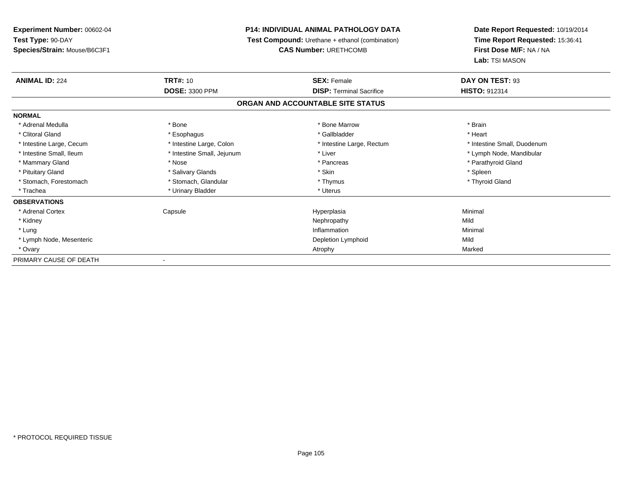| Experiment Number: 00602-04  |                                                        | <b>P14: INDIVIDUAL ANIMAL PATHOLOGY DATA</b> | Date Report Requested: 10/19/2014 |  |
|------------------------------|--------------------------------------------------------|----------------------------------------------|-----------------------------------|--|
| Test Type: 90-DAY            | <b>Test Compound:</b> Urethane + ethanol (combination) |                                              | Time Report Requested: 15:36:41   |  |
| Species/Strain: Mouse/B6C3F1 |                                                        | <b>CAS Number: URETHCOMB</b>                 | First Dose M/F: NA / NA           |  |
|                              |                                                        |                                              | Lab: TSI MASON                    |  |
| <b>ANIMAL ID: 224</b>        | <b>TRT#: 10</b>                                        | <b>SEX: Female</b>                           | DAY ON TEST: 93                   |  |
|                              | <b>DOSE: 3300 PPM</b>                                  | <b>DISP: Terminal Sacrifice</b>              | <b>HISTO: 912314</b>              |  |
|                              |                                                        | ORGAN AND ACCOUNTABLE SITE STATUS            |                                   |  |
| <b>NORMAL</b>                |                                                        |                                              |                                   |  |
| * Adrenal Medulla            | * Bone                                                 | * Bone Marrow                                | * Brain                           |  |
| * Clitoral Gland             | * Esophagus                                            | * Gallbladder                                | * Heart                           |  |
| * Intestine Large, Cecum     | * Intestine Large, Colon                               | * Intestine Large, Rectum                    | * Intestine Small, Duodenum       |  |
| * Intestine Small, Ileum     | * Intestine Small, Jejunum                             | * Liver                                      | * Lymph Node, Mandibular          |  |
| * Mammary Gland              | * Nose                                                 | * Pancreas                                   | * Parathyroid Gland               |  |
| * Pituitary Gland            | * Salivary Glands                                      | * Skin                                       | * Spleen                          |  |
| * Stomach, Forestomach       | * Stomach, Glandular                                   | * Thymus                                     | * Thyroid Gland                   |  |
| * Trachea                    | * Urinary Bladder                                      | * Uterus                                     |                                   |  |
| <b>OBSERVATIONS</b>          |                                                        |                                              |                                   |  |
| * Adrenal Cortex             | Capsule                                                | Hyperplasia                                  | Minimal                           |  |
| * Kidney                     |                                                        | Nephropathy                                  | Mild                              |  |
| * Lung                       |                                                        | Inflammation                                 | Minimal                           |  |
| * Lymph Node, Mesenteric     |                                                        | Depletion Lymphoid                           | Mild                              |  |
| * Ovary                      |                                                        | Atrophy                                      | Marked                            |  |
| PRIMARY CAUSE OF DEATH       |                                                        |                                              |                                   |  |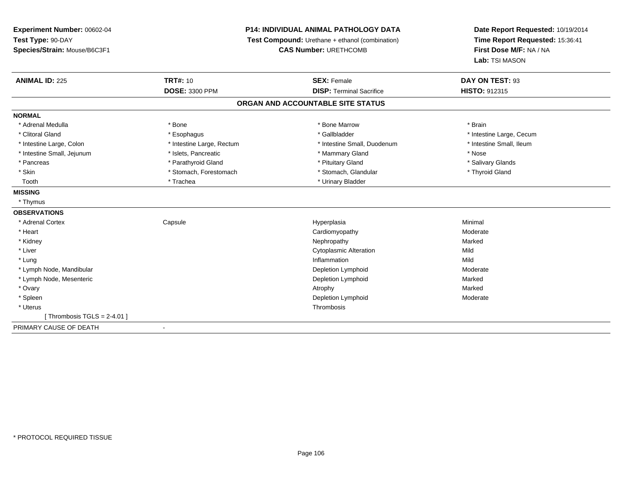| Experiment Number: 00602-04   | P14: INDIVIDUAL ANIMAL PATHOLOGY DATA |                                                 | Date Report Requested: 10/19/2014 |  |
|-------------------------------|---------------------------------------|-------------------------------------------------|-----------------------------------|--|
| Test Type: 90-DAY             |                                       | Test Compound: Urethane + ethanol (combination) | Time Report Requested: 15:36:41   |  |
| Species/Strain: Mouse/B6C3F1  | <b>CAS Number: URETHCOMB</b>          |                                                 | First Dose M/F: NA / NA           |  |
|                               |                                       |                                                 | Lab: TSI MASON                    |  |
| <b>ANIMAL ID: 225</b>         | <b>TRT#: 10</b>                       | <b>SEX: Female</b>                              | DAY ON TEST: 93                   |  |
|                               | <b>DOSE: 3300 PPM</b>                 | <b>DISP: Terminal Sacrifice</b>                 | HISTO: 912315                     |  |
|                               |                                       | ORGAN AND ACCOUNTABLE SITE STATUS               |                                   |  |
| <b>NORMAL</b>                 |                                       |                                                 |                                   |  |
| * Adrenal Medulla             | * Bone                                | * Bone Marrow                                   | * Brain                           |  |
| * Clitoral Gland              | * Esophagus                           | * Gallbladder                                   | * Intestine Large, Cecum          |  |
| * Intestine Large, Colon      | * Intestine Large, Rectum             | * Intestine Small, Duodenum                     | * Intestine Small, Ileum          |  |
| * Intestine Small, Jejunum    | * Islets, Pancreatic                  | * Mammary Gland                                 | * Nose                            |  |
| * Pancreas                    | * Parathyroid Gland                   | * Pituitary Gland                               | * Salivary Glands                 |  |
| * Skin                        | * Stomach, Forestomach                | * Stomach, Glandular                            | * Thyroid Gland                   |  |
| Tooth                         | * Trachea                             | * Urinary Bladder                               |                                   |  |
| <b>MISSING</b>                |                                       |                                                 |                                   |  |
| * Thymus                      |                                       |                                                 |                                   |  |
| <b>OBSERVATIONS</b>           |                                       |                                                 |                                   |  |
| * Adrenal Cortex              | Capsule                               | Hyperplasia                                     | Minimal                           |  |
| * Heart                       |                                       | Cardiomyopathy                                  | Moderate                          |  |
| * Kidney                      |                                       | Nephropathy                                     | Marked                            |  |
| * Liver                       |                                       | <b>Cytoplasmic Alteration</b>                   | Mild                              |  |
| * Lung                        |                                       | Inflammation                                    | Mild                              |  |
| * Lymph Node, Mandibular      |                                       | Depletion Lymphoid                              | Moderate                          |  |
| * Lymph Node, Mesenteric      |                                       | Depletion Lymphoid                              | Marked                            |  |
| * Ovary                       |                                       | Atrophy                                         | Marked                            |  |
| * Spleen                      |                                       | Depletion Lymphoid                              | Moderate                          |  |
| * Uterus                      |                                       | Thrombosis                                      |                                   |  |
| [Thrombosis TGLS = $2-4.01$ ] |                                       |                                                 |                                   |  |
| PRIMARY CAUSE OF DEATH        | $\blacksquare$                        |                                                 |                                   |  |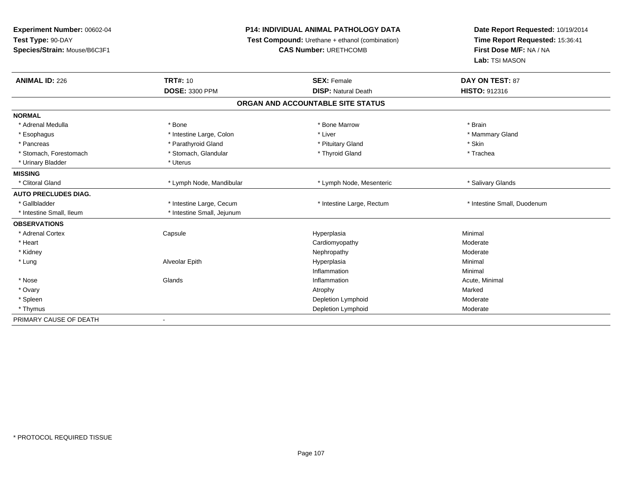**Experiment Number:** 00602-04**Test Type:** 90-DAY **Species/Strain:** Mouse/B6C3F1**P14: INDIVIDUAL ANIMAL PATHOLOGY DATA Test Compound:** Urethane + ethanol (combination)**CAS Number:** URETHCOMB**Date Report Requested:** 10/19/2014**Time Report Requested:** 15:36:41**First Dose M/F:** NA / NA**Lab:** TSI MASON**ANIMAL ID:** 226**C TRT#:** 10 **SEX:** Female **DAY ON TEST:** 87 **DOSE:** 3300 PPM**DISP:** Natural Death **HISTO:** 912316 **ORGAN AND ACCOUNTABLE SITE STATUSNORMAL**\* Adrenal Medulla \* \* Annual Medulla \* Brain \* Bone \* \* Bone Marrow \* Bone Marrow \* \* Brain \* Brain \* Brain \* Brain \* Brain \* Brain \* Brain \* Brain \* Brain \* Brain \* Brain \* Brain \* Brain \* Brain \* Brain \* Brain \* Brain \* \* Mammary Gland \* Esophagus \* Intestine Large, Colon \* Intestine Large, Colon \* Liver \* Pancreas \* Parathyroid Gland \* Parathyroid Gland \* Pituitary Gland \* Skin \* Trachea \* Stomach, Forestomach \* The metal \* Stomach, Glandular \* The \* Thyroid Gland \* Thyroid Gland \* Thyroid Gland \* Urinary Bladder \* Uterus **MISSING**\* Clitoral Gland \* Lymph Node, Mandibular \* Lymph Node, Mesenteric \* Salivary Glands **AUTO PRECLUDES DIAG.**\* Gallbladder \* Thestine Large, Cecum \* Intestine Large, Thestine Large, Rectum \* Intestine Small, Duodenum \* Intestine Small, Ileum \* 117 \* Intestine Small, Jejunum **OBSERVATIONS** \* Adrenal Cortex**Capsule**  Hyperplasia Minimal \* Heart Cardiomyopathy ModerateModerate \* Kidneyy the controller that the controller temperature of  $\lambda$  . Nephropathy the controller temperature  $\lambda$  Moderate \* Lung Alveolar Epith Hyperplasia Minimal Inflammationn and a basic control of the Minimal \* Nose Glands Inflammation Acute, Minimal \* Ovaryy the control of the control of the control of the control of the control of the control of the control of the control of the control of the control of the control of the control of the control of the control of the contro Moderate \* Spleenn and the controller of the controller of the controller of the Depletion Lymphoid controller and moderate Moderate \* Thymus Depletion Lymphoid Moderate PRIMARY CAUSE OF DEATH-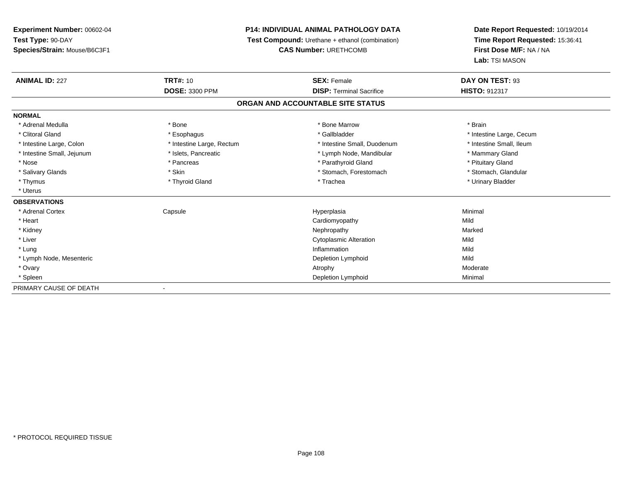## **P14: INDIVIDUAL ANIMAL PATHOLOGY DATA**

**Test Compound:** Urethane + ethanol (combination)

**CAS Number:** URETHCOMB

| <b>ANIMAL ID: 227</b>      | <b>TRT#: 10</b>           | <b>SEX: Female</b>                | DAY ON TEST: 93          |
|----------------------------|---------------------------|-----------------------------------|--------------------------|
|                            | <b>DOSE: 3300 PPM</b>     | <b>DISP: Terminal Sacrifice</b>   | HISTO: 912317            |
|                            |                           | ORGAN AND ACCOUNTABLE SITE STATUS |                          |
| <b>NORMAL</b>              |                           |                                   |                          |
| * Adrenal Medulla          | * Bone                    | * Bone Marrow                     | * Brain                  |
| * Clitoral Gland           | * Esophagus               | * Gallbladder                     | * Intestine Large, Cecum |
| * Intestine Large, Colon   | * Intestine Large, Rectum | * Intestine Small, Duodenum       | * Intestine Small, Ileum |
| * Intestine Small, Jejunum | * Islets, Pancreatic      | * Lymph Node, Mandibular          | * Mammary Gland          |
| * Nose                     | * Pancreas                | * Parathyroid Gland               | * Pituitary Gland        |
| * Salivary Glands          | * Skin                    | * Stomach, Forestomach            | * Stomach, Glandular     |
| * Thymus                   | * Thyroid Gland           | * Trachea                         | * Urinary Bladder        |
| * Uterus                   |                           |                                   |                          |
| <b>OBSERVATIONS</b>        |                           |                                   |                          |
| * Adrenal Cortex           | Capsule                   | Hyperplasia                       | Minimal                  |
| * Heart                    |                           | Cardiomyopathy                    | Mild                     |
| * Kidney                   |                           | Nephropathy                       | Marked                   |
| * Liver                    |                           | <b>Cytoplasmic Alteration</b>     | Mild                     |
| * Lung                     |                           | Inflammation                      | Mild                     |
| * Lymph Node, Mesenteric   |                           | Depletion Lymphoid                | Mild                     |
| * Ovary                    |                           | Atrophy                           | Moderate                 |
| * Spleen                   |                           | Depletion Lymphoid                | Minimal                  |
| PRIMARY CAUSE OF DEATH     |                           |                                   |                          |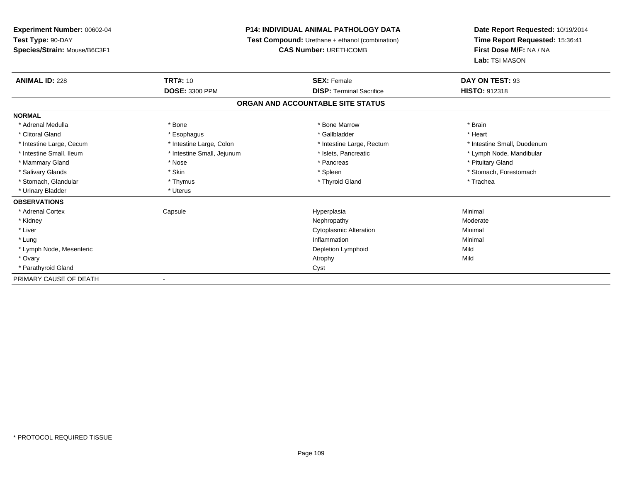**Experiment Number:** 00602-04**Test Type:** 90-DAY **Species/Strain:** Mouse/B6C3F1**P14: INDIVIDUAL ANIMAL PATHOLOGY DATA Test Compound:** Urethane + ethanol (combination)**CAS Number:** URETHCOMB**Date Report Requested:** 10/19/2014**Time Report Requested:** 15:36:41**First Dose M/F:** NA / NA**Lab:** TSI MASON**ANIMAL ID:** 228**TRT#:** 10 **SEX:** Female **DAY ON TEST:** 93 **DOSE:** 3300 PPM**DISP:** Terminal Sacrifice **HISTO:** 912318 **ORGAN AND ACCOUNTABLE SITE STATUSNORMAL**\* Adrenal Medulla \* \* Annual Medulla \* Brain \* Bone \* \* Bone Marrow \* Bone Marrow \* \* Brain \* Brain \* Brain \* Brain \* Brain \* Brain \* Brain \* Brain \* Brain \* Brain \* Brain \* Brain \* Brain \* Brain \* Brain \* Brain \* Brain \* \* Heart \* Clitoral Gland \* \* \* heart \* \* Esophagus \* \* \* \* \* \* \* \* \* \* \* Gallbladder \* \* \* \* \* \* \* \* \* \* \* \* Heart \* Intestine Large, Cecum \* Intestine Large, Colon \* Intestine Large, Rectum \* Intestine Small, Duodenum \* Intestine Small, Ileum \* \* Thestine Small, Jejunum \* \* Sets, Pancreatic \* \* Thestine Small, Nejunum \* Lymph Node, Mandibular \* Mammary Gland \* \* Amery \* Nose \* \* Pancreas \* Pancreas \* Pancreas \* Pancreas \* Pituitary Gland \* Pituitary Gland \* Pancreas \* \* Pancreas \* \* Pancreas \* \* Pituitary Gland \* Pituitary Gland \* \* Pancreas \* \* Pancreas \* \* \* \* Salivary Glands \* The stomach \* Skin \* Spleen \* Spleen \* Stomach, Forestomach \* Stomach, Forestomach \* Stomach, Forestomach \* Stomach, Glandular \* Thymus \* Thymus \* Thymus \* Thyroid Gland \* Thyroid Gland \* Trachea \* Urinary Bladder \* Uterus **OBSERVATIONS** \* Adrenal Cortex Capsulee and the Hyperplasia Minimal Minimal Service and the Hyperplasia Minimal Minimal Service and Minimal Service and Minimal Service and Minimal Service and Minimal Service and Minimal Service and Minimal Service and Minimal \* Kidneyy which is a state of the control of the Moderate of the Moderate of the Moderate of the Moderate of the Moderate of the Moderate of the Moderate of the Moderate of the Moderate of the Moderate of the Moderate of the Moder \* Liver Cytoplasmic AlterationMinimal<br>Minimal \* Lungg and the state of the state of the state of the state of the state of the state of the state of the state of the state of the state of the state of the state of the state of the state of the state of the state of the stat \* Lymph Node, Mesenteric Depletion Lymphoidd Mild \* Ovaryy and the control of the control of the control of the control of the control of the control of the control of the control of the control of the control of the control of the control of the control of the control of the co \* Parathyroid Glandd<sub>d</sub> Cyst PRIMARY CAUSE OF DEATH-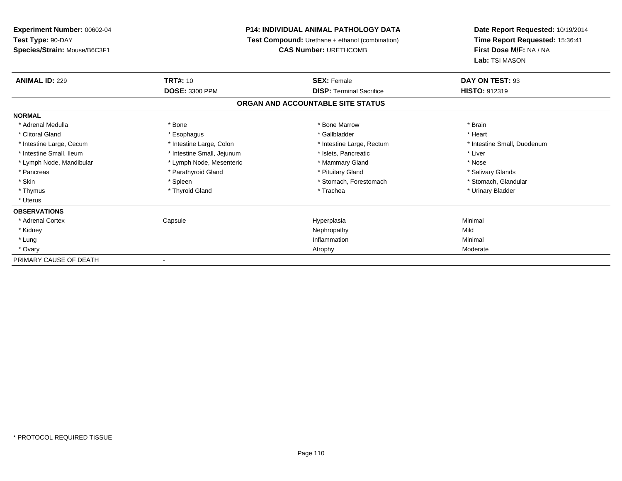| Experiment Number: 00602-04  | <b>P14: INDIVIDUAL ANIMAL PATHOLOGY DATA</b> |                                                                                        | Date Report Requested: 10/19/2014         |  |
|------------------------------|----------------------------------------------|----------------------------------------------------------------------------------------|-------------------------------------------|--|
| Test Type: 90-DAY            |                                              | <b>Test Compound:</b> Urethane + ethanol (combination)<br><b>CAS Number: URETHCOMB</b> |                                           |  |
| Species/Strain: Mouse/B6C3F1 |                                              |                                                                                        |                                           |  |
|                              |                                              |                                                                                        | First Dose M/F: NA / NA<br>Lab: TSI MASON |  |
| <b>ANIMAL ID: 229</b>        | <b>TRT#: 10</b>                              | <b>SEX: Female</b>                                                                     | DAY ON TEST: 93                           |  |
|                              | <b>DOSE: 3300 PPM</b>                        | <b>DISP: Terminal Sacrifice</b>                                                        | HISTO: 912319                             |  |
|                              |                                              | ORGAN AND ACCOUNTABLE SITE STATUS                                                      |                                           |  |
| <b>NORMAL</b>                |                                              |                                                                                        |                                           |  |
| * Adrenal Medulla            | * Bone                                       | * Bone Marrow                                                                          | * Brain                                   |  |
| * Clitoral Gland             | * Esophagus                                  | * Gallbladder                                                                          | * Heart                                   |  |
| * Intestine Large, Cecum     | * Intestine Large, Colon                     | * Intestine Large, Rectum                                                              | * Intestine Small, Duodenum               |  |
| * Intestine Small, Ileum     | * Intestine Small, Jejunum                   | * Islets, Pancreatic                                                                   | * Liver                                   |  |
| * Lymph Node, Mandibular     | * Lymph Node, Mesenteric                     | * Mammary Gland                                                                        | * Nose                                    |  |
| * Pancreas                   | * Parathyroid Gland                          | * Pituitary Gland                                                                      | * Salivary Glands                         |  |
| * Skin                       | * Spleen                                     | * Stomach, Forestomach                                                                 | * Stomach, Glandular                      |  |
| * Thymus                     | * Thyroid Gland                              | * Trachea                                                                              | * Urinary Bladder                         |  |
| * Uterus                     |                                              |                                                                                        |                                           |  |
| <b>OBSERVATIONS</b>          |                                              |                                                                                        |                                           |  |
| * Adrenal Cortex             | Capsule                                      | Hyperplasia                                                                            | Minimal                                   |  |
| * Kidney                     |                                              | Nephropathy                                                                            | Mild                                      |  |
| * Lung                       |                                              | Inflammation                                                                           | Minimal                                   |  |
| * Ovary                      |                                              | Atrophy                                                                                | Moderate                                  |  |
| PRIMARY CAUSE OF DEATH       |                                              |                                                                                        |                                           |  |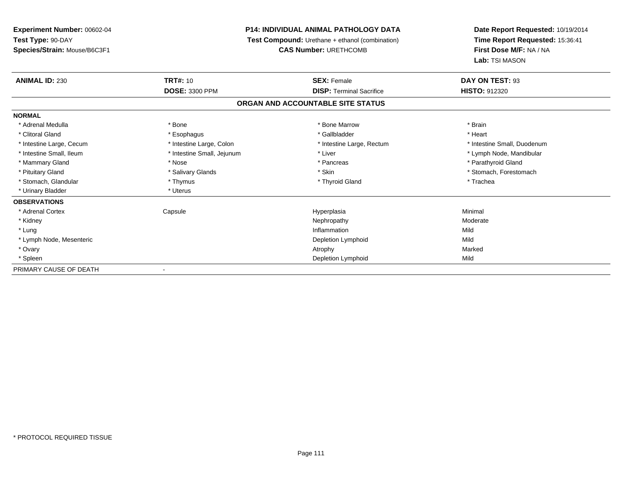**Experiment Number:** 00602-04**Test Type:** 90-DAY **Species/Strain:** Mouse/B6C3F1**P14: INDIVIDUAL ANIMAL PATHOLOGY DATA Test Compound:** Urethane + ethanol (combination)**CAS Number:** URETHCOMB**Date Report Requested:** 10/19/2014**Time Report Requested:** 15:36:41**First Dose M/F:** NA / NA**Lab:** TSI MASON**ANIMAL ID:** 230**TRT#:** 10 **SEX:** Female **DAY ON TEST:** 93 **DOSE:** 3300 PPM**DISP:** Terminal Sacrifice **HISTO:** 912320 **ORGAN AND ACCOUNTABLE SITE STATUSNORMAL**\* Adrenal Medulla \* \* Annual Medulla \* Brain \* Bone \* \* Bone Marrow \* Bone Marrow \* \* Brain \* Brain \* Brain \* Brain \* Brain \* Brain \* Brain \* Brain \* Brain \* Brain \* Brain \* Brain \* Brain \* Brain \* Brain \* Brain \* Brain \* \* Heart \* Clitoral Gland \* \* \* heart \* \* Esophagus \* \* \* \* \* \* \* \* \* \* \* Gallbladder \* \* \* \* \* \* \* \* \* \* \* \* Heart \* Intestine Large, Cecum \* Intestine Large, Colon \* Intestine Large, Thestine Large, Rectum \* Intestine Small, Duodenum \* Intestine Small, Ileum \* \* Thestine Small, Jejunum \* Liver \* Liver \* Liver \* Thestine Small, Nejunum \* Lymph Node, Mandibular \* Mammary Gland \* The strain of the strain of the strain of the strain of the strain of the strain of the strain of the strain of the strain of the strain of the strain of the strain of the strain of the strain of the stra \* Pituitary Gland \* \* Salivary Glands \* Salivary Glands \* Skin \* \* Skin \* \* Stomach, Forestomach \* Stomach, Glandular \* Thymus \* Thymus \* Thymus \* Thyroid Gland \* Thyroid Gland \* Trachea \* Urinary Bladder \* Uterus **OBSERVATIONS** \* Adrenal Cortex Capsulee and the Hyperplasia Minimal Minimal Service and the Hyperplasia Minimal Minimal Service and Minimal Service and Minimal Service and Minimal Service and Minimal Service and Minimal Service and Minimal Service and Minimal \* Kidneyy which is a state of the control of the Moderate of the Moderate of the Moderate of the Moderate of the Moderate of the Moderate of the Moderate of the Moderate of the Moderate of the Moderate of the Moderate of the Moder \* Lungg and the state of the state of the state of the state of the state of the state of the state of the state of the state of the state of the state of the state of the state of the state of the state of the state of the stat \* Lymph Node, Mesenteric Depletion Lymphoidd Mild \* Ovaryy the control of the control of the control of the control of the control of the control of the control of the control of the control of the control of the control of the control of the control of the control of the contro \* Spleenn and Depletion Lymphoid Mild and September 2012 and Depletion Lymphoid Mild and September 2013 and Mild and S PRIMARY CAUSE OF DEATH-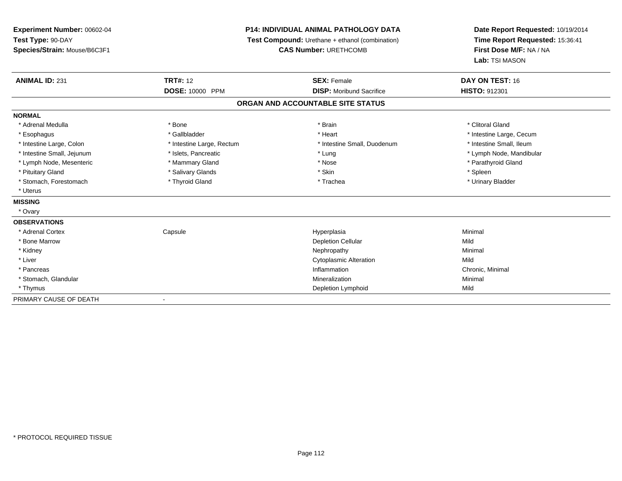| Experiment Number: 00602-04  |                           | <b>P14: INDIVIDUAL ANIMAL PATHOLOGY DATA</b>    | Date Report Requested: 10/19/2014                          |  |
|------------------------------|---------------------------|-------------------------------------------------|------------------------------------------------------------|--|
| Test Type: 90-DAY            |                           | Test Compound: Urethane + ethanol (combination) | Time Report Requested: 15:36:41<br>First Dose M/F: NA / NA |  |
| Species/Strain: Mouse/B6C3F1 |                           | <b>CAS Number: URETHCOMB</b>                    |                                                            |  |
|                              |                           |                                                 | Lab: TSI MASON                                             |  |
| <b>ANIMAL ID: 231</b>        | <b>TRT#: 12</b>           | <b>SEX: Female</b>                              | DAY ON TEST: 16                                            |  |
|                              | DOSE: 10000 PPM           | <b>DISP:</b> Moribund Sacrifice                 | HISTO: 912301                                              |  |
|                              |                           | ORGAN AND ACCOUNTABLE SITE STATUS               |                                                            |  |
| <b>NORMAL</b>                |                           |                                                 |                                                            |  |
| * Adrenal Medulla            | * Bone                    | * Brain                                         | * Clitoral Gland                                           |  |
| * Esophagus                  | * Gallbladder             | * Heart                                         | * Intestine Large, Cecum                                   |  |
| * Intestine Large, Colon     | * Intestine Large, Rectum | * Intestine Small, Duodenum                     | * Intestine Small, Ileum                                   |  |
| * Intestine Small, Jejunum   | * Islets, Pancreatic      | * Lung                                          | * Lymph Node, Mandibular                                   |  |
| * Lymph Node, Mesenteric     | * Mammary Gland           | * Nose                                          | * Parathyroid Gland                                        |  |
| * Pituitary Gland            | * Salivary Glands         | * Skin                                          | * Spleen                                                   |  |
| * Stomach, Forestomach       | * Thyroid Gland           | * Trachea                                       | * Urinary Bladder                                          |  |
| * Uterus                     |                           |                                                 |                                                            |  |
| <b>MISSING</b>               |                           |                                                 |                                                            |  |
| * Ovary                      |                           |                                                 |                                                            |  |
| <b>OBSERVATIONS</b>          |                           |                                                 |                                                            |  |
| * Adrenal Cortex             | Capsule                   | Hyperplasia                                     | Minimal                                                    |  |
| * Bone Marrow                |                           | <b>Depletion Cellular</b>                       | Mild                                                       |  |
| * Kidney                     |                           | Nephropathy                                     | Minimal                                                    |  |
| * Liver                      |                           | <b>Cytoplasmic Alteration</b>                   | Mild                                                       |  |
| * Pancreas                   |                           | Inflammation                                    | Chronic, Minimal                                           |  |
| * Stomach, Glandular         |                           | Mineralization                                  | Minimal                                                    |  |
| * Thymus                     |                           | Depletion Lymphoid                              | Mild                                                       |  |
| PRIMARY CAUSE OF DEATH       |                           |                                                 |                                                            |  |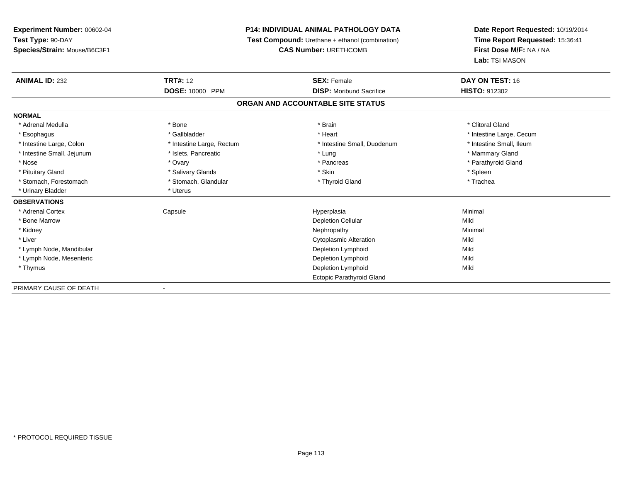**Experiment Number:** 00602-04**Test Type:** 90-DAY**Species/Strain:** Mouse/B6C3F1

## **P14: INDIVIDUAL ANIMAL PATHOLOGY DATA**

**Test Compound:** Urethane + ethanol (combination)

**CAS Number:** URETHCOMB

**Date Report Requested:** 10/19/2014**Time Report Requested:** 15:36:41**First Dose M/F:** NA / NA**Lab:** TSI MASON

| <b>ANIMAL ID: 232</b>      | <b>TRT#: 12</b>           | <b>SEX: Female</b>                | DAY ON TEST: 16          |  |
|----------------------------|---------------------------|-----------------------------------|--------------------------|--|
|                            | DOSE: 10000 PPM           | <b>DISP:</b> Moribund Sacrifice   | <b>HISTO: 912302</b>     |  |
|                            |                           | ORGAN AND ACCOUNTABLE SITE STATUS |                          |  |
| <b>NORMAL</b>              |                           |                                   |                          |  |
| * Adrenal Medulla          | * Bone                    | * Brain                           | * Clitoral Gland         |  |
| * Esophagus                | * Gallbladder             | * Heart                           | * Intestine Large, Cecum |  |
| * Intestine Large, Colon   | * Intestine Large, Rectum | * Intestine Small, Duodenum       | * Intestine Small, Ileum |  |
| * Intestine Small, Jejunum | * Islets, Pancreatic      | * Lung                            | * Mammary Gland          |  |
| * Nose                     | * Ovary                   | * Pancreas                        | * Parathyroid Gland      |  |
| * Pituitary Gland          | * Salivary Glands         | * Skin                            | * Spleen                 |  |
| * Stomach, Forestomach     | * Stomach, Glandular      | * Thyroid Gland                   | * Trachea                |  |
| * Urinary Bladder          | * Uterus                  |                                   |                          |  |
| <b>OBSERVATIONS</b>        |                           |                                   |                          |  |
| * Adrenal Cortex           | Capsule                   | Hyperplasia                       | Minimal                  |  |
| * Bone Marrow              |                           | <b>Depletion Cellular</b>         | Mild                     |  |
| * Kidney                   |                           | Nephropathy                       | Minimal                  |  |
| * Liver                    |                           | Cytoplasmic Alteration            | Mild                     |  |
| * Lymph Node, Mandibular   |                           | Depletion Lymphoid                | Mild                     |  |
| * Lymph Node, Mesenteric   |                           | Depletion Lymphoid                | Mild                     |  |
| * Thymus                   |                           | Depletion Lymphoid                | Mild                     |  |
|                            |                           | <b>Ectopic Parathyroid Gland</b>  |                          |  |
| PRIMARY CAUSE OF DEATH     |                           |                                   |                          |  |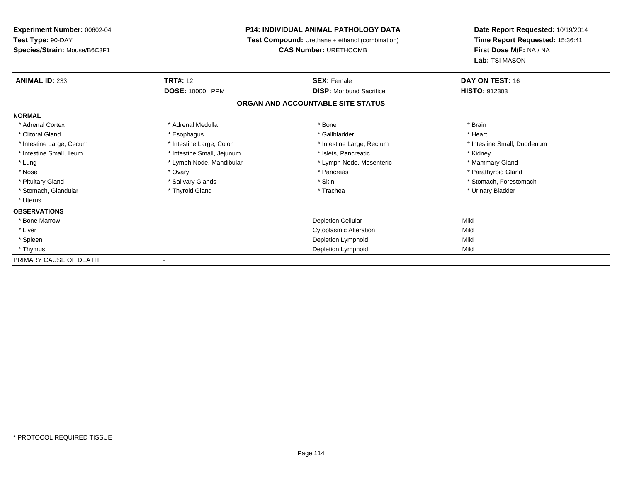**Experiment Number:** 00602-04**Test Type:** 90-DAY **Species/Strain:** Mouse/B6C3F1**P14: INDIVIDUAL ANIMAL PATHOLOGY DATA Test Compound:** Urethane + ethanol (combination)**CAS Number:** URETHCOMB**Date Report Requested:** 10/19/2014**Time Report Requested:** 15:36:41**First Dose M/F:** NA / NA**Lab:** TSI MASON**ANIMAL ID:** 233**TRT#:** 12 **SEX:** Female **DAY ON TEST:** 16 **DOSE:** 10000 PPM **DISP:** Moribund Sacrifice **HISTO:** <sup>912303</sup> **ORGAN AND ACCOUNTABLE SITE STATUSNORMAL**\* Adrenal Cortex \* Adrenal Medulla \* Adrenal Medulla \* Bone \* Brain \* Brain \* Brain \* Brain \* Brain \* Brain \* Brain \* Brain \* Brain \* Brain \* Brain \* Brain \* Brain \* Brain \* Brain \* Brain \* Brain \* Brain \* Brain \* Brain \* Brain \* Brain \* B \* Heart \* Clitoral Gland \* \* \* heart \* \* Esophagus \* \* \* \* \* \* \* \* \* \* \* Gallbladder \* \* \* \* \* \* \* \* \* \* \* \* Heart \* Intestine Large, Cecum \* Intestine Large, Colon \* Intestine Large, Rectum \* Intestine Small, Duodenum \* Intestine Small, Ileum \* **Alleman \* Intestine Small, Jejunum** \* The \* Islets, Pancreatic \* \* Kidney \* Kidney \* Mammary Gland \* Lung \* Lymph Node, Mandibular \* Mammary Americ \* Lymph Node, Mesenteric \* Mammary Glandes \* Mammary Glandes \* Mammary Glandes \* Mammary Glandes \* Mammary Glandes \* Lymph Node, Mesenteric \* Mammary Glandes \* Lymph Node, M \* Parathyroid Gland \* Nose \* Ovary \* Pancreas \* Parathyroid Gland \* Pituitary Gland \* \* Salivary Glands \* Salivary Glands \* Skin \* \* Skin \* \* Stomach, Forestomach \* Stomach, Glandular \* Thyroid Gland \* Thyroid Gland \* Trachea \* Trachea \* Trachea \* Urinary Bladder \* Uterus**OBSERVATIONS** \* Bone Marroww Depletion Cellular and Depletion Cellular and Depletion Cellular and Mild \* Liver Cytoplasmic Alterationn Mild \* Spleenn and the control of the control of the control of the control of the control of the control of the control of the control of the control of the control of the control of the control of the control of the control of the co \* Thymus Depletion Lymphoidd Mild PRIMARY CAUSE OF DEATH-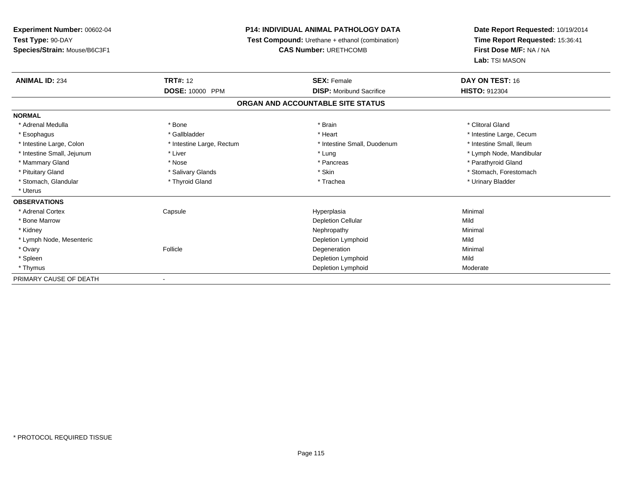**Experiment Number:** 00602-04**Test Type:** 90-DAY**Species/Strain:** Mouse/B6C3F1

## **P14: INDIVIDUAL ANIMAL PATHOLOGY DATA**

**Test Compound:** Urethane + ethanol (combination)

**CAS Number:** URETHCOMB

**Date Report Requested:** 10/19/2014**Time Report Requested:** 15:36:41**First Dose M/F:** NA / NA**Lab:** TSI MASON

| <b>ANIMAL ID: 234</b>      | <b>TRT#:</b> 12<br>DOSE: 10000 PPM | <b>SEX: Female</b><br><b>DISP:</b> Moribund Sacrifice | DAY ON TEST: 16<br><b>HISTO: 912304</b> |  |
|----------------------------|------------------------------------|-------------------------------------------------------|-----------------------------------------|--|
|                            |                                    |                                                       |                                         |  |
| <b>NORMAL</b>              |                                    |                                                       |                                         |  |
| * Adrenal Medulla          | * Bone                             | * Brain                                               | * Clitoral Gland                        |  |
| * Esophagus                | * Gallbladder                      | * Heart                                               | * Intestine Large, Cecum                |  |
| * Intestine Large, Colon   | * Intestine Large, Rectum          | * Intestine Small, Duodenum                           | * Intestine Small, Ileum                |  |
| * Intestine Small, Jejunum | * Liver                            | * Lung                                                | * Lymph Node, Mandibular                |  |
| * Mammary Gland            | * Nose                             | * Pancreas                                            | * Parathyroid Gland                     |  |
| * Pituitary Gland          | * Salivary Glands                  | * Skin                                                | * Stomach, Forestomach                  |  |
| * Stomach, Glandular       | * Thyroid Gland                    | * Trachea                                             | * Urinary Bladder                       |  |
| * Uterus                   |                                    |                                                       |                                         |  |
| <b>OBSERVATIONS</b>        |                                    |                                                       |                                         |  |
| * Adrenal Cortex           | Capsule                            | Hyperplasia                                           | Minimal                                 |  |
| * Bone Marrow              |                                    | <b>Depletion Cellular</b>                             | Mild                                    |  |
| * Kidney                   |                                    | Nephropathy                                           | Minimal                                 |  |
| * Lymph Node, Mesenteric   |                                    | Depletion Lymphoid                                    | Mild                                    |  |
| * Ovary                    | Follicle                           | Degeneration                                          | Minimal                                 |  |
| * Spleen                   |                                    | Depletion Lymphoid                                    | Mild                                    |  |
| * Thymus                   |                                    | Depletion Lymphoid                                    | Moderate                                |  |
| PRIMARY CAUSE OF DEATH     |                                    |                                                       |                                         |  |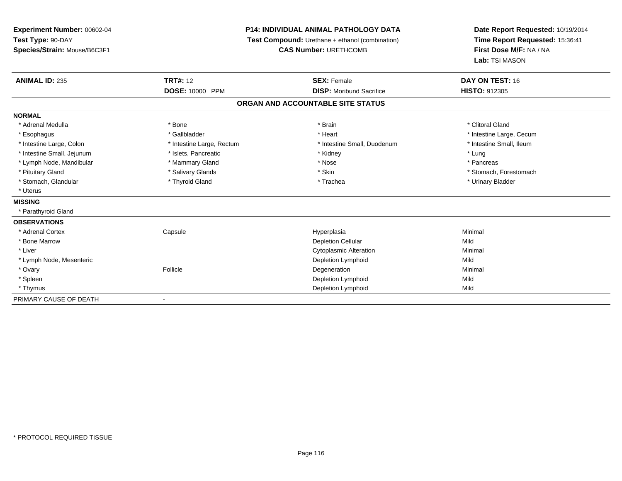| Experiment Number: 00602-04  |                           | <b>P14: INDIVIDUAL ANIMAL PATHOLOGY DATA</b>    | Date Report Requested: 10/19/2014<br>Time Report Requested: 15:36:41<br>First Dose M/F: NA / NA<br>Lab: TSI MASON |  |
|------------------------------|---------------------------|-------------------------------------------------|-------------------------------------------------------------------------------------------------------------------|--|
| Test Type: 90-DAY            |                           | Test Compound: Urethane + ethanol (combination) |                                                                                                                   |  |
| Species/Strain: Mouse/B6C3F1 |                           | <b>CAS Number: URETHCOMB</b>                    |                                                                                                                   |  |
|                              |                           |                                                 |                                                                                                                   |  |
| <b>ANIMAL ID: 235</b>        | <b>TRT#: 12</b>           | <b>SEX: Female</b>                              | DAY ON TEST: 16                                                                                                   |  |
|                              | <b>DOSE: 10000 PPM</b>    | <b>DISP:</b> Moribund Sacrifice                 | <b>HISTO: 912305</b>                                                                                              |  |
|                              |                           | ORGAN AND ACCOUNTABLE SITE STATUS               |                                                                                                                   |  |
| <b>NORMAL</b>                |                           |                                                 |                                                                                                                   |  |
| * Adrenal Medulla            | * Bone                    | * Brain                                         | * Clitoral Gland                                                                                                  |  |
| * Esophagus                  | * Gallbladder             | * Heart                                         | * Intestine Large, Cecum                                                                                          |  |
| * Intestine Large, Colon     | * Intestine Large, Rectum | * Intestine Small, Duodenum                     | * Intestine Small, Ileum                                                                                          |  |
| * Intestine Small, Jejunum   | * Islets, Pancreatic      | * Kidney                                        | * Lung                                                                                                            |  |
| * Lymph Node, Mandibular     | * Mammary Gland           | * Nose                                          | * Pancreas                                                                                                        |  |
| * Pituitary Gland            | * Salivary Glands         | * Skin                                          | * Stomach, Forestomach                                                                                            |  |
| * Stomach, Glandular         | * Thyroid Gland           | * Trachea                                       | * Urinary Bladder                                                                                                 |  |
| * Uterus                     |                           |                                                 |                                                                                                                   |  |
| <b>MISSING</b>               |                           |                                                 |                                                                                                                   |  |
| * Parathyroid Gland          |                           |                                                 |                                                                                                                   |  |
| <b>OBSERVATIONS</b>          |                           |                                                 |                                                                                                                   |  |
| * Adrenal Cortex             | Capsule                   | Hyperplasia                                     | Minimal                                                                                                           |  |
| * Bone Marrow                |                           | <b>Depletion Cellular</b>                       | Mild                                                                                                              |  |
| * Liver                      |                           | <b>Cytoplasmic Alteration</b>                   | Minimal                                                                                                           |  |
| * Lymph Node, Mesenteric     |                           | Depletion Lymphoid                              | Mild                                                                                                              |  |
| * Ovary                      | Follicle                  | Degeneration                                    | Minimal                                                                                                           |  |
| * Spleen                     |                           | Depletion Lymphoid                              | Mild                                                                                                              |  |
| * Thymus                     |                           | <b>Depletion Lymphoid</b>                       | Mild                                                                                                              |  |
| PRIMARY CAUSE OF DEATH       |                           |                                                 |                                                                                                                   |  |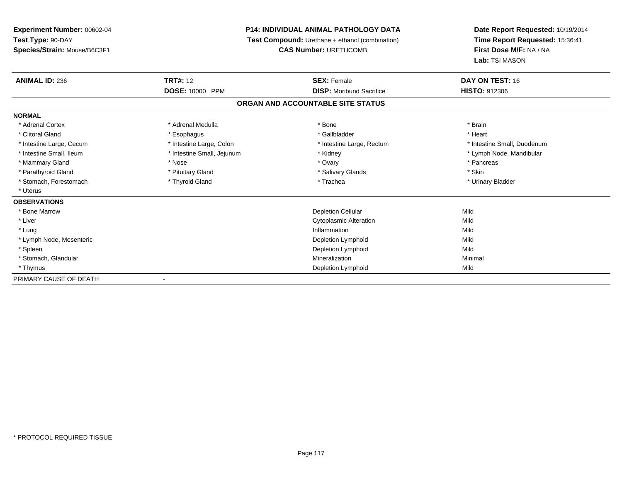**Experiment Number:** 00602-04**Test Type:** 90-DAY **Species/Strain:** Mouse/B6C3F1**P14: INDIVIDUAL ANIMAL PATHOLOGY DATA Test Compound:** Urethane + ethanol (combination)**CAS Number:** URETHCOMB**Date Report Requested:** 10/19/2014**Time Report Requested:** 15:36:41**First Dose M/F:** NA / NA**Lab:** TSI MASON**ANIMAL ID:** 236**TRT#:** 12 **SEX:** Female **DAY ON TEST:** 16 **DOSE:** 10000 PPM **DISP:** Moribund Sacrifice **HISTO:** <sup>912306</sup> **ORGAN AND ACCOUNTABLE SITE STATUSNORMAL**\* Adrenal Cortex \* Adrenal Medulla \* Adrenal Medulla \* Bone \* Brain \* Brain \* Brain \* Brain \* Brain \* Brain \* Brain \* Brain \* Brain \* Brain \* Brain \* Brain \* Brain \* Brain \* Brain \* Brain \* Brain \* Brain \* Brain \* Brain \* Brain \* Brain \* B \* Heart \* Clitoral Gland \* \* \* heart \* \* Esophagus \* \* \* \* \* \* \* \* \* \* \* Gallbladder \* \* \* \* \* \* \* \* \* \* \* \* Heart \* Intestine Large, Cecum \* Intestine Large, Colon \* Intestine Large, Rectum \* Intestine Small, Duodenum \* Intestine Small, Ileum \* Intestine Small, Jejunum \* Kidney \* Lymph Node, Mandibular\* Mammary Gland \* \* Andrew \* Nose \* \* Nose \* \* Ovary \* Ovary \* Ovary \* \* Ovary \* \* Pancreas \* \* Pancreas \* \* Pancreas \* \* Pancreas \* \* Pancreas \* \* Pancreas \* \* Pancreas \* \* Pancreas \* \* Pancreas \* \* Pancreas \* \* Pancreas \* Parathyroid Gland \* \* Pituitary Gland \* Thuitary Gland \* Salivary Glands \* Stin \* Skin \* Skin \* Skin \* Skin \* Skin \* Skin \* Skin \* Skin \* Skin \* Skin \* Skin \* Skin \* Skin \* Skin \* Skin \* Skin \* Skin \* Skin \* Skin \* Skin \* Urinary Bladder \* Stomach, Forestomach \* Thyroid Gland \* Thyroid Gland \* Trachea \* Uterus**OBSERVATIONS** \* Bone Marroww Depletion Cellular and Depletion Cellular and Depletion Cellular and Mild \* Liver Cytoplasmic Alterationn Mild \* Lungg and the state of the state of the state of the state of the state of the state of the state of the state of the state of the state of the state of the state of the state of the state of the state of the state of the stat \* Lymph Node, Mesenteric Depletion Lymphoidd Mild \* Spleenn and the control of the control of the control of the control of the control of the control of the control of the control of the control of the control of the control of the control of the control of the control of the co \* Stomach, Glandular Mineralizationn Minimal \* Thymus Depletion Lymphoidd Mild PRIMARY CAUSE OF DEATH-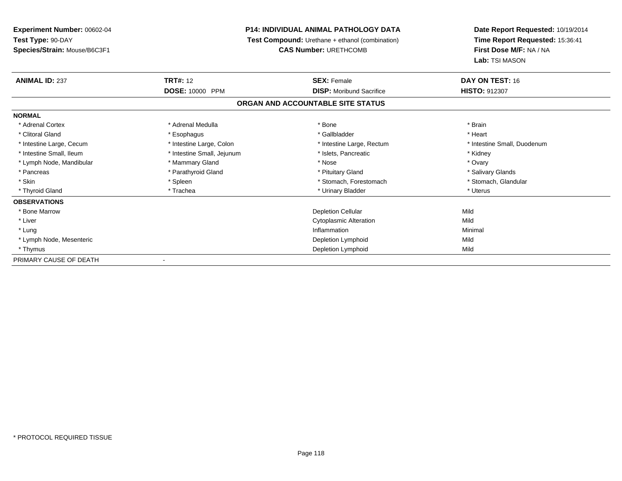**Experiment Number:** 00602-04**Test Type:** 90-DAY **Species/Strain:** Mouse/B6C3F1**P14: INDIVIDUAL ANIMAL PATHOLOGY DATA Test Compound:** Urethane + ethanol (combination)**CAS Number:** URETHCOMB**Date Report Requested:** 10/19/2014**Time Report Requested:** 15:36:41**First Dose M/F:** NA / NA**Lab:** TSI MASON**ANIMAL ID:** 237**TRT#:** 12 **SEX:** Female **DAY ON TEST:** 16 **DOSE:** 10000 PPM **DISP:** Moribund Sacrifice **HISTO:** <sup>912307</sup> **ORGAN AND ACCOUNTABLE SITE STATUSNORMAL**\* Adrenal Cortex \* Adrenal Medulla \* Adrenal Medulla \* Bone \* Brain \* Brain \* Brain \* Brain \* Brain \* Brain \* Brain \* Brain \* Brain \* Brain \* Brain \* Brain \* Brain \* Brain \* Brain \* Brain \* Brain \* Brain \* Brain \* Brain \* Brain \* Brain \* B \* Heart \* Clitoral Gland \* \* \* heart \* \* Esophagus \* \* \* \* \* \* \* \* \* \* \* Gallbladder \* \* \* \* \* \* \* \* \* \* \* \* Heart \* Intestine Large, Cecum \* Intestine Large, Colon \* Intestine Large, Rectum \* Intestine Small, Duodenum \* Intestine Small, Ileum \* Thestine Small, Jejunum \* 1998, Pancreatic \* Kidney \* Kidney \* Kidney \* Kidney \* Ovary \* Lymph Node, Mandibular \* Mannery Gland \* Mammary Gland \* Nose \* Nose \* Nose \* Salivary Glands \* Pancreas \* And the section of the section of the section of the section of the section of the section of the section of the section of the section of the section of the section of the section of the section of the sectio \* Stomach, Glandular \* Skin \* Spleen \* Spleen \* Spleen \* Stomach, Forestomach \* Stomach, Suite and the storage \* Stomach, Glandular \* Thyroid Gland \* \* Trachea \* \* Trachea \* Trachea \* \* Urinary Bladder \* \* Urinary Bladder \* \* Uterus \* Uterus **OBSERVATIONS** \* Bone Marroww Depletion Cellular and Depletion Cellular and Depletion Cellular and Mild \* Liver Cytoplasmic Alterationn Mild \* Lungg and the state of the state of the state of the state of the state of the state of the state of the state of the state of the state of the state of the state of the state of the state of the state of the state of the stat \* Lymph Node, Mesenteric Depletion Lymphoidd Mild \* Thymus Depletion Lymphoidd Mild PRIMARY CAUSE OF DEATH

-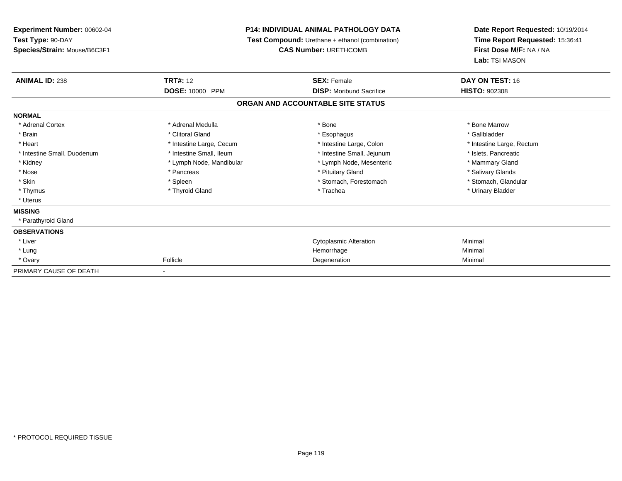| Experiment Number: 00602-04  | <b>P14: INDIVIDUAL ANIMAL PATHOLOGY DATA</b><br>Test Compound: Urethane + ethanol (combination) |                                   | Date Report Requested: 10/19/2014<br>Time Report Requested: 15:36:41 |  |
|------------------------------|-------------------------------------------------------------------------------------------------|-----------------------------------|----------------------------------------------------------------------|--|
| Test Type: 90-DAY            |                                                                                                 |                                   |                                                                      |  |
| Species/Strain: Mouse/B6C3F1 |                                                                                                 | <b>CAS Number: URETHCOMB</b>      |                                                                      |  |
|                              |                                                                                                 |                                   | Lab: TSI MASON                                                       |  |
| <b>ANIMAL ID: 238</b>        | <b>TRT#: 12</b>                                                                                 | <b>SEX: Female</b>                | DAY ON TEST: 16                                                      |  |
|                              | DOSE: 10000 PPM                                                                                 | <b>DISP:</b> Moribund Sacrifice   | <b>HISTO: 902308</b>                                                 |  |
|                              |                                                                                                 | ORGAN AND ACCOUNTABLE SITE STATUS |                                                                      |  |
| <b>NORMAL</b>                |                                                                                                 |                                   |                                                                      |  |
| * Adrenal Cortex             | * Adrenal Medulla                                                                               | * Bone                            | * Bone Marrow                                                        |  |
| * Brain                      | * Clitoral Gland                                                                                | * Esophagus                       | * Gallbladder                                                        |  |
| * Heart                      | * Intestine Large, Cecum                                                                        | * Intestine Large, Colon          | * Intestine Large, Rectum                                            |  |
| * Intestine Small, Duodenum  | * Intestine Small, Ileum                                                                        | * Intestine Small, Jejunum        | * Islets, Pancreatic                                                 |  |
| * Kidney                     | * Lymph Node, Mandibular                                                                        | * Lymph Node, Mesenteric          | * Mammary Gland                                                      |  |
| * Nose                       | * Pancreas                                                                                      | * Pituitary Gland                 | * Salivary Glands                                                    |  |
| * Skin                       | * Spleen                                                                                        | * Stomach, Forestomach            | * Stomach, Glandular                                                 |  |
| * Thymus                     | * Thyroid Gland                                                                                 | * Trachea                         | * Urinary Bladder                                                    |  |
| * Uterus                     |                                                                                                 |                                   |                                                                      |  |
| <b>MISSING</b>               |                                                                                                 |                                   |                                                                      |  |
| * Parathyroid Gland          |                                                                                                 |                                   |                                                                      |  |
| <b>OBSERVATIONS</b>          |                                                                                                 |                                   |                                                                      |  |
| * Liver                      |                                                                                                 | <b>Cytoplasmic Alteration</b>     | Minimal                                                              |  |
| * Lung                       |                                                                                                 | Hemorrhage                        | Minimal                                                              |  |
| * Ovary                      | Follicle                                                                                        | Degeneration                      | Minimal                                                              |  |
| PRIMARY CAUSE OF DEATH       |                                                                                                 |                                   |                                                                      |  |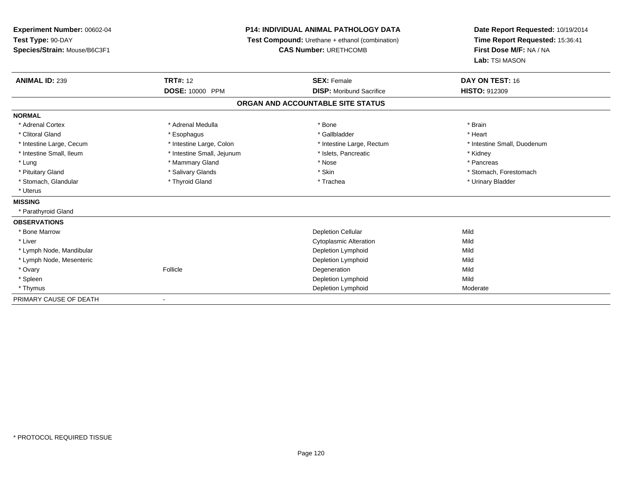| Experiment Number: 00602-04  |                            | P14: INDIVIDUAL ANIMAL PATHOLOGY DATA           | Date Report Requested: 10/19/2014                          |  |
|------------------------------|----------------------------|-------------------------------------------------|------------------------------------------------------------|--|
| Test Type: 90-DAY            |                            | Test Compound: Urethane + ethanol (combination) | Time Report Requested: 15:36:41<br>First Dose M/F: NA / NA |  |
| Species/Strain: Mouse/B6C3F1 |                            | <b>CAS Number: URETHCOMB</b>                    |                                                            |  |
|                              |                            |                                                 | Lab: TSI MASON                                             |  |
| <b>ANIMAL ID: 239</b>        | <b>TRT#: 12</b>            | <b>SEX: Female</b>                              | DAY ON TEST: 16                                            |  |
|                              | DOSE: 10000 PPM            | <b>DISP: Moribund Sacrifice</b>                 | HISTO: 912309                                              |  |
|                              |                            | ORGAN AND ACCOUNTABLE SITE STATUS               |                                                            |  |
| <b>NORMAL</b>                |                            |                                                 |                                                            |  |
| * Adrenal Cortex             | * Adrenal Medulla          | * Bone                                          | * Brain                                                    |  |
| * Clitoral Gland             | * Esophagus                | * Gallbladder                                   | * Heart                                                    |  |
| * Intestine Large, Cecum     | * Intestine Large, Colon   | * Intestine Large, Rectum                       | * Intestine Small, Duodenum                                |  |
| * Intestine Small, Ileum     | * Intestine Small, Jejunum | * Islets, Pancreatic                            | * Kidney                                                   |  |
| * Lung                       | * Mammary Gland            | * Nose                                          | * Pancreas                                                 |  |
| * Pituitary Gland            | * Salivary Glands          | * Skin                                          | * Stomach, Forestomach                                     |  |
| * Stomach, Glandular         | * Thyroid Gland            | * Trachea                                       | * Urinary Bladder                                          |  |
| * Uterus                     |                            |                                                 |                                                            |  |
| <b>MISSING</b>               |                            |                                                 |                                                            |  |
| * Parathyroid Gland          |                            |                                                 |                                                            |  |
| <b>OBSERVATIONS</b>          |                            |                                                 |                                                            |  |
| * Bone Marrow                |                            | <b>Depletion Cellular</b>                       | Mild                                                       |  |
| * Liver                      |                            | <b>Cytoplasmic Alteration</b>                   | Mild                                                       |  |
| * Lymph Node, Mandibular     |                            | Depletion Lymphoid                              | Mild                                                       |  |
| * Lymph Node, Mesenteric     |                            | Depletion Lymphoid                              | Mild                                                       |  |
| * Ovary                      | Follicle                   | Degeneration                                    | Mild                                                       |  |
| * Spleen                     |                            | Depletion Lymphoid                              | Mild                                                       |  |
| * Thymus                     |                            | Depletion Lymphoid                              | Moderate                                                   |  |
| PRIMARY CAUSE OF DEATH       |                            |                                                 |                                                            |  |